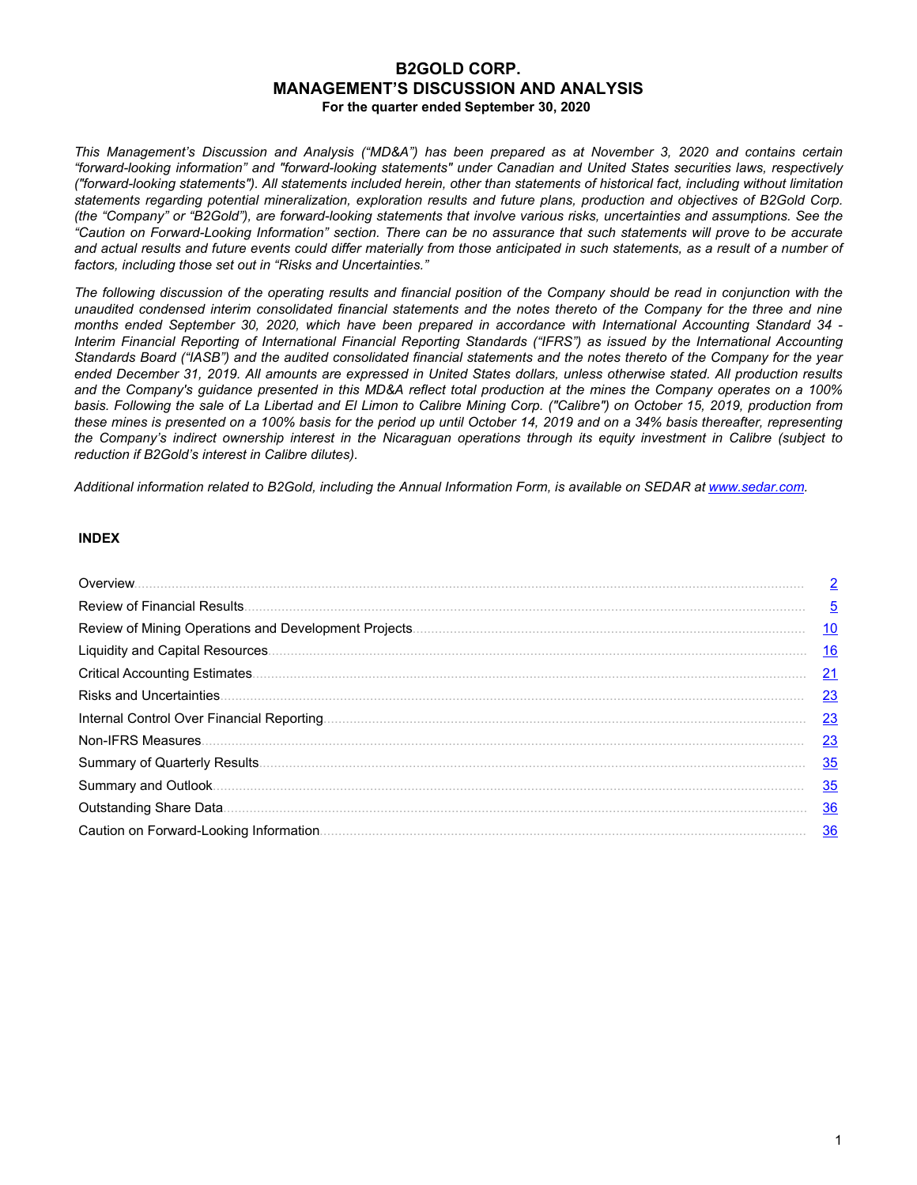# **B2GOLD CORP. MANAGEMENT'S DISCUSSION AND ANALYSIS For the quarter ended September 30, 2020**

*This Management's Discussion and Analysis ("MD&A") has been prepared as at November 3, 2020 and contains certain "forward-looking information" and "forward-looking statements" under Canadian and United States securities laws, respectively ("forward-looking statements"). All statements included herein, other than statements of historical fact, including without limitation statements regarding potential mineralization, exploration results and future plans, production and objectives of B2Gold Corp. (the "Company" or "B2Gold"), are forward-looking statements that involve various risks, uncertainties and assumptions. See the "Caution on Forward-Looking Information" section. There can be no assurance that such statements will prove to be accurate and actual results and future events could differ materially from those anticipated in such statements, as a result of a number of factors, including those set out in "Risks and Uncertainties."*

*The following discussion of the operating results and financial position of the Company should be read in conjunction with the unaudited condensed interim consolidated financial statements and the notes thereto of the Company for the three and nine months ended September 30, 2020, which have been prepared in accordance with International Accounting Standard 34 - Interim Financial Reporting of International Financial Reporting Standards ("IFRS") as issued by the International Accounting Standards Board ("IASB") and the audited consolidated financial statements and the notes thereto of the Company for the year ended December 31, 2019. All amounts are expressed in United States dollars, unless otherwise stated. All production results and the Company's guidance presented in this MD&A reflect total production at the mines the Company operates on a 100% basis. Following the sale of La Libertad and El Limon to Calibre Mining Corp. ("Calibre") on October 15, 2019, production from these mines is presented on a 100% basis for the period up until October 14, 2019 and on a 34% basis thereafter, representing the Company's indirect ownership interest in the Nicaraguan operations through its equity investment in Calibre (subject to reduction if B2Gold's interest in Calibre dilutes).*

*Additional information related to B2Gold, including the Annual Information Form, is available on SEDAR at www.sedar.com.*

# **INDEX**

|                                 | $\overline{2}$ |
|---------------------------------|----------------|
|                                 | $\overline{5}$ |
|                                 | <u> 10</u>     |
|                                 | <u> 16</u>     |
|                                 | 21             |
| <b>Risks and Uncertainties.</b> | <u>23</u>      |
|                                 | 23             |
|                                 | 23             |
|                                 | 35             |
|                                 | 35             |
|                                 | <u>36</u>      |
|                                 | 36             |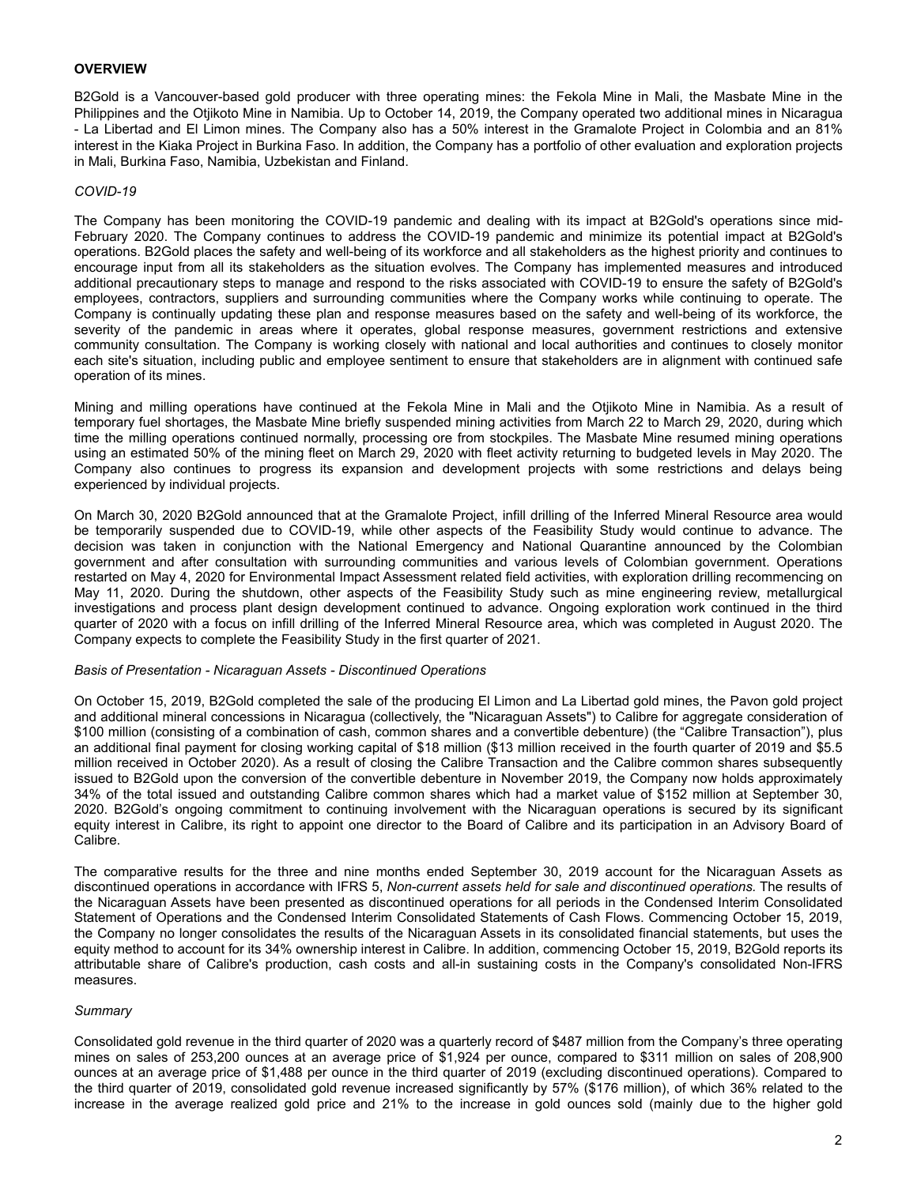# <span id="page-1-0"></span>**OVERVIEW**

B2Gold is a Vancouver-based gold producer with three operating mines: the Fekola Mine in Mali, the Masbate Mine in the Philippines and the Otjikoto Mine in Namibia. Up to October 14, 2019, the Company operated two additional mines in Nicaragua - La Libertad and El Limon mines. The Company also has a 50% interest in the Gramalote Project in Colombia and an 81% interest in the Kiaka Project in Burkina Faso. In addition, the Company has a portfolio of other evaluation and exploration projects in Mali, Burkina Faso, Namibia, Uzbekistan and Finland.

#### *COVID-19*

The Company has been monitoring the COVID-19 pandemic and dealing with its impact at B2Gold's operations since mid-February 2020. The Company continues to address the COVID-19 pandemic and minimize its potential impact at B2Gold's operations. B2Gold places the safety and well-being of its workforce and all stakeholders as the highest priority and continues to encourage input from all its stakeholders as the situation evolves. The Company has implemented measures and introduced additional precautionary steps to manage and respond to the risks associated with COVID-19 to ensure the safety of B2Gold's employees, contractors, suppliers and surrounding communities where the Company works while continuing to operate. The Company is continually updating these plan and response measures based on the safety and well-being of its workforce, the severity of the pandemic in areas where it operates, global response measures, government restrictions and extensive community consultation. The Company is working closely with national and local authorities and continues to closely monitor each site's situation, including public and employee sentiment to ensure that stakeholders are in alignment with continued safe operation of its mines.

Mining and milling operations have continued at the Fekola Mine in Mali and the Otjikoto Mine in Namibia. As a result of temporary fuel shortages, the Masbate Mine briefly suspended mining activities from March 22 to March 29, 2020, during which time the milling operations continued normally, processing ore from stockpiles. The Masbate Mine resumed mining operations using an estimated 50% of the mining fleet on March 29, 2020 with fleet activity returning to budgeted levels in May 2020. The Company also continues to progress its expansion and development projects with some restrictions and delays being experienced by individual projects.

On March 30, 2020 B2Gold announced that at the Gramalote Project, infill drilling of the Inferred Mineral Resource area would be temporarily suspended due to COVID-19, while other aspects of the Feasibility Study would continue to advance. The decision was taken in conjunction with the National Emergency and National Quarantine announced by the Colombian government and after consultation with surrounding communities and various levels of Colombian government. Operations restarted on May 4, 2020 for Environmental Impact Assessment related field activities, with exploration drilling recommencing on May 11, 2020. During the shutdown, other aspects of the Feasibility Study such as mine engineering review, metallurgical investigations and process plant design development continued to advance. Ongoing exploration work continued in the third quarter of 2020 with a focus on infill drilling of the Inferred Mineral Resource area, which was completed in August 2020. The Company expects to complete the Feasibility Study in the first quarter of 2021.

#### *Basis of Presentation - Nicaraguan Assets - Discontinued Operations*

On October 15, 2019, B2Gold completed the sale of the producing El Limon and La Libertad gold mines, the Pavon gold project and additional mineral concessions in Nicaragua (collectively, the "Nicaraguan Assets") to Calibre for aggregate consideration of \$100 million (consisting of a combination of cash, common shares and a convertible debenture) (the "Calibre Transaction"), plus an additional final payment for closing working capital of \$18 million (\$13 million received in the fourth quarter of 2019 and \$5.5 million received in October 2020). As a result of closing the Calibre Transaction and the Calibre common shares subsequently issued to B2Gold upon the conversion of the convertible debenture in November 2019, the Company now holds approximately 34% of the total issued and outstanding Calibre common shares which had a market value of \$152 million at September 30, 2020. B2Gold's ongoing commitment to continuing involvement with the Nicaraguan operations is secured by its significant equity interest in Calibre, its right to appoint one director to the Board of Calibre and its participation in an Advisory Board of Calibre.

The comparative results for the three and nine months ended September 30, 2019 account for the Nicaraguan Assets as discontinued operations in accordance with IFRS 5, *Non-current assets held for sale and discontinued operations.* The results of the Nicaraguan Assets have been presented as discontinued operations for all periods in the Condensed Interim Consolidated Statement of Operations and the Condensed Interim Consolidated Statements of Cash Flows. Commencing October 15, 2019, the Company no longer consolidates the results of the Nicaraguan Assets in its consolidated financial statements, but uses the equity method to account for its 34% ownership interest in Calibre. In addition, commencing October 15, 2019, B2Gold reports its attributable share of Calibre's production, cash costs and all-in sustaining costs in the Company's consolidated Non-IFRS measures.

## *Summary*

Consolidated gold revenue in the third quarter of 2020 was a quarterly record of \$487 million from the Company's three operating mines on sales of 253,200 ounces at an average price of \$1,924 per ounce, compared to \$311 million on sales of 208,900 ounces at an average price of \$1,488 per ounce in the third quarter of 2019 (excluding discontinued operations). Compared to the third quarter of 2019, consolidated gold revenue increased significantly by 57% (\$176 million), of which 36% related to the increase in the average realized gold price and 21% to the increase in gold ounces sold (mainly due to the higher gold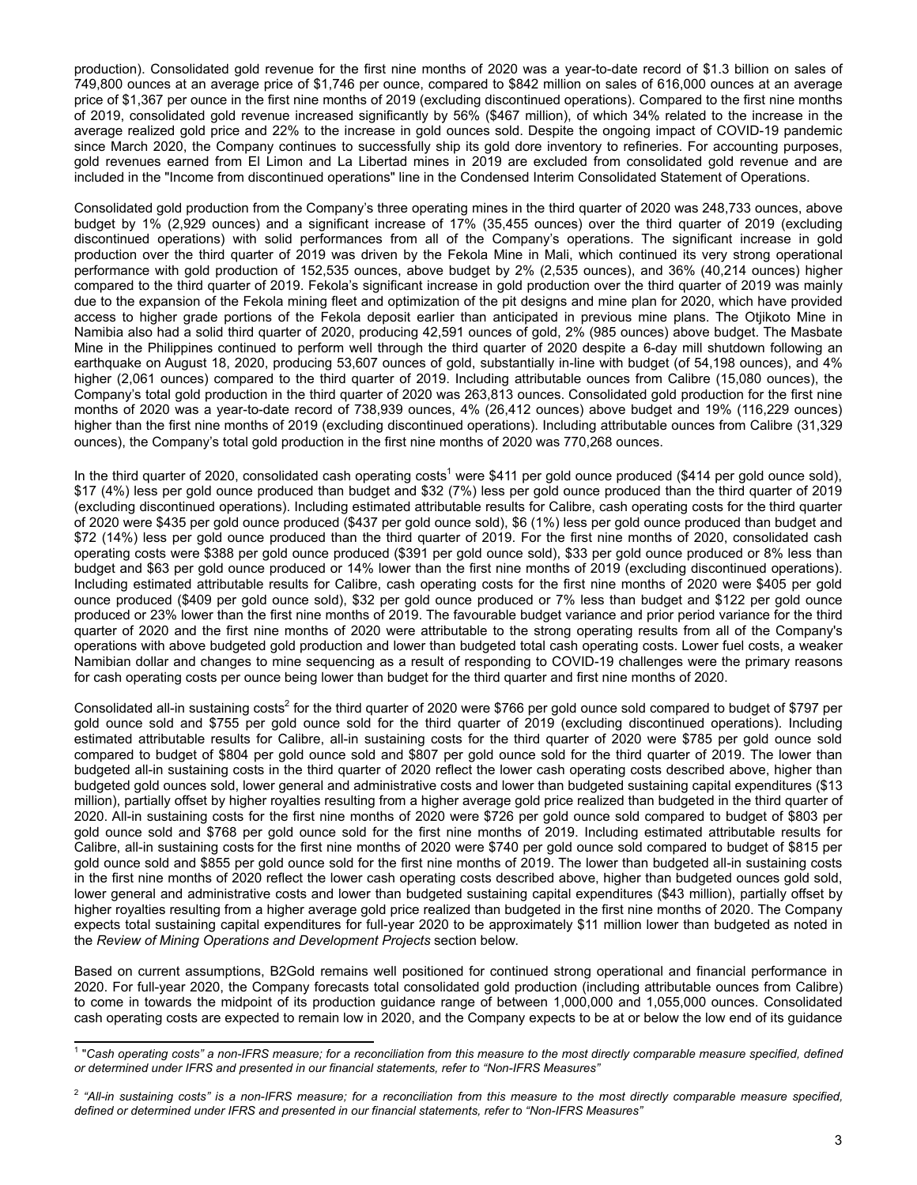production). Consolidated gold revenue for the first nine months of 2020 was a year-to-date record of \$1.3 billion on sales of 749,800 ounces at an average price of \$1,746 per ounce, compared to \$842 million on sales of 616,000 ounces at an average price of \$1,367 per ounce in the first nine months of 2019 (excluding discontinued operations). Compared to the first nine months of 2019, consolidated gold revenue increased significantly by 56% (\$467 million), of which 34% related to the increase in the average realized gold price and 22% to the increase in gold ounces sold. Despite the ongoing impact of COVID-19 pandemic since March 2020, the Company continues to successfully ship its gold dore inventory to refineries. For accounting purposes, gold revenues earned from El Limon and La Libertad mines in 2019 are excluded from consolidated gold revenue and are included in the "Income from discontinued operations" line in the Condensed Interim Consolidated Statement of Operations.

Consolidated gold production from the Company's three operating mines in the third quarter of 2020 was 248,733 ounces, above budget by 1% (2,929 ounces) and a significant increase of 17% (35,455 ounces) over the third quarter of 2019 (excluding discontinued operations) with solid performances from all of the Company's operations. The significant increase in gold production over the third quarter of 2019 was driven by the Fekola Mine in Mali, which continued its very strong operational performance with gold production of 152,535 ounces, above budget by 2% (2,535 ounces), and 36% (40,214 ounces) higher compared to the third quarter of 2019. Fekola's significant increase in gold production over the third quarter of 2019 was mainly due to the expansion of the Fekola mining fleet and optimization of the pit designs and mine plan for 2020, which have provided access to higher grade portions of the Fekola deposit earlier than anticipated in previous mine plans. The Otjikoto Mine in Namibia also had a solid third quarter of 2020, producing 42,591 ounces of gold, 2% (985 ounces) above budget. The Masbate Mine in the Philippines continued to perform well through the third quarter of 2020 despite a 6-day mill shutdown following an earthquake on August 18, 2020, producing 53,607 ounces of gold, substantially in-line with budget (of 54,198 ounces), and 4% higher (2,061 ounces) compared to the third quarter of 2019. Including attributable ounces from Calibre (15,080 ounces), the Company's total gold production in the third quarter of 2020 was 263,813 ounces. Consolidated gold production for the first nine months of 2020 was a year-to-date record of 738,939 ounces, 4% (26,412 ounces) above budget and 19% (116,229 ounces) higher than the first nine months of 2019 (excluding discontinued operations). Including attributable ounces from Calibre (31,329 ounces), the Company's total gold production in the first nine months of 2020 was 770,268 ounces.

In the third quarter of 2020, consolidated cash operating costs<sup>1</sup> were \$411 per gold ounce produced (\$414 per gold ounce sold), \$17 (4%) less per gold ounce produced than budget and \$32 (7%) less per gold ounce produced than the third quarter of 2019 (excluding discontinued operations). Including estimated attributable results for Calibre, cash operating costs for the third quarter of 2020 were \$435 per gold ounce produced (\$437 per gold ounce sold), \$6 (1%) less per gold ounce produced than budget and \$72 (14%) less per gold ounce produced than the third quarter of 2019. For the first nine months of 2020, consolidated cash operating costs were \$388 per gold ounce produced (\$391 per gold ounce sold), \$33 per gold ounce produced or 8% less than budget and \$63 per gold ounce produced or 14% lower than the first nine months of 2019 (excluding discontinued operations). Including estimated attributable results for Calibre, cash operating costs for the first nine months of 2020 were \$405 per gold ounce produced (\$409 per gold ounce sold), \$32 per gold ounce produced or 7% less than budget and \$122 per gold ounce produced or 23% lower than the first nine months of 2019. The favourable budget variance and prior period variance for the third quarter of 2020 and the first nine months of 2020 were attributable to the strong operating results from all of the Company's operations with above budgeted gold production and lower than budgeted total cash operating costs. Lower fuel costs, a weaker Namibian dollar and changes to mine sequencing as a result of responding to COVID-19 challenges were the primary reasons for cash operating costs per ounce being lower than budget for the third quarter and first nine months of 2020.

Consolidated all-in sustaining costs<sup>2</sup> for the third quarter of 2020 were \$766 per gold ounce sold compared to budget of \$797 per gold ounce sold and \$755 per gold ounce sold for the third quarter of 2019 (excluding discontinued operations). Including estimated attributable results for Calibre, all-in sustaining costs for the third quarter of 2020 were \$785 per gold ounce sold compared to budget of \$804 per gold ounce sold and \$807 per gold ounce sold for the third quarter of 2019. The lower than budgeted all-in sustaining costs in the third quarter of 2020 reflect the lower cash operating costs described above, higher than budgeted gold ounces sold, lower general and administrative costs and lower than budgeted sustaining capital expenditures (\$13 million), partially offset by higher royalties resulting from a higher average gold price realized than budgeted in the third quarter of 2020. All-in sustaining costs for the first nine months of 2020 were \$726 per gold ounce sold compared to budget of \$803 per gold ounce sold and \$768 per gold ounce sold for the first nine months of 2019. Including estimated attributable results for Calibre, all-in sustaining costs for the first nine months of 2020 were \$740 per gold ounce sold compared to budget of \$815 per gold ounce sold and \$855 per gold ounce sold for the first nine months of 2019. The lower than budgeted all-in sustaining costs in the first nine months of 2020 reflect the lower cash operating costs described above, higher than budgeted ounces gold sold, lower general and administrative costs and lower than budgeted sustaining capital expenditures (\$43 million), partially offset by higher royalties resulting from a higher average gold price realized than budgeted in the first nine months of 2020. The Company expects total sustaining capital expenditures for full-year 2020 to be approximately \$11 million lower than budgeted as noted in the *Review of Mining Operations and Development Projects* section below.

Based on current assumptions, B2Gold remains well positioned for continued strong operational and financial performance in 2020. For full-year 2020, the Company forecasts total consolidated gold production (including attributable ounces from Calibre) to come in towards the midpoint of its production guidance range of between 1,000,000 and 1,055,000 ounces. Consolidated cash operating costs are expected to remain low in 2020, and the Company expects to be at or below the low end of its guidance

<sup>&</sup>lt;sup>1</sup> "Cash operating costs" a non-IFRS measure; for a reconciliation from this measure to the most directly comparable measure specified, defined *or determined under IFRS and presented in our financial statements, refer to "Non-IFRS Measures"*

<sup>2</sup> *"All-in sustaining costs" is a non-IFRS measure; for a reconciliation from this measure to the most directly comparable measure specified, defined or determined under IFRS and presented in our financial statements, refer to "Non-IFRS Measures"*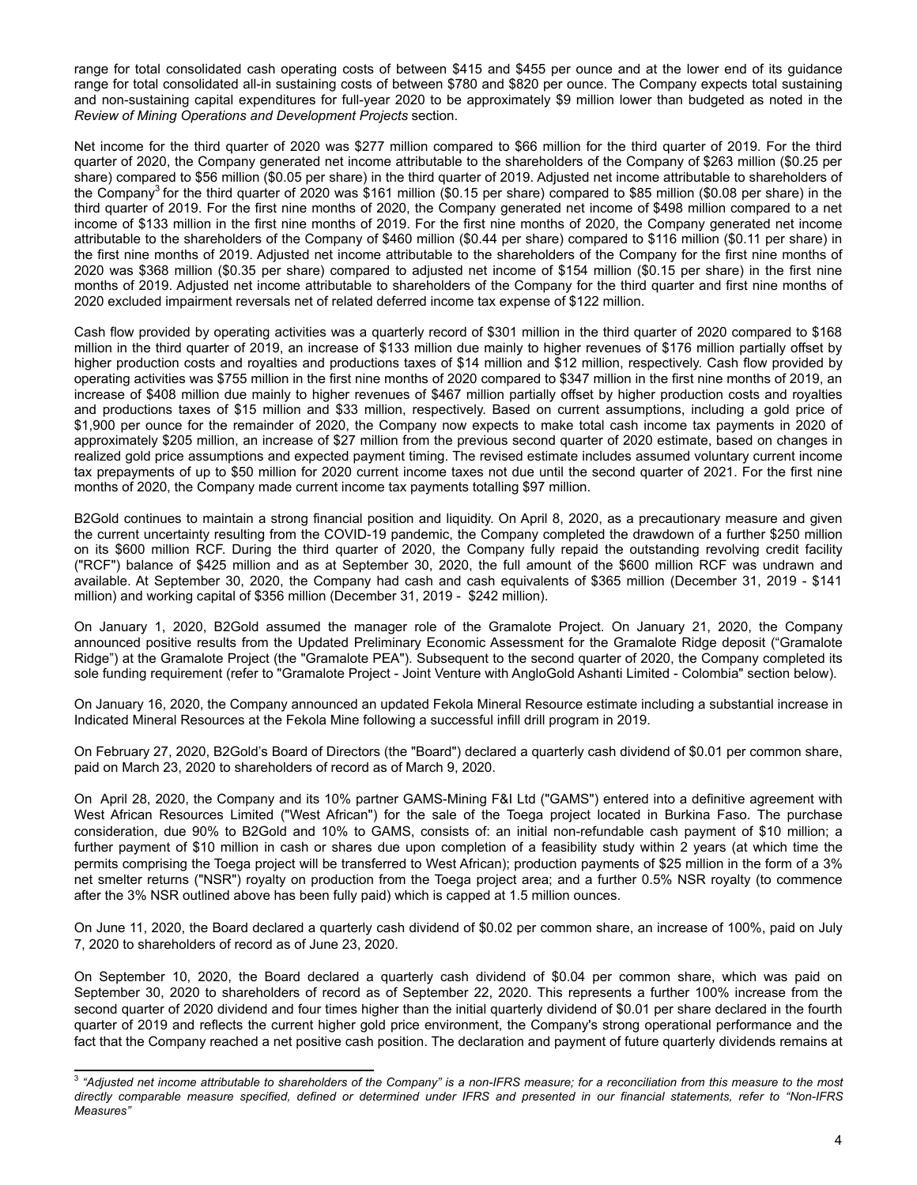range for total consolidated cash operating costs of between \$415 and \$455 per ounce and at the lower end of its guidance range for total consolidated all-in sustaining costs of between \$780 and \$820 per ounce. The Company expects total sustaining and non-sustaining capital expenditures for full-year 2020 to be approximately \$9 million lower than budgeted as noted in the *Review of Mining Operations and Development Projects* section.

Net income for the third quarter of 2020 was \$277 million compared to \$66 million for the third quarter of 2019. For the third quarter of 2020, the Company generated net income attributable to the shareholders of the Company of \$263 million (\$0.25 per share) compared to \$56 million (\$0.05 per share) in the third quarter of 2019. Adjusted net income attributable to shareholders of the Company<sup>3</sup> for the third quarter of 2020 was \$161 million (\$0.15 per share) compared to \$85 million (\$0.08 per share) in the third quarter of 2019. For the first nine months of 2020, the Company generated net income of \$498 million compared to a net income of \$133 million in the first nine months of 2019. For the first nine months of 2020, the Company generated net income attributable to the shareholders of the Company of \$460 million (\$0.44 per share) compared to \$116 million (\$0.11 per share) in the first nine months of 2019. Adjusted net income attributable to the shareholders of the Company for the first nine months of 2020 was \$368 million (\$0.35 per share) compared to adjusted net income of \$154 million (\$0.15 per share) in the first nine months of 2019. Adjusted net income attributable to shareholders of the Company for the third quarter and first nine months of 2020 excluded impairment reversals net of related deferred income tax expense of \$122 million.

Cash flow provided by operating activities was a quarterly record of \$301 million in the third quarter of 2020 compared to \$168 million in the third quarter of 2019, an increase of \$133 million due mainly to higher revenues of \$176 million partially offset by higher production costs and royalties and productions taxes of \$14 million and \$12 million, respectively. Cash flow provided by operating activities was \$755 million in the first nine months of 2020 compared to \$347 million in the first nine months of 2019, an increase of \$408 million due mainly to higher revenues of \$467 million partially offset by higher production costs and royalties and productions taxes of \$15 million and \$33 million, respectively. Based on current assumptions, including a gold price of \$1,900 per ounce for the remainder of 2020, the Company now expects to make total cash income tax payments in 2020 of approximately \$205 million, an increase of \$27 million from the previous second quarter of 2020 estimate, based on changes in realized gold price assumptions and expected payment timing. The revised estimate includes assumed voluntary current income tax prepayments of up to \$50 million for 2020 current income taxes not due until the second quarter of 2021. For the first nine months of 2020, the Company made current income tax payments totalling \$97 million.

B2Gold continues to maintain a strong financial position and liquidity. On April 8, 2020, as a precautionary measure and given the current uncertainty resulting from the COVID-19 pandemic, the Company completed the drawdown of a further \$250 million on its \$600 million RCF. During the third quarter of 2020, the Company fully repaid the outstanding revolving credit facility ("RCF") balance of \$425 million and as at September 30, 2020, the full amount of the \$600 million RCF was undrawn and available. At September 30, 2020, the Company had cash and cash equivalents of \$365 million (December 31, 2019 - \$141 million) and working capital of \$356 million (December 31, 2019 - \$242 million).

On January 1, 2020, B2Gold assumed the manager role of the Gramalote Project. On January 21, 2020, the Company announced positive results from the Updated Preliminary Economic Assessment for the Gramalote Ridge deposit ("Gramalote Ridge") at the Gramalote Project (the "Gramalote PEA"). Subsequent to the second quarter of 2020, the Company completed its sole funding requirement (refer to "Gramalote Project - Joint Venture with AngloGold Ashanti Limited - Colombia" section below).

On January 16, 2020, the Company announced an updated Fekola Mineral Resource estimate including a substantial increase in Indicated Mineral Resources at the Fekola Mine following a successful infill drill program in 2019.

On February 27, 2020, B2Gold's Board of Directors (the "Board") declared a quarterly cash dividend of \$0.01 per common share, paid on March 23, 2020 to shareholders of record as of March 9, 2020.

On April 28, 2020, the Company and its 10% partner GAMS-Mining F&I Ltd ("GAMS") entered into a definitive agreement with West African Resources Limited ("West African") for the sale of the Toega project located in Burkina Faso. The purchase consideration, due 90% to B2Gold and 10% to GAMS, consists of: an initial non-refundable cash payment of \$10 million; a further payment of \$10 million in cash or shares due upon completion of a feasibility study within 2 years (at which time the permits comprising the Toega project will be transferred to West African); production payments of \$25 million in the form of a 3% net smelter returns ("NSR") royalty on production from the Toega project area; and a further 0.5% NSR royalty (to commence after the 3% NSR outlined above has been fully paid) which is capped at 1.5 million ounces.

On June 11, 2020, the Board declared a quarterly cash dividend of \$0.02 per common share, an increase of 100%, paid on July 7, 2020 to shareholders of record as of June 23, 2020.

On September 10, 2020, the Board declared a quarterly cash dividend of \$0.04 per common share, which was paid on September 30, 2020 to shareholders of record as of September 22, 2020. This represents a further 100% increase from the second quarter of 2020 dividend and four times higher than the initial quarterly dividend of \$0.01 per share declared in the fourth quarter of 2019 and reflects the current higher gold price environment, the Company's strong operational performance and the fact that the Company reached a net positive cash position. The declaration and payment of future quarterly dividends remains at

<sup>3</sup> *"Adjusted net income attributable to shareholders of the Company" is a non-IFRS measure; for a reconciliation from this measure to the most directly comparable measure specified, defined or determined under IFRS and presented in our financial statements, refer to "Non-IFRS Measures"*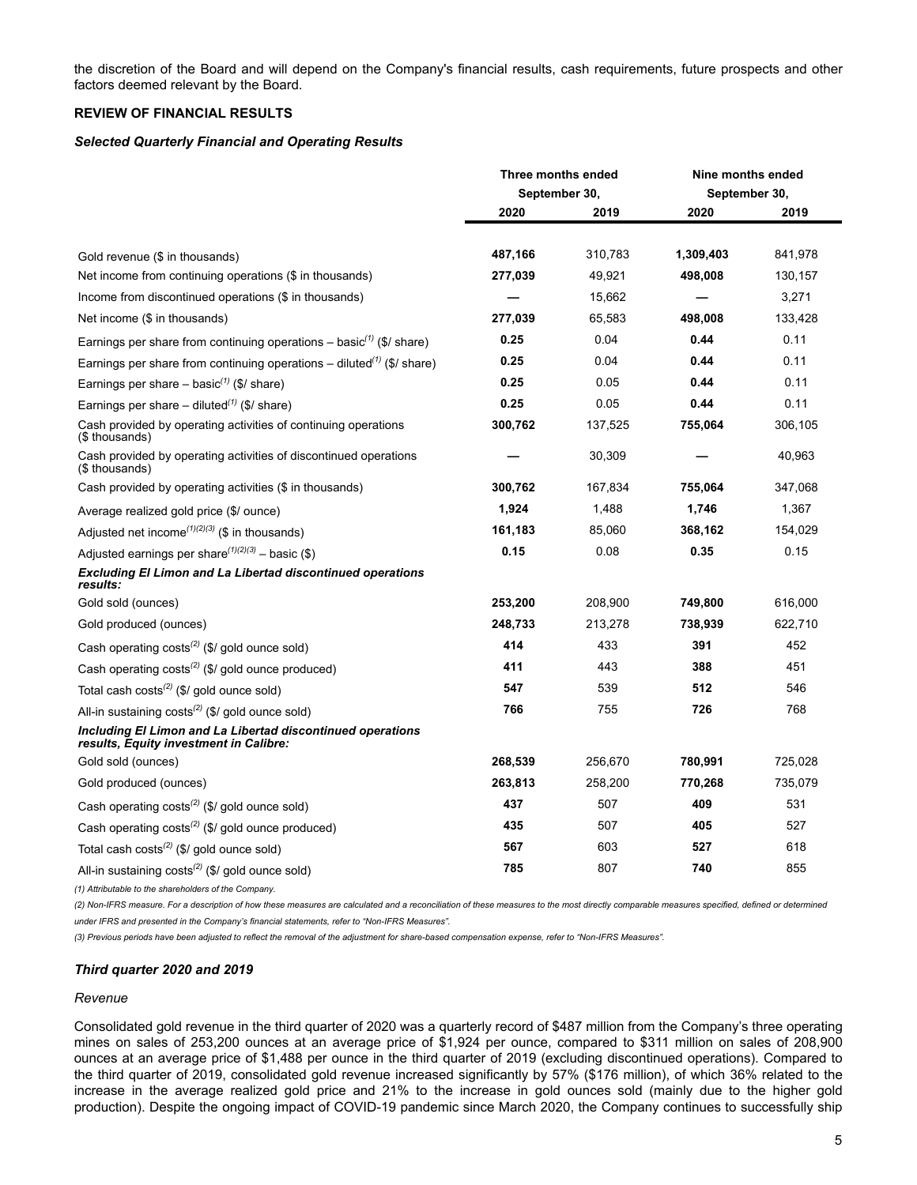<span id="page-4-0"></span>the discretion of the Board and will depend on the Company's financial results, cash requirements, future prospects and other factors deemed relevant by the Board.

#### **REVIEW OF FINANCIAL RESULTS**

#### *Selected Quarterly Financial and Operating Results*

|                                                                                                      | Three months ended |         | Nine months ended |         |
|------------------------------------------------------------------------------------------------------|--------------------|---------|-------------------|---------|
|                                                                                                      | September 30,      |         | September 30,     |         |
|                                                                                                      | 2020               | 2019    | 2020              | 2019    |
|                                                                                                      |                    |         |                   |         |
| Gold revenue (\$ in thousands)                                                                       | 487,166            | 310,783 | 1,309,403         | 841,978 |
| Net income from continuing operations (\$ in thousands)                                              | 277,039            | 49,921  | 498,008           | 130,157 |
| Income from discontinued operations (\$ in thousands)                                                |                    | 15,662  |                   | 3,271   |
| Net income (\$ in thousands)                                                                         | 277,039            | 65,583  | 498,008           | 133,428 |
| Earnings per share from continuing operations – basic <sup>(1)</sup> (\$/ share)                     | 0.25               | 0.04    | 0.44              | 0.11    |
| Earnings per share from continuing operations – diluted <sup>(1)</sup> (\$/ share)                   | 0.25               | 0.04    | 0.44              | 0.11    |
| Earnings per share - basic <sup>(1)</sup> (\$/ share)                                                | 0.25               | 0.05    | 0.44              | 0.11    |
| Earnings per share – diluted <sup>(1)</sup> (\$/ share)                                              | 0.25               | 0.05    | 0.44              | 0.11    |
| Cash provided by operating activities of continuing operations<br>(\$ thousands)                     | 300,762            | 137,525 | 755,064           | 306,105 |
| Cash provided by operating activities of discontinued operations<br>(\$ thousands)                   |                    | 30,309  |                   | 40,963  |
| Cash provided by operating activities (\$ in thousands)                                              | 300,762            | 167,834 | 755,064           | 347,068 |
| Average realized gold price (\$/ ounce)                                                              | 1,924              | 1,488   | 1,746             | 1,367   |
| Adjusted net income <sup>(1)(2)(3)</sup> (\$ in thousands)                                           | 161,183            | 85,060  | 368,162           | 154,029 |
| Adjusted earnings per share $(1)(2)(3)$ – basic (\$)                                                 | 0.15               | 0.08    | 0.35              | 0.15    |
| <b>Excluding El Limon and La Libertad discontinued operations</b><br>results:                        |                    |         |                   |         |
| Gold sold (ounces)                                                                                   | 253,200            | 208,900 | 749,800           | 616,000 |
| Gold produced (ounces)                                                                               | 248,733            | 213,278 | 738,939           | 622,710 |
| Cash operating $costs^{(2)}$ (\$/ gold ounce sold)                                                   | 414                | 433     | 391               | 452     |
| Cash operating $costs^{(2)}$ (\$/ gold ounce produced)                                               | 411                | 443     | 388               | 451     |
| Total cash costs <sup>(2)</sup> (\$/ gold ounce sold)                                                | 547                | 539     | 512               | 546     |
| All-in sustaining $costs^{(2)}$ (\$/ gold ounce sold)                                                | 766                | 755     | 726               | 768     |
| Including El Limon and La Libertad discontinued operations<br>results, Equity investment in Calibre: |                    |         |                   |         |
| Gold sold (ounces)                                                                                   | 268,539            | 256,670 | 780,991           | 725,028 |
| Gold produced (ounces)                                                                               | 263,813            | 258,200 | 770,268           | 735,079 |
| Cash operating costs <sup>(2)</sup> (\$/ gold ounce sold)                                            | 437                | 507     | 409               | 531     |
| Cash operating $costs^{(2)}$ (\$/ gold ounce produced)                                               | 435                | 507     | 405               | 527     |
| Total cash costs <sup>(2)</sup> (\$/ gold ounce sold)                                                | 567                | 603     | 527               | 618     |
| All-in sustaining $costs^{(2)}$ (\$/ gold ounce sold)                                                | 785                | 807     | 740               | 855     |

*(1) Attributable to the shareholders of the Company.*

*(2) Non-IFRS measure. For a description of how these measures are calculated and a reconciliation of these measures to the most directly comparable measures specified, defined or determined under IFRS and presented in the Company's financial statements, refer to "Non-IFRS Measures".*

*(3) Previous periods have been adjusted to reflect the removal of the adjustment for share-based compensation expense, refer to "Non-IFRS Measures".*

## *Third quarter 2020 and 2019*

#### *Revenue*

Consolidated gold revenue in the third quarter of 2020 was a quarterly record of \$487 million from the Company's three operating mines on sales of 253,200 ounces at an average price of \$1,924 per ounce, compared to \$311 million on sales of 208,900 ounces at an average price of \$1,488 per ounce in the third quarter of 2019 (excluding discontinued operations). Compared to the third quarter of 2019, consolidated gold revenue increased significantly by 57% (\$176 million), of which 36% related to the increase in the average realized gold price and 21% to the increase in gold ounces sold (mainly due to the higher gold production). Despite the ongoing impact of COVID-19 pandemic since March 2020, the Company continues to successfully ship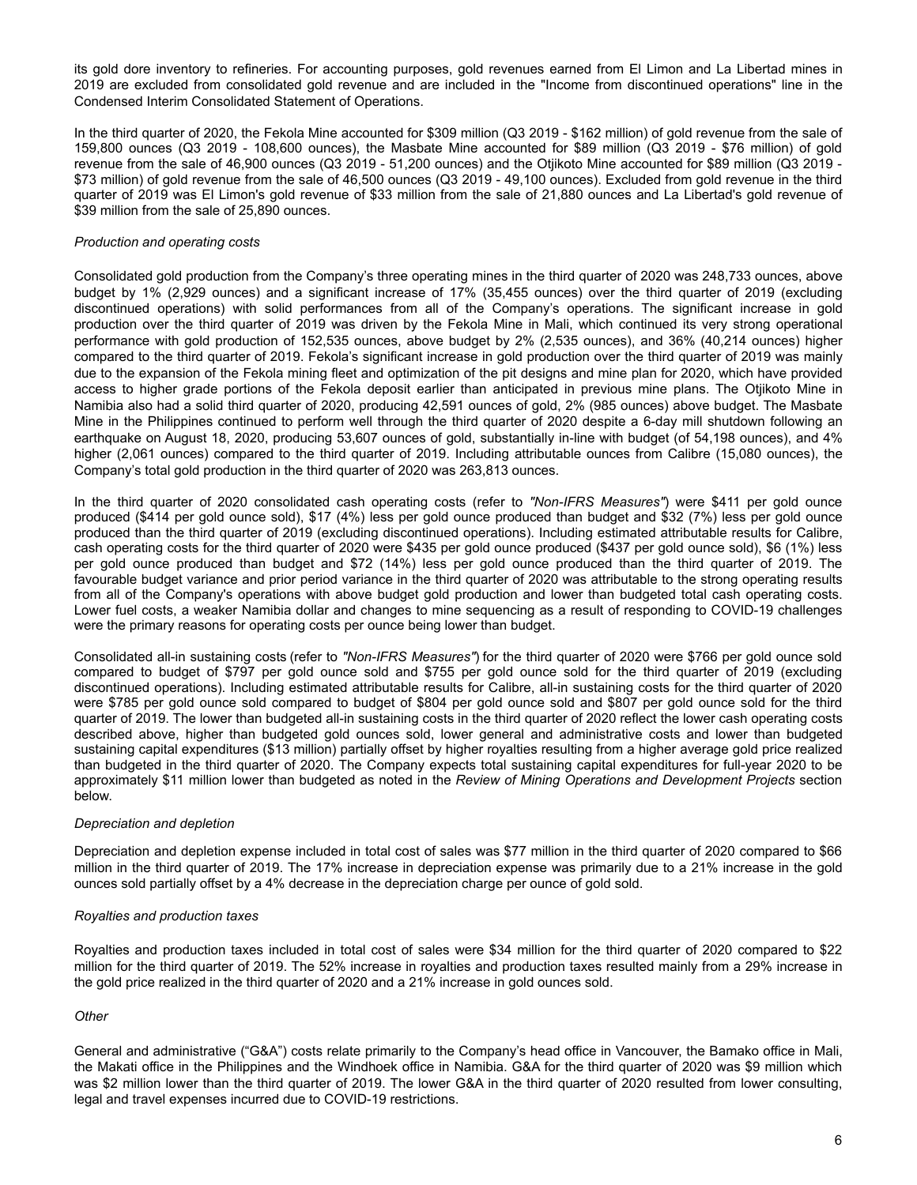its gold dore inventory to refineries. For accounting purposes, gold revenues earned from El Limon and La Libertad mines in 2019 are excluded from consolidated gold revenue and are included in the "Income from discontinued operations" line in the Condensed Interim Consolidated Statement of Operations.

In the third quarter of 2020, the Fekola Mine accounted for \$309 million (Q3 2019 - \$162 million) of gold revenue from the sale of 159,800 ounces (Q3 2019 - 108,600 ounces), the Masbate Mine accounted for \$89 million (Q3 2019 - \$76 million) of gold revenue from the sale of 46,900 ounces (Q3 2019 - 51,200 ounces) and the Otjikoto Mine accounted for \$89 million (Q3 2019 - \$73 million) of gold revenue from the sale of 46,500 ounces (Q3 2019 - 49,100 ounces). Excluded from gold revenue in the third quarter of 2019 was El Limon's gold revenue of \$33 million from the sale of 21,880 ounces and La Libertad's gold revenue of \$39 million from the sale of 25,890 ounces.

## *Production and operating costs*

Consolidated gold production from the Company's three operating mines in the third quarter of 2020 was 248,733 ounces, above budget by 1% (2,929 ounces) and a significant increase of 17% (35,455 ounces) over the third quarter of 2019 (excluding discontinued operations) with solid performances from all of the Company's operations. The significant increase in gold production over the third quarter of 2019 was driven by the Fekola Mine in Mali, which continued its very strong operational performance with gold production of 152,535 ounces, above budget by 2% (2,535 ounces), and 36% (40,214 ounces) higher compared to the third quarter of 2019. Fekola's significant increase in gold production over the third quarter of 2019 was mainly due to the expansion of the Fekola mining fleet and optimization of the pit designs and mine plan for 2020, which have provided access to higher grade portions of the Fekola deposit earlier than anticipated in previous mine plans. The Otjikoto Mine in Namibia also had a solid third quarter of 2020, producing 42,591 ounces of gold, 2% (985 ounces) above budget. The Masbate Mine in the Philippines continued to perform well through the third quarter of 2020 despite a 6-day mill shutdown following an earthquake on August 18, 2020, producing 53,607 ounces of gold, substantially in-line with budget (of 54,198 ounces), and 4% higher (2,061 ounces) compared to the third quarter of 2019. Including attributable ounces from Calibre (15,080 ounces), the Company's total gold production in the third quarter of 2020 was 263,813 ounces.

In the third quarter of 2020 consolidated cash operating costs (refer to *"Non-IFRS Measures"*) were \$411 per gold ounce produced (\$414 per gold ounce sold), \$17 (4%) less per gold ounce produced than budget and \$32 (7%) less per gold ounce produced than the third quarter of 2019 (excluding discontinued operations). Including estimated attributable results for Calibre, cash operating costs for the third quarter of 2020 were \$435 per gold ounce produced (\$437 per gold ounce sold), \$6 (1%) less per gold ounce produced than budget and \$72 (14%) less per gold ounce produced than the third quarter of 2019. The favourable budget variance and prior period variance in the third quarter of 2020 was attributable to the strong operating results from all of the Company's operations with above budget gold production and lower than budgeted total cash operating costs. Lower fuel costs, a weaker Namibia dollar and changes to mine sequencing as a result of responding to COVID-19 challenges were the primary reasons for operating costs per ounce being lower than budget.

Consolidated all-in sustaining costs (refer to *"Non-IFRS Measures"*) for the third quarter of 2020 were \$766 per gold ounce sold compared to budget of \$797 per gold ounce sold and \$755 per gold ounce sold for the third quarter of 2019 (excluding discontinued operations). Including estimated attributable results for Calibre, all-in sustaining costs for the third quarter of 2020 were \$785 per gold ounce sold compared to budget of \$804 per gold ounce sold and \$807 per gold ounce sold for the third quarter of 2019. The lower than budgeted all-in sustaining costs in the third quarter of 2020 reflect the lower cash operating costs described above, higher than budgeted gold ounces sold, lower general and administrative costs and lower than budgeted sustaining capital expenditures (\$13 million) partially offset by higher royalties resulting from a higher average gold price realized than budgeted in the third quarter of 2020. The Company expects total sustaining capital expenditures for full-year 2020 to be approximately \$11 million lower than budgeted as noted in the *Review of Mining Operations and Development Projects* section below.

#### *Depreciation and depletion*

Depreciation and depletion expense included in total cost of sales was \$77 million in the third quarter of 2020 compared to \$66 million in the third quarter of 2019. The 17% increase in depreciation expense was primarily due to a 21% increase in the gold ounces sold partially offset by a 4% decrease in the depreciation charge per ounce of gold sold.

#### *Royalties and production taxes*

Royalties and production taxes included in total cost of sales were \$34 million for the third quarter of 2020 compared to \$22 million for the third quarter of 2019. The 52% increase in royalties and production taxes resulted mainly from a 29% increase in the gold price realized in the third quarter of 2020 and a 21% increase in gold ounces sold.

## *Other*

General and administrative ("G&A") costs relate primarily to the Company's head office in Vancouver, the Bamako office in Mali, the Makati office in the Philippines and the Windhoek office in Namibia. G&A for the third quarter of 2020 was \$9 million which was \$2 million lower than the third quarter of 2019. The lower G&A in the third quarter of 2020 resulted from lower consulting, legal and travel expenses incurred due to COVID-19 restrictions.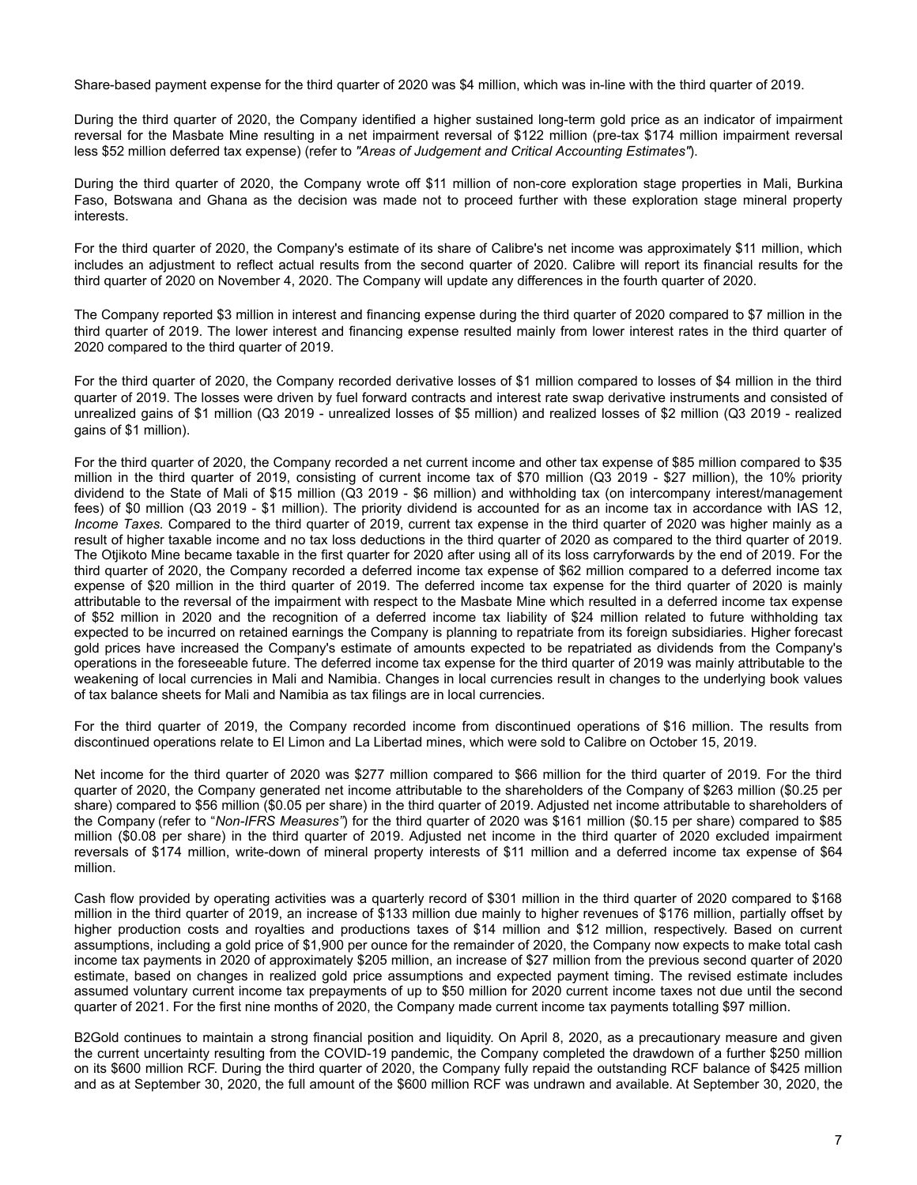Share-based payment expense for the third quarter of 2020 was \$4 million, which was in-line with the third quarter of 2019.

During the third quarter of 2020, the Company identified a higher sustained long-term gold price as an indicator of impairment reversal for the Masbate Mine resulting in a net impairment reversal of \$122 million (pre-tax \$174 million impairment reversal less \$52 million deferred tax expense) (refer to *"Areas of Judgement and Critical Accounting Estimates"*).

During the third quarter of 2020, the Company wrote off \$11 million of non-core exploration stage properties in Mali, Burkina Faso, Botswana and Ghana as the decision was made not to proceed further with these exploration stage mineral property interests.

For the third quarter of 2020, the Company's estimate of its share of Calibre's net income was approximately \$11 million, which includes an adjustment to reflect actual results from the second quarter of 2020. Calibre will report its financial results for the third quarter of 2020 on November 4, 2020. The Company will update any differences in the fourth quarter of 2020.

The Company reported \$3 million in interest and financing expense during the third quarter of 2020 compared to \$7 million in the third quarter of 2019. The lower interest and financing expense resulted mainly from lower interest rates in the third quarter of 2020 compared to the third quarter of 2019.

For the third quarter of 2020, the Company recorded derivative losses of \$1 million compared to losses of \$4 million in the third quarter of 2019. The losses were driven by fuel forward contracts and interest rate swap derivative instruments and consisted of unrealized gains of \$1 million (Q3 2019 - unrealized losses of \$5 million) and realized losses of \$2 million (Q3 2019 - realized gains of \$1 million).

For the third quarter of 2020, the Company recorded a net current income and other tax expense of \$85 million compared to \$35 million in the third quarter of 2019, consisting of current income tax of \$70 million (Q3 2019 - \$27 million), the 10% priority dividend to the State of Mali of \$15 million (Q3 2019 - \$6 million) and withholding tax (on intercompany interest/management fees) of \$0 million (Q3 2019 - \$1 million). The priority dividend is accounted for as an income tax in accordance with IAS 12, *Income Taxes.* Compared to the third quarter of 2019, current tax expense in the third quarter of 2020 was higher mainly as a result of higher taxable income and no tax loss deductions in the third quarter of 2020 as compared to the third quarter of 2019. The Otjikoto Mine became taxable in the first quarter for 2020 after using all of its loss carryforwards by the end of 2019. For the third quarter of 2020, the Company recorded a deferred income tax expense of \$62 million compared to a deferred income tax expense of \$20 million in the third quarter of 2019. The deferred income tax expense for the third quarter of 2020 is mainly attributable to the reversal of the impairment with respect to the Masbate Mine which resulted in a deferred income tax expense of \$52 million in 2020 and the recognition of a deferred income tax liability of \$24 million related to future withholding tax expected to be incurred on retained earnings the Company is planning to repatriate from its foreign subsidiaries. Higher forecast gold prices have increased the Company's estimate of amounts expected to be repatriated as dividends from the Company's operations in the foreseeable future. The deferred income tax expense for the third quarter of 2019 was mainly attributable to the weakening of local currencies in Mali and Namibia. Changes in local currencies result in changes to the underlying book values of tax balance sheets for Mali and Namibia as tax filings are in local currencies.

For the third quarter of 2019, the Company recorded income from discontinued operations of \$16 million. The results from discontinued operations relate to El Limon and La Libertad mines, which were sold to Calibre on October 15, 2019.

Net income for the third quarter of 2020 was \$277 million compared to \$66 million for the third quarter of 2019. For the third quarter of 2020, the Company generated net income attributable to the shareholders of the Company of \$263 million (\$0.25 per share) compared to \$56 million (\$0.05 per share) in the third quarter of 2019. Adjusted net income attributable to shareholders of the Company (refer to "*Non-IFRS Measures"*) for the third quarter of 2020 was \$161 million (\$0.15 per share) compared to \$85 million (\$0.08 per share) in the third quarter of 2019. Adjusted net income in the third quarter of 2020 excluded impairment reversals of \$174 million, write-down of mineral property interests of \$11 million and a deferred income tax expense of \$64 million.

Cash flow provided by operating activities was a quarterly record of \$301 million in the third quarter of 2020 compared to \$168 million in the third quarter of 2019, an increase of \$133 million due mainly to higher revenues of \$176 million, partially offset by higher production costs and royalties and productions taxes of \$14 million and \$12 million, respectively. Based on current assumptions, including a gold price of \$1,900 per ounce for the remainder of 2020, the Company now expects to make total cash income tax payments in 2020 of approximately \$205 million, an increase of \$27 million from the previous second quarter of 2020 estimate, based on changes in realized gold price assumptions and expected payment timing. The revised estimate includes assumed voluntary current income tax prepayments of up to \$50 million for 2020 current income taxes not due until the second quarter of 2021. For the first nine months of 2020, the Company made current income tax payments totalling \$97 million.

B2Gold continues to maintain a strong financial position and liquidity. On April 8, 2020, as a precautionary measure and given the current uncertainty resulting from the COVID-19 pandemic, the Company completed the drawdown of a further \$250 million on its \$600 million RCF. During the third quarter of 2020, the Company fully repaid the outstanding RCF balance of \$425 million and as at September 30, 2020, the full amount of the \$600 million RCF was undrawn and available. At September 30, 2020, the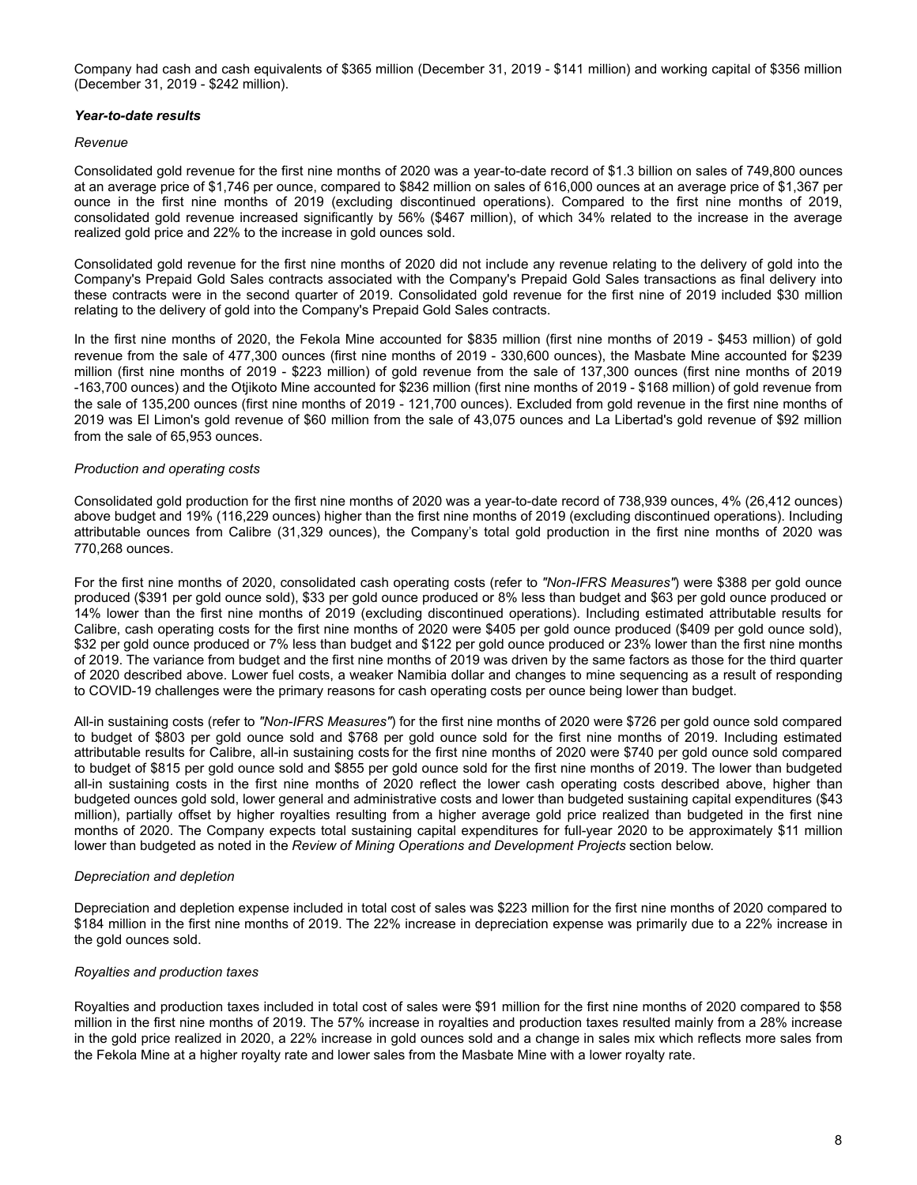Company had cash and cash equivalents of \$365 million (December 31, 2019 - \$141 million) and working capital of \$356 million (December 31, 2019 - \$242 million).

## *Year-to-date results*

## *Revenue*

Consolidated gold revenue for the first nine months of 2020 was a year-to-date record of \$1.3 billion on sales of 749,800 ounces at an average price of \$1,746 per ounce, compared to \$842 million on sales of 616,000 ounces at an average price of \$1,367 per ounce in the first nine months of 2019 (excluding discontinued operations). Compared to the first nine months of 2019, consolidated gold revenue increased significantly by 56% (\$467 million), of which 34% related to the increase in the average realized gold price and 22% to the increase in gold ounces sold.

Consolidated gold revenue for the first nine months of 2020 did not include any revenue relating to the delivery of gold into the Company's Prepaid Gold Sales contracts associated with the Company's Prepaid Gold Sales transactions as final delivery into these contracts were in the second quarter of 2019. Consolidated gold revenue for the first nine of 2019 included \$30 million relating to the delivery of gold into the Company's Prepaid Gold Sales contracts.

In the first nine months of 2020, the Fekola Mine accounted for \$835 million (first nine months of 2019 - \$453 million) of gold revenue from the sale of 477,300 ounces (first nine months of 2019 - 330,600 ounces), the Masbate Mine accounted for \$239 million (first nine months of 2019 - \$223 million) of gold revenue from the sale of 137,300 ounces (first nine months of 2019 -163,700 ounces) and the Otjikoto Mine accounted for \$236 million (first nine months of 2019 - \$168 million) of gold revenue from the sale of 135,200 ounces (first nine months of 2019 - 121,700 ounces). Excluded from gold revenue in the first nine months of 2019 was El Limon's gold revenue of \$60 million from the sale of 43,075 ounces and La Libertad's gold revenue of \$92 million from the sale of 65,953 ounces.

## *Production and operating costs*

Consolidated gold production for the first nine months of 2020 was a year-to-date record of 738,939 ounces, 4% (26,412 ounces) above budget and 19% (116,229 ounces) higher than the first nine months of 2019 (excluding discontinued operations). Including attributable ounces from Calibre (31,329 ounces), the Company's total gold production in the first nine months of 2020 was 770,268 ounces.

For the first nine months of 2020, consolidated cash operating costs (refer to *"Non-IFRS Measures"*) were \$388 per gold ounce produced (\$391 per gold ounce sold), \$33 per gold ounce produced or 8% less than budget and \$63 per gold ounce produced or 14% lower than the first nine months of 2019 (excluding discontinued operations). Including estimated attributable results for Calibre, cash operating costs for the first nine months of 2020 were \$405 per gold ounce produced (\$409 per gold ounce sold), \$32 per gold ounce produced or 7% less than budget and \$122 per gold ounce produced or 23% lower than the first nine months of 2019. The variance from budget and the first nine months of 2019 was driven by the same factors as those for the third quarter of 2020 described above. Lower fuel costs, a weaker Namibia dollar and changes to mine sequencing as a result of responding to COVID-19 challenges were the primary reasons for cash operating costs per ounce being lower than budget.

All-in sustaining costs (refer to *"Non-IFRS Measures"*) for the first nine months of 2020 were \$726 per gold ounce sold compared to budget of \$803 per gold ounce sold and \$768 per gold ounce sold for the first nine months of 2019. Including estimated attributable results for Calibre, all-in sustaining costs for the first nine months of 2020 were \$740 per gold ounce sold compared to budget of \$815 per gold ounce sold and \$855 per gold ounce sold for the first nine months of 2019. The lower than budgeted all-in sustaining costs in the first nine months of 2020 reflect the lower cash operating costs described above, higher than budgeted ounces gold sold, lower general and administrative costs and lower than budgeted sustaining capital expenditures (\$43 million), partially offset by higher royalties resulting from a higher average gold price realized than budgeted in the first nine months of 2020. The Company expects total sustaining capital expenditures for full-year 2020 to be approximately \$11 million lower than budgeted as noted in the *Review of Mining Operations and Development Projects* section below.

## *Depreciation and depletion*

Depreciation and depletion expense included in total cost of sales was \$223 million for the first nine months of 2020 compared to \$184 million in the first nine months of 2019. The 22% increase in depreciation expense was primarily due to a 22% increase in the gold ounces sold.

## *Royalties and production taxes*

Royalties and production taxes included in total cost of sales were \$91 million for the first nine months of 2020 compared to \$58 million in the first nine months of 2019. The 57% increase in royalties and production taxes resulted mainly from a 28% increase in the gold price realized in 2020, a 22% increase in gold ounces sold and a change in sales mix which reflects more sales from the Fekola Mine at a higher royalty rate and lower sales from the Masbate Mine with a lower royalty rate.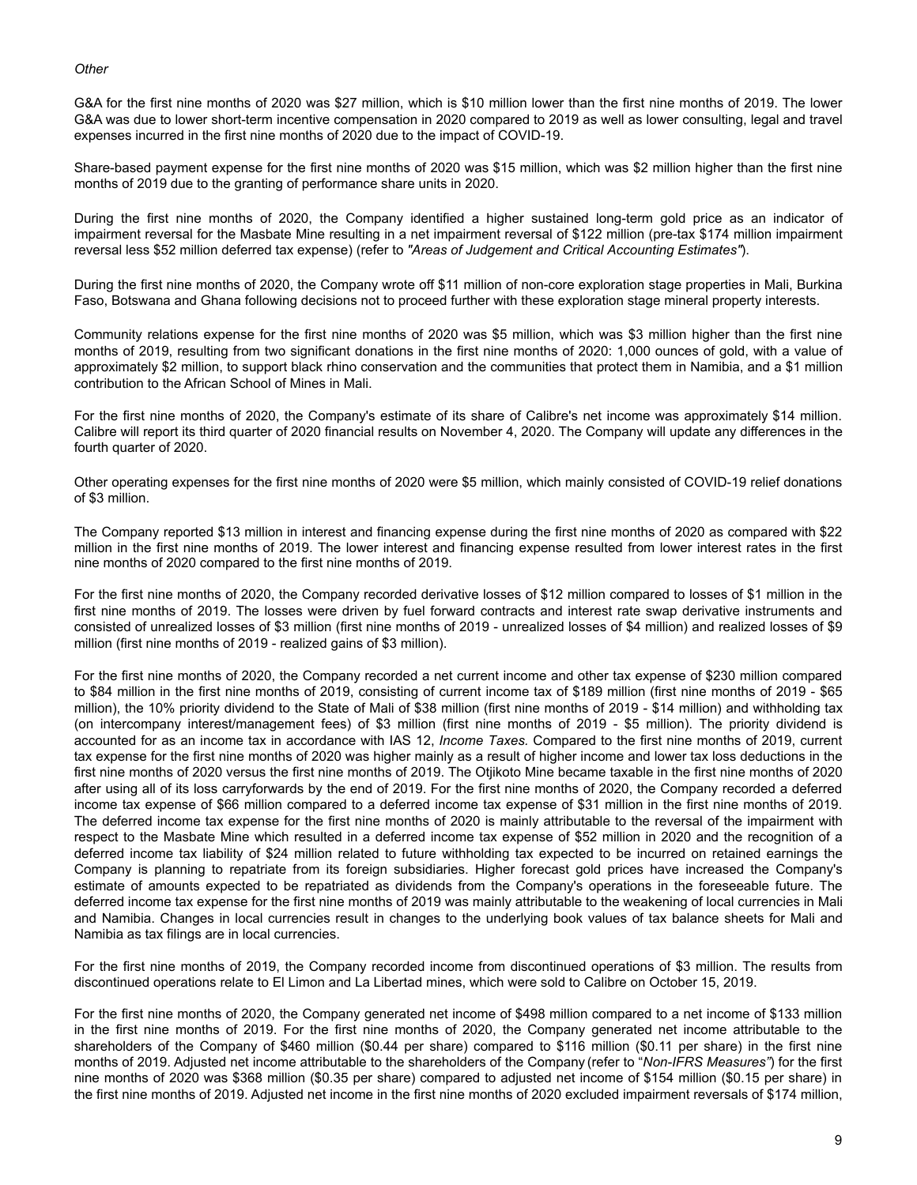#### *Other*

G&A for the first nine months of 2020 was \$27 million, which is \$10 million lower than the first nine months of 2019. The lower G&A was due to lower short-term incentive compensation in 2020 compared to 2019 as well as lower consulting, legal and travel expenses incurred in the first nine months of 2020 due to the impact of COVID-19.

Share-based payment expense for the first nine months of 2020 was \$15 million, which was \$2 million higher than the first nine months of 2019 due to the granting of performance share units in 2020.

During the first nine months of 2020, the Company identified a higher sustained long-term gold price as an indicator of impairment reversal for the Masbate Mine resulting in a net impairment reversal of \$122 million (pre-tax \$174 million impairment reversal less \$52 million deferred tax expense) (refer to *"Areas of Judgement and Critical Accounting Estimates"*).

During the first nine months of 2020, the Company wrote off \$11 million of non-core exploration stage properties in Mali, Burkina Faso, Botswana and Ghana following decisions not to proceed further with these exploration stage mineral property interests.

Community relations expense for the first nine months of 2020 was \$5 million, which was \$3 million higher than the first nine months of 2019, resulting from two significant donations in the first nine months of 2020: 1,000 ounces of gold, with a value of approximately \$2 million, to support black rhino conservation and the communities that protect them in Namibia, and a \$1 million contribution to the African School of Mines in Mali.

For the first nine months of 2020, the Company's estimate of its share of Calibre's net income was approximately \$14 million. Calibre will report its third quarter of 2020 financial results on November 4, 2020. The Company will update any differences in the fourth quarter of 2020.

Other operating expenses for the first nine months of 2020 were \$5 million, which mainly consisted of COVID-19 relief donations of \$3 million.

The Company reported \$13 million in interest and financing expense during the first nine months of 2020 as compared with \$22 million in the first nine months of 2019. The lower interest and financing expense resulted from lower interest rates in the first nine months of 2020 compared to the first nine months of 2019.

For the first nine months of 2020, the Company recorded derivative losses of \$12 million compared to losses of \$1 million in the first nine months of 2019. The losses were driven by fuel forward contracts and interest rate swap derivative instruments and consisted of unrealized losses of \$3 million (first nine months of 2019 - unrealized losses of \$4 million) and realized losses of \$9 million (first nine months of 2019 - realized gains of \$3 million).

For the first nine months of 2020, the Company recorded a net current income and other tax expense of \$230 million compared to \$84 million in the first nine months of 2019, consisting of current income tax of \$189 million (first nine months of 2019 - \$65 million), the 10% priority dividend to the State of Mali of \$38 million (first nine months of 2019 - \$14 million) and withholding tax (on intercompany interest/management fees) of \$3 million (first nine months of 2019 - \$5 million). The priority dividend is accounted for as an income tax in accordance with IAS 12, *Income Taxes.* Compared to the first nine months of 2019, current tax expense for the first nine months of 2020 was higher mainly as a result of higher income and lower tax loss deductions in the first nine months of 2020 versus the first nine months of 2019. The Otjikoto Mine became taxable in the first nine months of 2020 after using all of its loss carryforwards by the end of 2019. For the first nine months of 2020, the Company recorded a deferred income tax expense of \$66 million compared to a deferred income tax expense of \$31 million in the first nine months of 2019. The deferred income tax expense for the first nine months of 2020 is mainly attributable to the reversal of the impairment with respect to the Masbate Mine which resulted in a deferred income tax expense of \$52 million in 2020 and the recognition of a deferred income tax liability of \$24 million related to future withholding tax expected to be incurred on retained earnings the Company is planning to repatriate from its foreign subsidiaries. Higher forecast gold prices have increased the Company's estimate of amounts expected to be repatriated as dividends from the Company's operations in the foreseeable future. The deferred income tax expense for the first nine months of 2019 was mainly attributable to the weakening of local currencies in Mali and Namibia. Changes in local currencies result in changes to the underlying book values of tax balance sheets for Mali and Namibia as tax filings are in local currencies.

For the first nine months of 2019, the Company recorded income from discontinued operations of \$3 million. The results from discontinued operations relate to El Limon and La Libertad mines, which were sold to Calibre on October 15, 2019.

For the first nine months of 2020, the Company generated net income of \$498 million compared to a net income of \$133 million in the first nine months of 2019. For the first nine months of 2020, the Company generated net income attributable to the shareholders of the Company of \$460 million (\$0.44 per share) compared to \$116 million (\$0.11 per share) in the first nine months of 2019. Adjusted net income attributable to the shareholders of the Company (refer to "*Non-IFRS Measures"*) for the first nine months of 2020 was \$368 million (\$0.35 per share) compared to adjusted net income of \$154 million (\$0.15 per share) in the first nine months of 2019. Adjusted net income in the first nine months of 2020 excluded impairment reversals of \$174 million,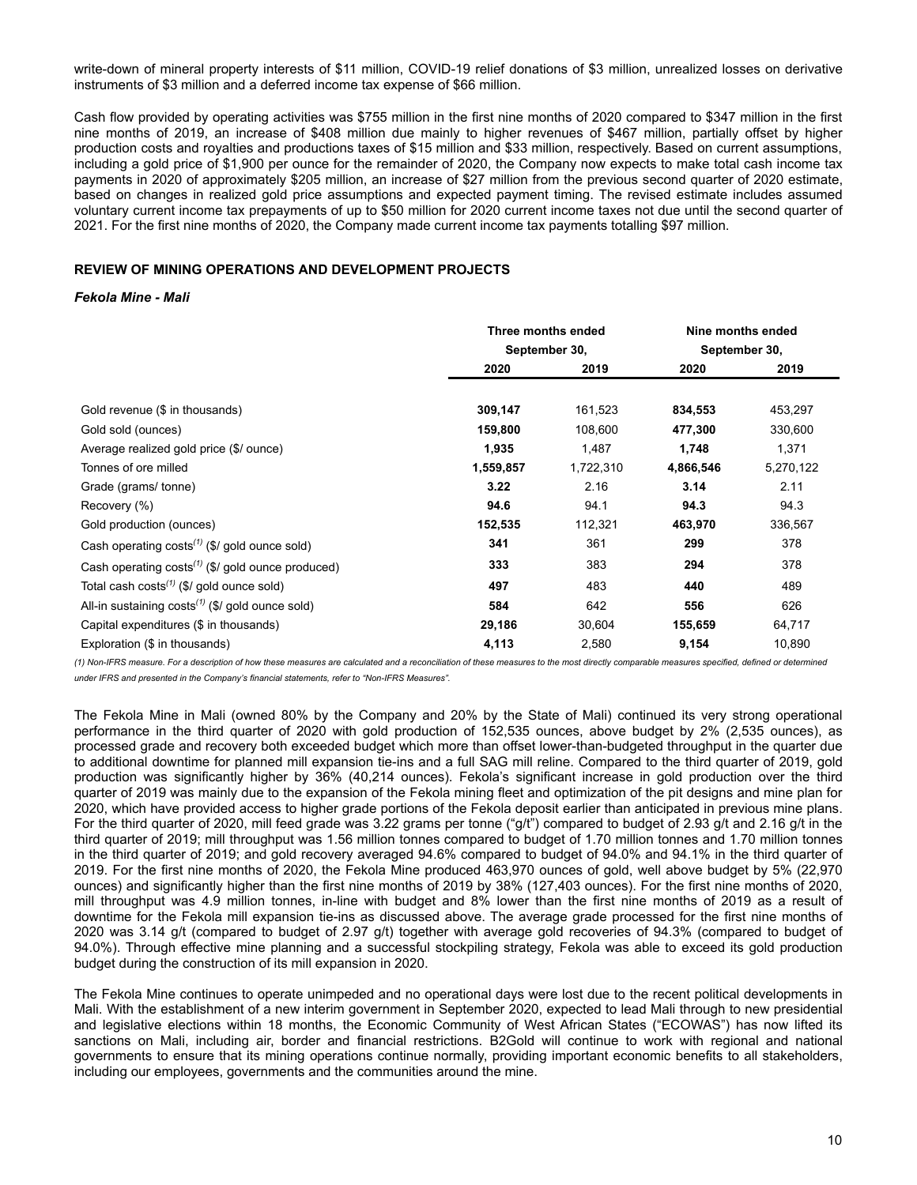<span id="page-9-0"></span>write-down of mineral property interests of \$11 million, COVID-19 relief donations of \$3 million, unrealized losses on derivative instruments of \$3 million and a deferred income tax expense of \$66 million.

Cash flow provided by operating activities was \$755 million in the first nine months of 2020 compared to \$347 million in the first nine months of 2019, an increase of \$408 million due mainly to higher revenues of \$467 million, partially offset by higher production costs and royalties and productions taxes of \$15 million and \$33 million, respectively. Based on current assumptions, including a gold price of \$1,900 per ounce for the remainder of 2020, the Company now expects to make total cash income tax payments in 2020 of approximately \$205 million, an increase of \$27 million from the previous second quarter of 2020 estimate, based on changes in realized gold price assumptions and expected payment timing. The revised estimate includes assumed voluntary current income tax prepayments of up to \$50 million for 2020 current income taxes not due until the second quarter of 2021. For the first nine months of 2020, the Company made current income tax payments totalling \$97 million.

## **REVIEW OF MINING OPERATIONS AND DEVELOPMENT PROJECTS**

#### *Fekola Mine - Mali*

|                                                                    |               | Three months ended |               | Nine months ended |  |
|--------------------------------------------------------------------|---------------|--------------------|---------------|-------------------|--|
|                                                                    | September 30, |                    | September 30, |                   |  |
|                                                                    | 2020          | 2019               | 2020          | 2019              |  |
|                                                                    |               |                    |               |                   |  |
| Gold revenue (\$ in thousands)                                     | 309,147       | 161,523            | 834,553       | 453,297           |  |
| Gold sold (ounces)                                                 | 159,800       | 108,600            | 477,300       | 330,600           |  |
| Average realized gold price (\$/ ounce)                            | 1,935         | 1,487              | 1,748         | 1,371             |  |
| Tonnes of ore milled                                               | 1,559,857     | 1,722,310          | 4,866,546     | 5,270,122         |  |
| Grade (grams/tonne)                                                | 3.22          | 2.16               | 3.14          | 2.11              |  |
| Recovery (%)                                                       | 94.6          | 94.1               | 94.3          | 94.3              |  |
| Gold production (ounces)                                           | 152,535       | 112,321            | 463,970       | 336,567           |  |
| Cash operating $costs^{(1)}$ (\$/ gold ounce sold)                 | 341           | 361                | 299           | 378               |  |
| Cash operating $costs^{(1)}$ (\$/ gold ounce produced)             | 333           | 383                | 294           | 378               |  |
| Total cash costs <sup><math>(1)</math></sup> (\$/ gold ounce sold) | 497           | 483                | 440           | 489               |  |
| All-in sustaining $costs^{(1)}$ (\$/ gold ounce sold)              | 584           | 642                | 556           | 626               |  |
| Capital expenditures (\$ in thousands)                             | 29,186        | 30,604             | 155,659       | 64,717            |  |
| Exploration (\$ in thousands)                                      | 4,113         | 2,580              | 9,154         | 10,890            |  |

*(1) Non-IFRS measure. For a description of how these measures are calculated and a reconciliation of these measures to the most directly comparable measures specified, defined or determined under IFRS and presented in the Company's financial statements, refer to "Non-IFRS Measures".*

The Fekola Mine in Mali (owned 80% by the Company and 20% by the State of Mali) continued its very strong operational performance in the third quarter of 2020 with gold production of 152,535 ounces, above budget by 2% (2,535 ounces), as processed grade and recovery both exceeded budget which more than offset lower-than-budgeted throughput in the quarter due to additional downtime for planned mill expansion tie-ins and a full SAG mill reline. Compared to the third quarter of 2019, gold production was significantly higher by 36% (40,214 ounces). Fekola's significant increase in gold production over the third quarter of 2019 was mainly due to the expansion of the Fekola mining fleet and optimization of the pit designs and mine plan for 2020, which have provided access to higher grade portions of the Fekola deposit earlier than anticipated in previous mine plans. For the third quarter of 2020, mill feed grade was 3.22 grams per tonne ("g/t") compared to budget of 2.93 g/t and 2.16 g/t in the third quarter of 2019; mill throughput was 1.56 million tonnes compared to budget of 1.70 million tonnes and 1.70 million tonnes in the third quarter of 2019; and gold recovery averaged 94.6% compared to budget of 94.0% and 94.1% in the third quarter of 2019. For the first nine months of 2020, the Fekola Mine produced 463,970 ounces of gold, well above budget by 5% (22,970 ounces) and significantly higher than the first nine months of 2019 by 38% (127,403 ounces). For the first nine months of 2020, mill throughput was 4.9 million tonnes, in-line with budget and 8% lower than the first nine months of 2019 as a result of downtime for the Fekola mill expansion tie-ins as discussed above. The average grade processed for the first nine months of 2020 was 3.14 g/t (compared to budget of 2.97 g/t) together with average gold recoveries of 94.3% (compared to budget of 94.0%). Through effective mine planning and a successful stockpiling strategy, Fekola was able to exceed its gold production budget during the construction of its mill expansion in 2020.

The Fekola Mine continues to operate unimpeded and no operational days were lost due to the recent political developments in Mali. With the establishment of a new interim government in September 2020, expected to lead Mali through to new presidential and legislative elections within 18 months, the Economic Community of West African States ("ECOWAS") has now lifted its sanctions on Mali, including air, border and financial restrictions. B2Gold will continue to work with regional and national governments to ensure that its mining operations continue normally, providing important economic benefits to all stakeholders, including our employees, governments and the communities around the mine.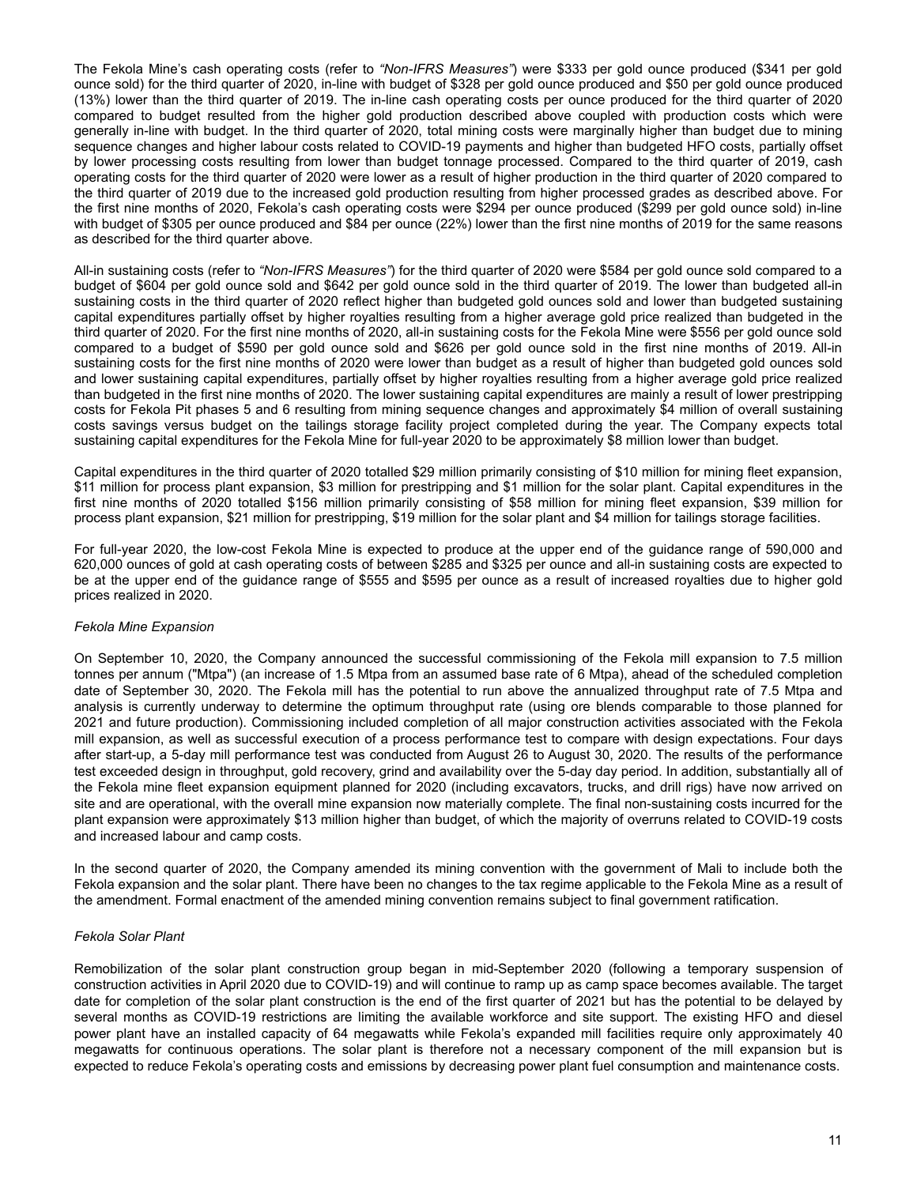The Fekola Mine's cash operating costs (refer to *"Non-IFRS Measures"*) were \$333 per gold ounce produced (\$341 per gold ounce sold) for the third quarter of 2020, in-line with budget of \$328 per gold ounce produced and \$50 per gold ounce produced (13%) lower than the third quarter of 2019. The in-line cash operating costs per ounce produced for the third quarter of 2020 compared to budget resulted from the higher gold production described above coupled with production costs which were generally in-line with budget. In the third quarter of 2020, total mining costs were marginally higher than budget due to mining sequence changes and higher labour costs related to COVID-19 payments and higher than budgeted HFO costs, partially offset by lower processing costs resulting from lower than budget tonnage processed. Compared to the third quarter of 2019, cash operating costs for the third quarter of 2020 were lower as a result of higher production in the third quarter of 2020 compared to the third quarter of 2019 due to the increased gold production resulting from higher processed grades as described above. For the first nine months of 2020, Fekola's cash operating costs were \$294 per ounce produced (\$299 per gold ounce sold) in-line with budget of \$305 per ounce produced and \$84 per ounce (22%) lower than the first nine months of 2019 for the same reasons as described for the third quarter above.

All-in sustaining costs (refer to *"Non-IFRS Measures"*) for the third quarter of 2020 were \$584 per gold ounce sold compared to a budget of \$604 per gold ounce sold and \$642 per gold ounce sold in the third quarter of 2019. The lower than budgeted all-in sustaining costs in the third quarter of 2020 reflect higher than budgeted gold ounces sold and lower than budgeted sustaining capital expenditures partially offset by higher royalties resulting from a higher average gold price realized than budgeted in the third quarter of 2020. For the first nine months of 2020, all-in sustaining costs for the Fekola Mine were \$556 per gold ounce sold compared to a budget of \$590 per gold ounce sold and \$626 per gold ounce sold in the first nine months of 2019. All-in sustaining costs for the first nine months of 2020 were lower than budget as a result of higher than budgeted gold ounces sold and lower sustaining capital expenditures, partially offset by higher royalties resulting from a higher average gold price realized than budgeted in the first nine months of 2020. The lower sustaining capital expenditures are mainly a result of lower prestripping costs for Fekola Pit phases 5 and 6 resulting from mining sequence changes and approximately \$4 million of overall sustaining costs savings versus budget on the tailings storage facility project completed during the year. The Company expects total sustaining capital expenditures for the Fekola Mine for full-year 2020 to be approximately \$8 million lower than budget.

Capital expenditures in the third quarter of 2020 totalled \$29 million primarily consisting of \$10 million for mining fleet expansion, \$11 million for process plant expansion, \$3 million for prestripping and \$1 million for the solar plant. Capital expenditures in the first nine months of 2020 totalled \$156 million primarily consisting of \$58 million for mining fleet expansion, \$39 million for process plant expansion, \$21 million for prestripping, \$19 million for the solar plant and \$4 million for tailings storage facilities.

For full-year 2020, the low-cost Fekola Mine is expected to produce at the upper end of the guidance range of 590,000 and 620,000 ounces of gold at cash operating costs of between \$285 and \$325 per ounce and all-in sustaining costs are expected to be at the upper end of the guidance range of \$555 and \$595 per ounce as a result of increased royalties due to higher gold prices realized in 2020.

## *Fekola Mine Expansion*

On September 10, 2020, the Company announced the successful commissioning of the Fekola mill expansion to 7.5 million tonnes per annum ("Mtpa") (an increase of 1.5 Mtpa from an assumed base rate of 6 Mtpa), ahead of the scheduled completion date of September 30, 2020. The Fekola mill has the potential to run above the annualized throughput rate of 7.5 Mtpa and analysis is currently underway to determine the optimum throughput rate (using ore blends comparable to those planned for 2021 and future production). Commissioning included completion of all major construction activities associated with the Fekola mill expansion, as well as successful execution of a process performance test to compare with design expectations. Four days after start-up, a 5-day mill performance test was conducted from August 26 to August 30, 2020. The results of the performance test exceeded design in throughput, gold recovery, grind and availability over the 5-day day period. In addition, substantially all of the Fekola mine fleet expansion equipment planned for 2020 (including excavators, trucks, and drill rigs) have now arrived on site and are operational, with the overall mine expansion now materially complete. The final non-sustaining costs incurred for the plant expansion were approximately \$13 million higher than budget, of which the majority of overruns related to COVID-19 costs and increased labour and camp costs.

In the second quarter of 2020, the Company amended its mining convention with the government of Mali to include both the Fekola expansion and the solar plant. There have been no changes to the tax regime applicable to the Fekola Mine as a result of the amendment. Formal enactment of the amended mining convention remains subject to final government ratification.

## *Fekola Solar Plant*

Remobilization of the solar plant construction group began in mid-September 2020 (following a temporary suspension of construction activities in April 2020 due to COVID-19) and will continue to ramp up as camp space becomes available. The target date for completion of the solar plant construction is the end of the first quarter of 2021 but has the potential to be delayed by several months as COVID-19 restrictions are limiting the available workforce and site support. The existing HFO and diesel power plant have an installed capacity of 64 megawatts while Fekola's expanded mill facilities require only approximately 40 megawatts for continuous operations. The solar plant is therefore not a necessary component of the mill expansion but is expected to reduce Fekola's operating costs and emissions by decreasing power plant fuel consumption and maintenance costs.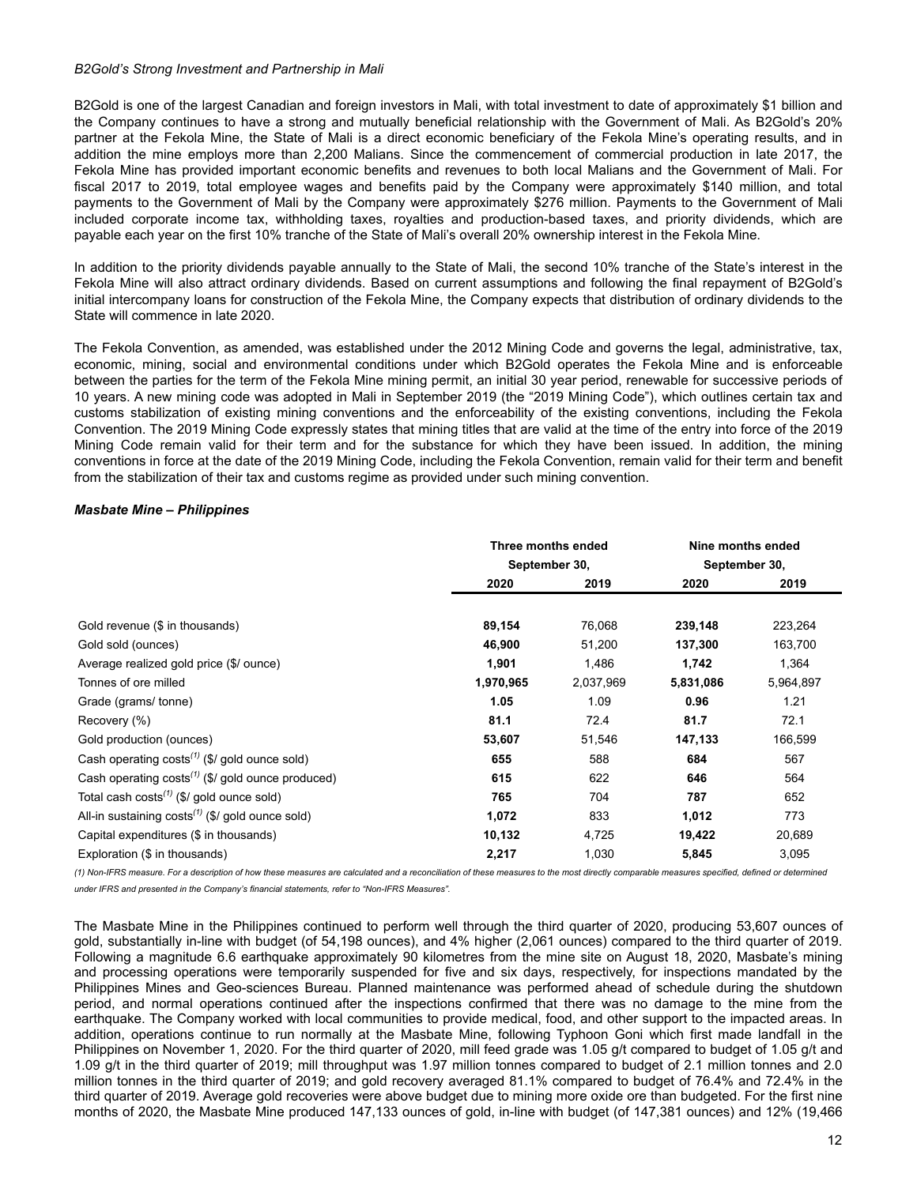#### *B2Gold's Strong Investment and Partnership in Mali*

B2Gold is one of the largest Canadian and foreign investors in Mali, with total investment to date of approximately \$1 billion and the Company continues to have a strong and mutually beneficial relationship with the Government of Mali. As B2Gold's 20% partner at the Fekola Mine, the State of Mali is a direct economic beneficiary of the Fekola Mine's operating results, and in addition the mine employs more than 2,200 Malians. Since the commencement of commercial production in late 2017, the Fekola Mine has provided important economic benefits and revenues to both local Malians and the Government of Mali. For fiscal 2017 to 2019, total employee wages and benefits paid by the Company were approximately \$140 million, and total payments to the Government of Mali by the Company were approximately \$276 million. Payments to the Government of Mali included corporate income tax, withholding taxes, royalties and production-based taxes, and priority dividends, which are payable each year on the first 10% tranche of the State of Mali's overall 20% ownership interest in the Fekola Mine.

In addition to the priority dividends payable annually to the State of Mali, the second 10% tranche of the State's interest in the Fekola Mine will also attract ordinary dividends. Based on current assumptions and following the final repayment of B2Gold's initial intercompany loans for construction of the Fekola Mine, the Company expects that distribution of ordinary dividends to the State will commence in late 2020.

The Fekola Convention, as amended, was established under the 2012 Mining Code and governs the legal, administrative, tax, economic, mining, social and environmental conditions under which B2Gold operates the Fekola Mine and is enforceable between the parties for the term of the Fekola Mine mining permit, an initial 30 year period, renewable for successive periods of 10 years. A new mining code was adopted in Mali in September 2019 (the "2019 Mining Code"), which outlines certain tax and customs stabilization of existing mining conventions and the enforceability of the existing conventions, including the Fekola Convention. The 2019 Mining Code expressly states that mining titles that are valid at the time of the entry into force of the 2019 Mining Code remain valid for their term and for the substance for which they have been issued. In addition, the mining conventions in force at the date of the 2019 Mining Code, including the Fekola Convention, remain valid for their term and benefit from the stabilization of their tax and customs regime as provided under such mining convention.

## *Masbate Mine – Philippines*

|                                                                    | Three months ended |           | Nine months ended |           |
|--------------------------------------------------------------------|--------------------|-----------|-------------------|-----------|
|                                                                    | September 30,      |           | September 30,     |           |
|                                                                    | 2020               | 2019      | 2020              | 2019      |
|                                                                    |                    |           |                   |           |
| Gold revenue (\$ in thousands)                                     | 89,154             | 76,068    | 239,148           | 223,264   |
| Gold sold (ounces)                                                 | 46,900             | 51,200    | 137,300           | 163,700   |
| Average realized gold price (\$/ ounce)                            | 1,901              | 1,486     | 1,742             | 1,364     |
| Tonnes of ore milled                                               | 1,970,965          | 2,037,969 | 5,831,086         | 5,964,897 |
| Grade (grams/tonne)                                                | 1.05               | 1.09      | 0.96              | 1.21      |
| Recovery (%)                                                       | 81.1               | 72.4      | 81.7              | 72.1      |
| Gold production (ounces)                                           | 53,607             | 51,546    | 147,133           | 166,599   |
| Cash operating $costs^{(1)}$ (\$/ gold ounce sold)                 | 655                | 588       | 684               | 567       |
| Cash operating $costs^{(1)}$ (\$/ gold ounce produced)             | 615                | 622       | 646               | 564       |
| Total cash costs <sup><math>(1)</math></sup> (\$/ gold ounce sold) | 765                | 704       | 787               | 652       |
| All-in sustaining $costs^{(1)}$ (\$/ gold ounce sold)              | 1,072              | 833       | 1,012             | 773       |
| Capital expenditures (\$ in thousands)                             | 10,132             | 4,725     | 19,422            | 20,689    |
| Exploration (\$ in thousands)                                      | 2,217              | 1,030     | 5,845             | 3,095     |

*(1) Non-IFRS measure. For a description of how these measures are calculated and a reconciliation of these measures to the most directly comparable measures specified, defined or determined under IFRS and presented in the Company's financial statements, refer to "Non-IFRS Measures".*

The Masbate Mine in the Philippines continued to perform well through the third quarter of 2020, producing 53,607 ounces of gold, substantially in-line with budget (of 54,198 ounces), and 4% higher (2,061 ounces) compared to the third quarter of 2019. Following a magnitude 6.6 earthquake approximately 90 kilometres from the mine site on August 18, 2020, Masbate's mining and processing operations were temporarily suspended for five and six days, respectively, for inspections mandated by the Philippines Mines and Geo-sciences Bureau. Planned maintenance was performed ahead of schedule during the shutdown period, and normal operations continued after the inspections confirmed that there was no damage to the mine from the earthquake. The Company worked with local communities to provide medical, food, and other support to the impacted areas. In addition, operations continue to run normally at the Masbate Mine, following Typhoon Goni which first made landfall in the Philippines on November 1, 2020. For the third quarter of 2020, mill feed grade was 1.05 g/t compared to budget of 1.05 g/t and 1.09 g/t in the third quarter of 2019; mill throughput was 1.97 million tonnes compared to budget of 2.1 million tonnes and 2.0 million tonnes in the third quarter of 2019; and gold recovery averaged 81.1% compared to budget of 76.4% and 72.4% in the third quarter of 2019. Average gold recoveries were above budget due to mining more oxide ore than budgeted. For the first nine months of 2020, the Masbate Mine produced 147,133 ounces of gold, in-line with budget (of 147,381 ounces) and 12% (19,466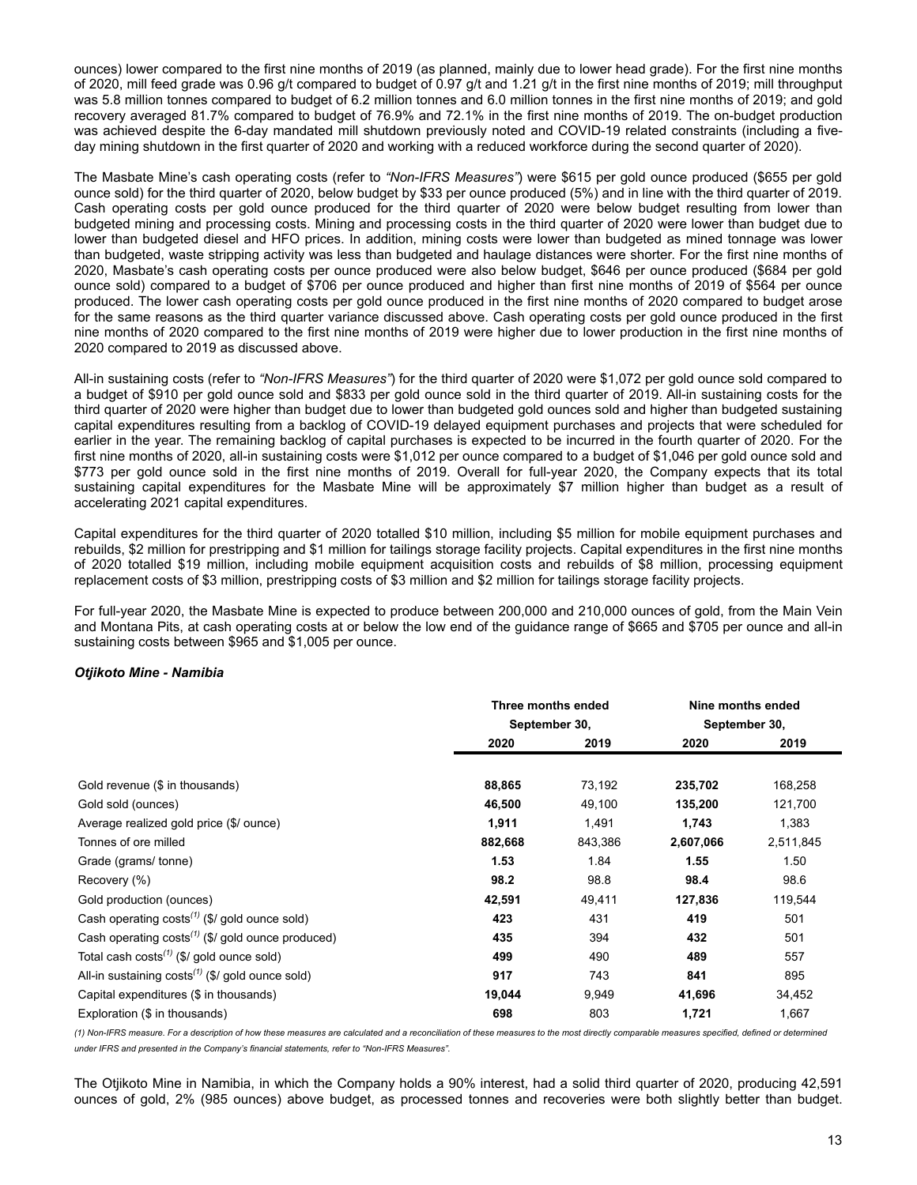ounces) lower compared to the first nine months of 2019 (as planned, mainly due to lower head grade). For the first nine months of 2020, mill feed grade was 0.96 g/t compared to budget of 0.97 g/t and 1.21 g/t in the first nine months of 2019; mill throughput was 5.8 million tonnes compared to budget of 6.2 million tonnes and 6.0 million tonnes in the first nine months of 2019; and gold recovery averaged 81.7% compared to budget of 76.9% and 72.1% in the first nine months of 2019. The on-budget production was achieved despite the 6-day mandated mill shutdown previously noted and COVID-19 related constraints (including a fiveday mining shutdown in the first quarter of 2020 and working with a reduced workforce during the second quarter of 2020).

The Masbate Mine's cash operating costs (refer to *"Non-IFRS Measures"*) were \$615 per gold ounce produced (\$655 per gold ounce sold) for the third quarter of 2020, below budget by \$33 per ounce produced (5%) and in line with the third quarter of 2019. Cash operating costs per gold ounce produced for the third quarter of 2020 were below budget resulting from lower than budgeted mining and processing costs. Mining and processing costs in the third quarter of 2020 were lower than budget due to lower than budgeted diesel and HFO prices. In addition, mining costs were lower than budgeted as mined tonnage was lower than budgeted, waste stripping activity was less than budgeted and haulage distances were shorter. For the first nine months of 2020, Masbate's cash operating costs per ounce produced were also below budget, \$646 per ounce produced (\$684 per gold ounce sold) compared to a budget of \$706 per ounce produced and higher than first nine months of 2019 of \$564 per ounce produced. The lower cash operating costs per gold ounce produced in the first nine months of 2020 compared to budget arose for the same reasons as the third quarter variance discussed above. Cash operating costs per gold ounce produced in the first nine months of 2020 compared to the first nine months of 2019 were higher due to lower production in the first nine months of 2020 compared to 2019 as discussed above.

All-in sustaining costs (refer to *"Non-IFRS Measures"*) for the third quarter of 2020 were \$1,072 per gold ounce sold compared to a budget of \$910 per gold ounce sold and \$833 per gold ounce sold in the third quarter of 2019. All-in sustaining costs for the third quarter of 2020 were higher than budget due to lower than budgeted gold ounces sold and higher than budgeted sustaining capital expenditures resulting from a backlog of COVID-19 delayed equipment purchases and projects that were scheduled for earlier in the year. The remaining backlog of capital purchases is expected to be incurred in the fourth quarter of 2020. For the first nine months of 2020, all-in sustaining costs were \$1,012 per ounce compared to a budget of \$1,046 per gold ounce sold and \$773 per gold ounce sold in the first nine months of 2019. Overall for full-year 2020, the Company expects that its total sustaining capital expenditures for the Masbate Mine will be approximately \$7 million higher than budget as a result of accelerating 2021 capital expenditures.

Capital expenditures for the third quarter of 2020 totalled \$10 million, including \$5 million for mobile equipment purchases and rebuilds, \$2 million for prestripping and \$1 million for tailings storage facility projects. Capital expenditures in the first nine months of 2020 totalled \$19 million, including mobile equipment acquisition costs and rebuilds of \$8 million, processing equipment replacement costs of \$3 million, prestripping costs of \$3 million and \$2 million for tailings storage facility projects.

For full-year 2020, the Masbate Mine is expected to produce between 200,000 and 210,000 ounces of gold, from the Main Vein and Montana Pits, at cash operating costs at or below the low end of the guidance range of \$665 and \$705 per ounce and all-in sustaining costs between \$965 and \$1,005 per ounce.

## *Otjikoto Mine - Namibia*

|                                                        | Three months ended |         | Nine months ended |           |
|--------------------------------------------------------|--------------------|---------|-------------------|-----------|
|                                                        | September 30,      |         | September 30,     |           |
|                                                        | 2020               | 2019    | 2020              | 2019      |
|                                                        |                    |         |                   |           |
| Gold revenue (\$ in thousands)                         | 88,865             | 73,192  | 235,702           | 168,258   |
| Gold sold (ounces)                                     | 46,500             | 49,100  | 135,200           | 121,700   |
| Average realized gold price (\$/ ounce)                | 1,911              | 1,491   | 1,743             | 1,383     |
| Tonnes of ore milled                                   | 882,668            | 843,386 | 2,607,066         | 2,511,845 |
| Grade (grams/ tonne)                                   | 1.53               | 1.84    | 1.55              | 1.50      |
| Recovery (%)                                           | 98.2               | 98.8    | 98.4              | 98.6      |
| Gold production (ounces)                               | 42,591             | 49,411  | 127,836           | 119,544   |
| Cash operating $costs^{(1)}$ (\$/ gold ounce sold)     | 423                | 431     | 419               | 501       |
| Cash operating $costs^{(1)}$ (\$/ gold ounce produced) | 435                | 394     | 432               | 501       |
| Total cash costs $(1)$ (\$/ gold ounce sold)           | 499                | 490     | 489               | 557       |
| All-in sustaining $costs^{(1)}$ (\$/ gold ounce sold)  | 917                | 743     | 841               | 895       |
| Capital expenditures (\$ in thousands)                 | 19,044             | 9,949   | 41,696            | 34,452    |
| Exploration (\$ in thousands)                          | 698                | 803     | 1,721             | 1,667     |

*(1) Non-IFRS measure. For a description of how these measures are calculated and a reconciliation of these measures to the most directly comparable measures specified, defined or determined under IFRS and presented in the Company's financial statements, refer to "Non-IFRS Measures".*

The Otjikoto Mine in Namibia, in which the Company holds a 90% interest, had a solid third quarter of 2020, producing 42,591 ounces of gold, 2% (985 ounces) above budget, as processed tonnes and recoveries were both slightly better than budget.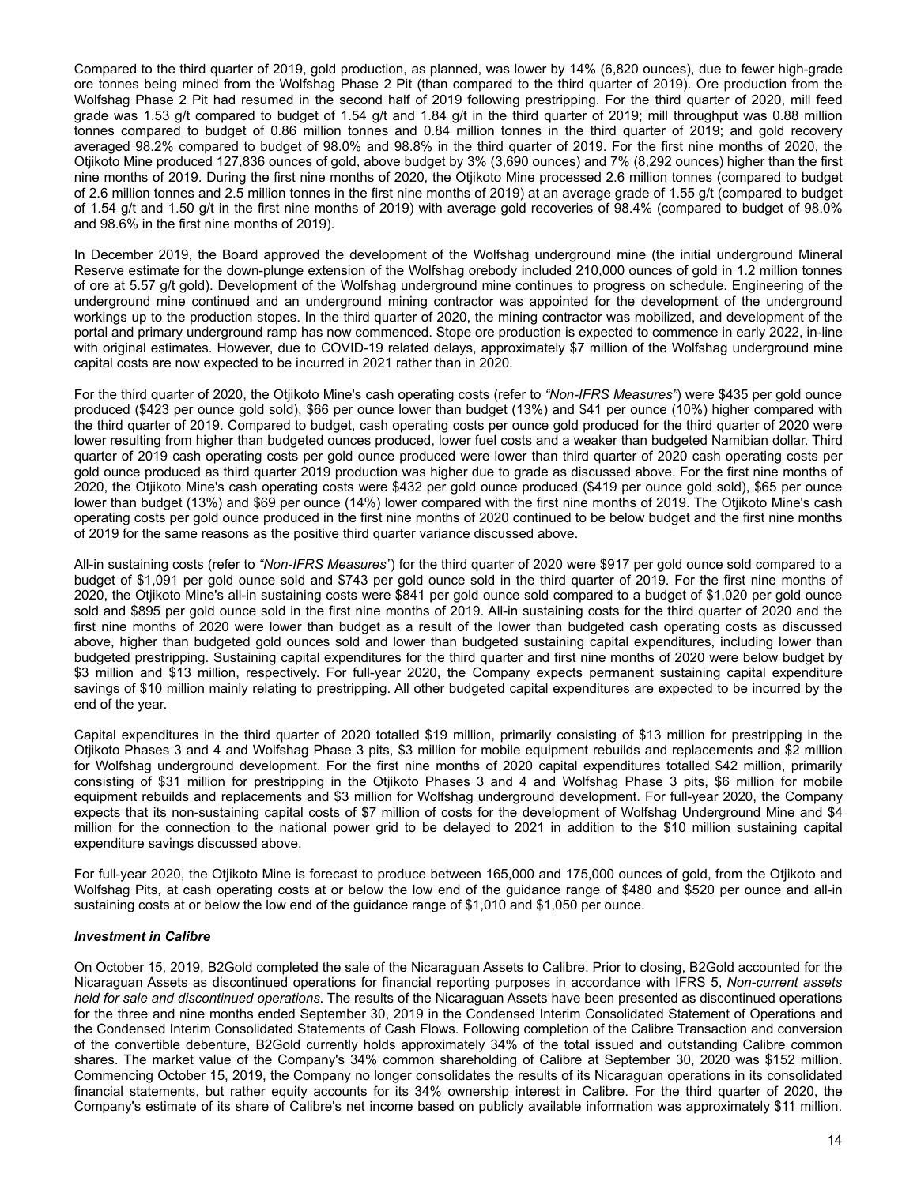Compared to the third quarter of 2019, gold production, as planned, was lower by 14% (6,820 ounces), due to fewer high-grade ore tonnes being mined from the Wolfshag Phase 2 Pit (than compared to the third quarter of 2019). Ore production from the Wolfshag Phase 2 Pit had resumed in the second half of 2019 following prestripping. For the third quarter of 2020, mill feed grade was 1.53 g/t compared to budget of 1.54 g/t and 1.84 g/t in the third quarter of 2019; mill throughput was 0.88 million tonnes compared to budget of 0.86 million tonnes and 0.84 million tonnes in the third quarter of 2019; and gold recovery averaged 98.2% compared to budget of 98.0% and 98.8% in the third quarter of 2019. For the first nine months of 2020, the Otjikoto Mine produced 127,836 ounces of gold, above budget by 3% (3,690 ounces) and 7% (8,292 ounces) higher than the first nine months of 2019. During the first nine months of 2020, the Otjikoto Mine processed 2.6 million tonnes (compared to budget of 2.6 million tonnes and 2.5 million tonnes in the first nine months of 2019) at an average grade of 1.55 g/t (compared to budget of 1.54 g/t and 1.50 g/t in the first nine months of 2019) with average gold recoveries of 98.4% (compared to budget of 98.0% and 98.6% in the first nine months of 2019).

In December 2019, the Board approved the development of the Wolfshag underground mine (the initial underground Mineral Reserve estimate for the down-plunge extension of the Wolfshag orebody included 210,000 ounces of gold in 1.2 million tonnes of ore at 5.57 g/t gold). Development of the Wolfshag underground mine continues to progress on schedule. Engineering of the underground mine continued and an underground mining contractor was appointed for the development of the underground workings up to the production stopes. In the third quarter of 2020, the mining contractor was mobilized, and development of the portal and primary underground ramp has now commenced. Stope ore production is expected to commence in early 2022, in-line with original estimates. However, due to COVID-19 related delays, approximately \$7 million of the Wolfshag underground mine capital costs are now expected to be incurred in 2021 rather than in 2020.

For the third quarter of 2020, the Otjikoto Mine's cash operating costs (refer to *"Non-IFRS Measures"*) were \$435 per gold ounce produced (\$423 per ounce gold sold), \$66 per ounce lower than budget (13%) and \$41 per ounce (10%) higher compared with the third quarter of 2019. Compared to budget, cash operating costs per ounce gold produced for the third quarter of 2020 were lower resulting from higher than budgeted ounces produced, lower fuel costs and a weaker than budgeted Namibian dollar. Third quarter of 2019 cash operating costs per gold ounce produced were lower than third quarter of 2020 cash operating costs per gold ounce produced as third quarter 2019 production was higher due to grade as discussed above. For the first nine months of 2020, the Otjikoto Mine's cash operating costs were \$432 per gold ounce produced (\$419 per ounce gold sold), \$65 per ounce lower than budget (13%) and \$69 per ounce (14%) lower compared with the first nine months of 2019. The Otjikoto Mine's cash operating costs per gold ounce produced in the first nine months of 2020 continued to be below budget and the first nine months of 2019 for the same reasons as the positive third quarter variance discussed above.

All-in sustaining costs (refer to *"Non-IFRS Measures"*) for the third quarter of 2020 were \$917 per gold ounce sold compared to a budget of \$1,091 per gold ounce sold and \$743 per gold ounce sold in the third quarter of 2019. For the first nine months of 2020, the Otjikoto Mine's all-in sustaining costs were \$841 per gold ounce sold compared to a budget of \$1,020 per gold ounce sold and \$895 per gold ounce sold in the first nine months of 2019. All-in sustaining costs for the third quarter of 2020 and the first nine months of 2020 were lower than budget as a result of the lower than budgeted cash operating costs as discussed above, higher than budgeted gold ounces sold and lower than budgeted sustaining capital expenditures, including lower than budgeted prestripping. Sustaining capital expenditures for the third quarter and first nine months of 2020 were below budget by \$3 million and \$13 million, respectively. For full-year 2020, the Company expects permanent sustaining capital expenditure savings of \$10 million mainly relating to prestripping. All other budgeted capital expenditures are expected to be incurred by the end of the year.

Capital expenditures in the third quarter of 2020 totalled \$19 million, primarily consisting of \$13 million for prestripping in the Otjikoto Phases 3 and 4 and Wolfshag Phase 3 pits, \$3 million for mobile equipment rebuilds and replacements and \$2 million for Wolfshag underground development. For the first nine months of 2020 capital expenditures totalled \$42 million, primarily consisting of \$31 million for prestripping in the Otjikoto Phases 3 and 4 and Wolfshag Phase 3 pits, \$6 million for mobile equipment rebuilds and replacements and \$3 million for Wolfshag underground development. For full-year 2020, the Company expects that its non-sustaining capital costs of \$7 million of costs for the development of Wolfshag Underground Mine and \$4 million for the connection to the national power grid to be delayed to 2021 in addition to the \$10 million sustaining capital expenditure savings discussed above.

For full-year 2020, the Otjikoto Mine is forecast to produce between 165,000 and 175,000 ounces of gold, from the Otjikoto and Wolfshag Pits, at cash operating costs at or below the low end of the guidance range of \$480 and \$520 per ounce and all-in sustaining costs at or below the low end of the guidance range of \$1,010 and \$1,050 per ounce.

## *Investment in Calibre*

On October 15, 2019, B2Gold completed the sale of the Nicaraguan Assets to Calibre. Prior to closing, B2Gold accounted for the Nicaraguan Assets as discontinued operations for financial reporting purposes in accordance with IFRS 5, *Non-current assets held for sale and discontinued operations*. The results of the Nicaraguan Assets have been presented as discontinued operations for the three and nine months ended September 30, 2019 in the Condensed Interim Consolidated Statement of Operations and the Condensed Interim Consolidated Statements of Cash Flows. Following completion of the Calibre Transaction and conversion of the convertible debenture, B2Gold currently holds approximately 34% of the total issued and outstanding Calibre common shares. The market value of the Company's 34% common shareholding of Calibre at September 30, 2020 was \$152 million. Commencing October 15, 2019, the Company no longer consolidates the results of its Nicaraguan operations in its consolidated financial statements, but rather equity accounts for its 34% ownership interest in Calibre. For the third quarter of 2020, the Company's estimate of its share of Calibre's net income based on publicly available information was approximately \$11 million.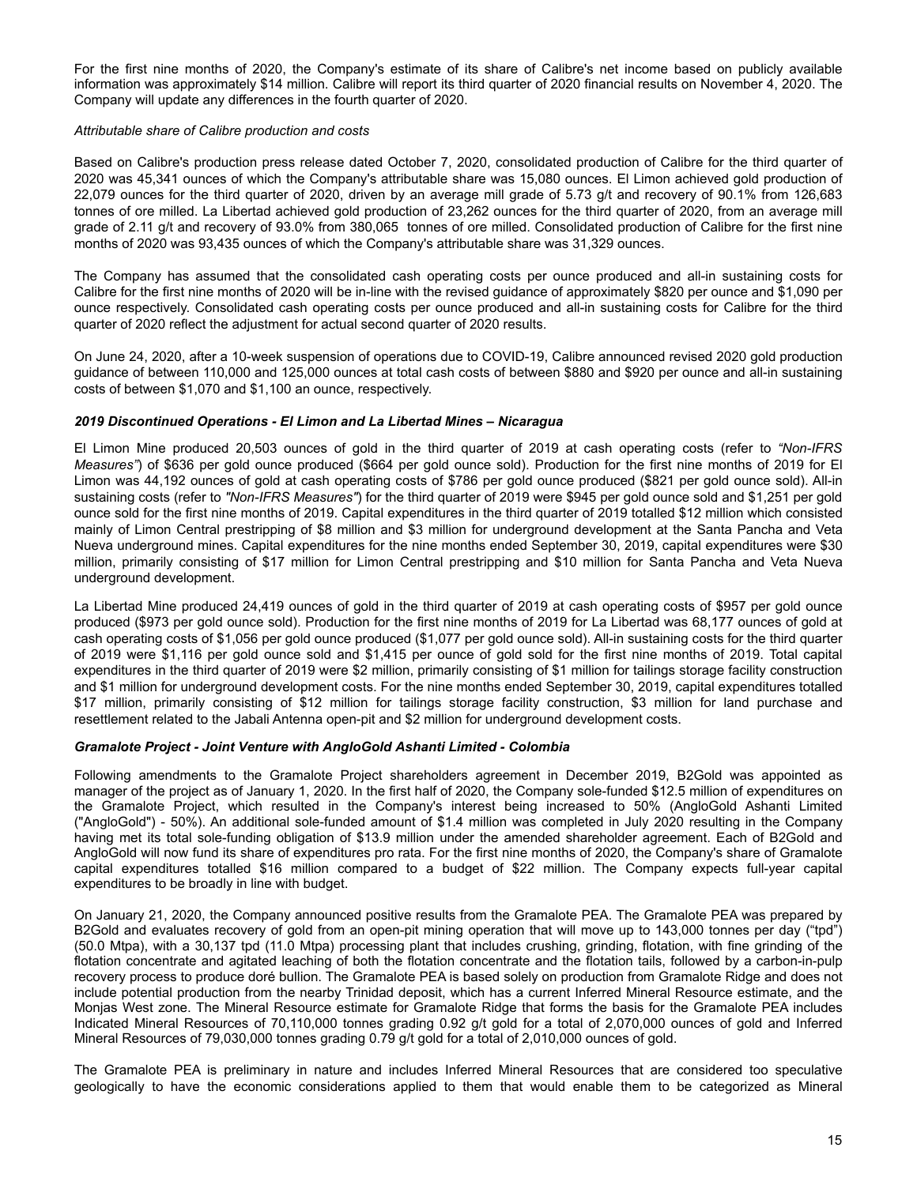For the first nine months of 2020, the Company's estimate of its share of Calibre's net income based on publicly available information was approximately \$14 million. Calibre will report its third quarter of 2020 financial results on November 4, 2020. The Company will update any differences in the fourth quarter of 2020.

#### *Attributable share of Calibre production and costs*

Based on Calibre's production press release dated October 7, 2020, consolidated production of Calibre for the third quarter of 2020 was 45,341 ounces of which the Company's attributable share was 15,080 ounces. El Limon achieved gold production of 22,079 ounces for the third quarter of 2020, driven by an average mill grade of 5.73 g/t and recovery of 90.1% from 126,683 tonnes of ore milled. La Libertad achieved gold production of 23,262 ounces for the third quarter of 2020, from an average mill grade of 2.11 g/t and recovery of 93.0% from 380,065 tonnes of ore milled. Consolidated production of Calibre for the first nine months of 2020 was 93,435 ounces of which the Company's attributable share was 31,329 ounces.

The Company has assumed that the consolidated cash operating costs per ounce produced and all-in sustaining costs for Calibre for the first nine months of 2020 will be in-line with the revised guidance of approximately \$820 per ounce and \$1,090 per ounce respectively. Consolidated cash operating costs per ounce produced and all-in sustaining costs for Calibre for the third quarter of 2020 reflect the adjustment for actual second quarter of 2020 results.

On June 24, 2020, after a 10-week suspension of operations due to COVID-19, Calibre announced revised 2020 gold production guidance of between 110,000 and 125,000 ounces at total cash costs of between \$880 and \$920 per ounce and all-in sustaining costs of between \$1,070 and \$1,100 an ounce, respectively.

## *2019 Discontinued Operations - El Limon and La Libertad Mines – Nicaragua*

El Limon Mine produced 20,503 ounces of gold in the third quarter of 2019 at cash operating costs (refer to *"Non-IFRS Measures"*) of \$636 per gold ounce produced (\$664 per gold ounce sold). Production for the first nine months of 2019 for El Limon was 44,192 ounces of gold at cash operating costs of \$786 per gold ounce produced (\$821 per gold ounce sold). All-in sustaining costs (refer to *"Non-IFRS Measures"*) for the third quarter of 2019 were \$945 per gold ounce sold and \$1,251 per gold ounce sold for the first nine months of 2019. Capital expenditures in the third quarter of 2019 totalled \$12 million which consisted mainly of Limon Central prestripping of \$8 million and \$3 million for underground development at the Santa Pancha and Veta Nueva underground mines. Capital expenditures for the nine months ended September 30, 2019, capital expenditures were \$30 million, primarily consisting of \$17 million for Limon Central prestripping and \$10 million for Santa Pancha and Veta Nueva underground development.

La Libertad Mine produced 24,419 ounces of gold in the third quarter of 2019 at cash operating costs of \$957 per gold ounce produced (\$973 per gold ounce sold). Production for the first nine months of 2019 for La Libertad was 68,177 ounces of gold at cash operating costs of \$1,056 per gold ounce produced (\$1,077 per gold ounce sold). All-in sustaining costs for the third quarter of 2019 were \$1,116 per gold ounce sold and \$1,415 per ounce of gold sold for the first nine months of 2019. Total capital expenditures in the third quarter of 2019 were \$2 million, primarily consisting of \$1 million for tailings storage facility construction and \$1 million for underground development costs. For the nine months ended September 30, 2019, capital expenditures totalled \$17 million, primarily consisting of \$12 million for tailings storage facility construction, \$3 million for land purchase and resettlement related to the Jabali Antenna open-pit and \$2 million for underground development costs.

## *Gramalote Project - Joint Venture with AngloGold Ashanti Limited - Colombia*

Following amendments to the Gramalote Project shareholders agreement in December 2019, B2Gold was appointed as manager of the project as of January 1, 2020. In the first half of 2020, the Company sole-funded \$12.5 million of expenditures on the Gramalote Project, which resulted in the Company's interest being increased to 50% (AngloGold Ashanti Limited ("AngloGold") - 50%). An additional sole-funded amount of \$1.4 million was completed in July 2020 resulting in the Company having met its total sole-funding obligation of \$13.9 million under the amended shareholder agreement. Each of B2Gold and AngloGold will now fund its share of expenditures pro rata. For the first nine months of 2020, the Company's share of Gramalote capital expenditures totalled \$16 million compared to a budget of \$22 million. The Company expects full-year capital expenditures to be broadly in line with budget.

On January 21, 2020, the Company announced positive results from the Gramalote PEA. The Gramalote PEA was prepared by B2Gold and evaluates recovery of gold from an open-pit mining operation that will move up to 143,000 tonnes per day ("tpd") (50.0 Mtpa), with a 30,137 tpd (11.0 Mtpa) processing plant that includes crushing, grinding, flotation, with fine grinding of the flotation concentrate and agitated leaching of both the flotation concentrate and the flotation tails, followed by a carbon-in-pulp recovery process to produce doré bullion. The Gramalote PEA is based solely on production from Gramalote Ridge and does not include potential production from the nearby Trinidad deposit, which has a current Inferred Mineral Resource estimate, and the Monjas West zone. The Mineral Resource estimate for Gramalote Ridge that forms the basis for the Gramalote PEA includes Indicated Mineral Resources of 70,110,000 tonnes grading 0.92 g/t gold for a total of 2,070,000 ounces of gold and Inferred Mineral Resources of 79,030,000 tonnes grading 0.79 g/t gold for a total of 2,010,000 ounces of gold.

The Gramalote PEA is preliminary in nature and includes Inferred Mineral Resources that are considered too speculative geologically to have the economic considerations applied to them that would enable them to be categorized as Mineral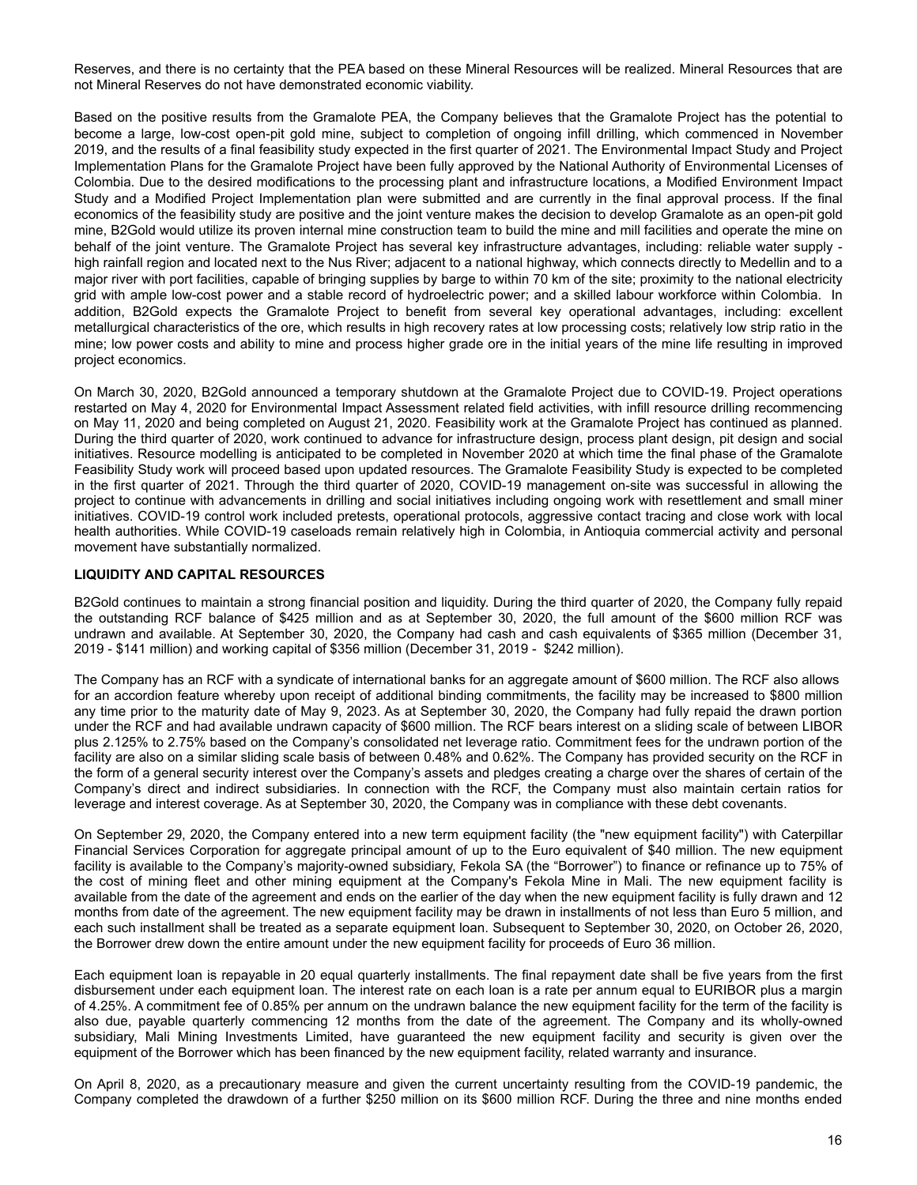<span id="page-15-0"></span>Reserves, and there is no certainty that the PEA based on these Mineral Resources will be realized. Mineral Resources that are not Mineral Reserves do not have demonstrated economic viability.

Based on the positive results from the Gramalote PEA, the Company believes that the Gramalote Project has the potential to become a large, low-cost open-pit gold mine, subject to completion of ongoing infill drilling, which commenced in November 2019, and the results of a final feasibility study expected in the first quarter of 2021. The Environmental Impact Study and Project Implementation Plans for the Gramalote Project have been fully approved by the National Authority of Environmental Licenses of Colombia. Due to the desired modifications to the processing plant and infrastructure locations, a Modified Environment Impact Study and a Modified Project Implementation plan were submitted and are currently in the final approval process. If the final economics of the feasibility study are positive and the joint venture makes the decision to develop Gramalote as an open-pit gold mine, B2Gold would utilize its proven internal mine construction team to build the mine and mill facilities and operate the mine on behalf of the joint venture. The Gramalote Project has several key infrastructure advantages, including: reliable water supply high rainfall region and located next to the Nus River; adjacent to a national highway, which connects directly to Medellin and to a major river with port facilities, capable of bringing supplies by barge to within 70 km of the site; proximity to the national electricity grid with ample low-cost power and a stable record of hydroelectric power; and a skilled labour workforce within Colombia. In addition, B2Gold expects the Gramalote Project to benefit from several key operational advantages, including: excellent metallurgical characteristics of the ore, which results in high recovery rates at low processing costs; relatively low strip ratio in the mine; low power costs and ability to mine and process higher grade ore in the initial years of the mine life resulting in improved project economics.

On March 30, 2020, B2Gold announced a temporary shutdown at the Gramalote Project due to COVID-19. Project operations restarted on May 4, 2020 for Environmental Impact Assessment related field activities, with infill resource drilling recommencing on May 11, 2020 and being completed on August 21, 2020. Feasibility work at the Gramalote Project has continued as planned. During the third quarter of 2020, work continued to advance for infrastructure design, process plant design, pit design and social initiatives. Resource modelling is anticipated to be completed in November 2020 at which time the final phase of the Gramalote Feasibility Study work will proceed based upon updated resources. The Gramalote Feasibility Study is expected to be completed in the first quarter of 2021. Through the third quarter of 2020, COVID-19 management on-site was successful in allowing the project to continue with advancements in drilling and social initiatives including ongoing work with resettlement and small miner initiatives. COVID-19 control work included pretests, operational protocols, aggressive contact tracing and close work with local health authorities. While COVID-19 caseloads remain relatively high in Colombia, in Antioquia commercial activity and personal movement have substantially normalized.

## **LIQUIDITY AND CAPITAL RESOURCES**

B2Gold continues to maintain a strong financial position and liquidity. During the third quarter of 2020, the Company fully repaid the outstanding RCF balance of \$425 million and as at September 30, 2020, the full amount of the \$600 million RCF was undrawn and available. At September 30, 2020, the Company had cash and cash equivalents of \$365 million (December 31, 2019 - \$141 million) and working capital of \$356 million (December 31, 2019 - \$242 million).

The Company has an RCF with a syndicate of international banks for an aggregate amount of \$600 million. The RCF also allows for an accordion feature whereby upon receipt of additional binding commitments, the facility may be increased to \$800 million any time prior to the maturity date of May 9, 2023. As at September 30, 2020, the Company had fully repaid the drawn portion under the RCF and had available undrawn capacity of \$600 million. The RCF bears interest on a sliding scale of between LIBOR plus 2.125% to 2.75% based on the Company's consolidated net leverage ratio. Commitment fees for the undrawn portion of the facility are also on a similar sliding scale basis of between 0.48% and 0.62%. The Company has provided security on the RCF in the form of a general security interest over the Company's assets and pledges creating a charge over the shares of certain of the Company's direct and indirect subsidiaries. In connection with the RCF, the Company must also maintain certain ratios for leverage and interest coverage. As at September 30, 2020, the Company was in compliance with these debt covenants.

On September 29, 2020, the Company entered into a new term equipment facility (the "new equipment facility") with Caterpillar Financial Services Corporation for aggregate principal amount of up to the Euro equivalent of \$40 million. The new equipment facility is available to the Company's majority-owned subsidiary, Fekola SA (the "Borrower") to finance or refinance up to 75% of the cost of mining fleet and other mining equipment at the Company's Fekola Mine in Mali. The new equipment facility is available from the date of the agreement and ends on the earlier of the day when the new equipment facility is fully drawn and 12 months from date of the agreement. The new equipment facility may be drawn in installments of not less than Euro 5 million, and each such installment shall be treated as a separate equipment loan. Subsequent to September 30, 2020, on October 26, 2020, the Borrower drew down the entire amount under the new equipment facility for proceeds of Euro 36 million.

Each equipment loan is repayable in 20 equal quarterly installments. The final repayment date shall be five years from the first disbursement under each equipment loan. The interest rate on each loan is a rate per annum equal to EURIBOR plus a margin of 4.25%. A commitment fee of 0.85% per annum on the undrawn balance the new equipment facility for the term of the facility is also due, payable quarterly commencing 12 months from the date of the agreement. The Company and its wholly-owned subsidiary, Mali Mining Investments Limited, have guaranteed the new equipment facility and security is given over the equipment of the Borrower which has been financed by the new equipment facility, related warranty and insurance.

On April 8, 2020, as a precautionary measure and given the current uncertainty resulting from the COVID-19 pandemic, the Company completed the drawdown of a further \$250 million on its \$600 million RCF. During the three and nine months ended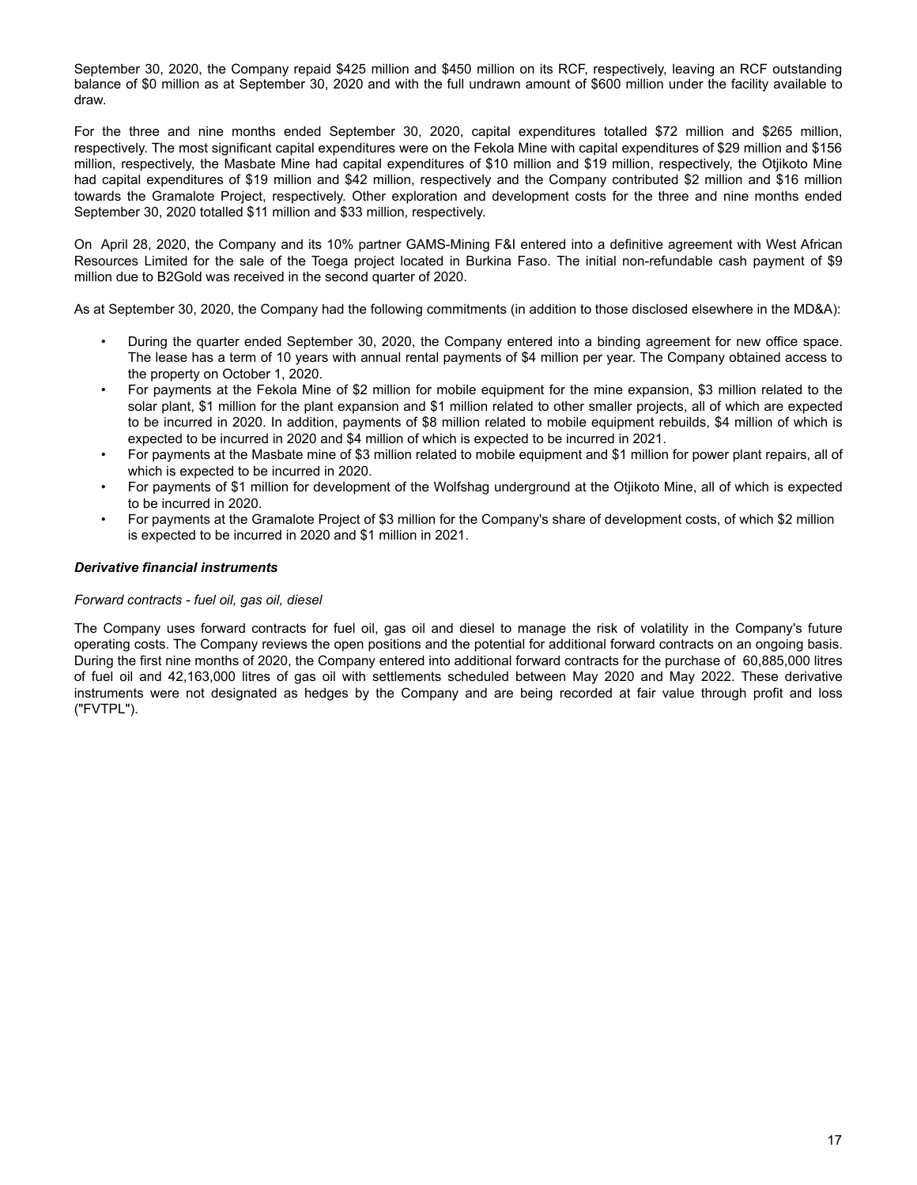September 30, 2020, the Company repaid \$425 million and \$450 million on its RCF, respectively, leaving an RCF outstanding balance of \$0 million as at September 30, 2020 and with the full undrawn amount of \$600 million under the facility available to draw.

For the three and nine months ended September 30, 2020, capital expenditures totalled \$72 million and \$265 million, respectively. The most significant capital expenditures were on the Fekola Mine with capital expenditures of \$29 million and \$156 million, respectively, the Masbate Mine had capital expenditures of \$10 million and \$19 million, respectively, the Otjikoto Mine had capital expenditures of \$19 million and \$42 million, respectively and the Company contributed \$2 million and \$16 million towards the Gramalote Project, respectively. Other exploration and development costs for the three and nine months ended September 30, 2020 totalled \$11 million and \$33 million, respectively.

On April 28, 2020, the Company and its 10% partner GAMS-Mining F&I entered into a definitive agreement with West African Resources Limited for the sale of the Toega project located in Burkina Faso. The initial non-refundable cash payment of \$9 million due to B2Gold was received in the second quarter of 2020.

As at September 30, 2020, the Company had the following commitments (in addition to those disclosed elsewhere in the MD&A):

- During the quarter ended September 30, 2020, the Company entered into a binding agreement for new office space. The lease has a term of 10 years with annual rental payments of \$4 million per year. The Company obtained access to the property on October 1, 2020.
- For payments at the Fekola Mine of \$2 million for mobile equipment for the mine expansion, \$3 million related to the solar plant, \$1 million for the plant expansion and \$1 million related to other smaller projects, all of which are expected to be incurred in 2020. In addition, payments of \$8 million related to mobile equipment rebuilds, \$4 million of which is expected to be incurred in 2020 and \$4 million of which is expected to be incurred in 2021.
- For payments at the Masbate mine of \$3 million related to mobile equipment and \$1 million for power plant repairs, all of which is expected to be incurred in 2020.
- For payments of \$1 million for development of the Wolfshag underground at the Otjikoto Mine, all of which is expected to be incurred in 2020.
- For payments at the Gramalote Project of \$3 million for the Company's share of development costs, of which \$2 million is expected to be incurred in 2020 and \$1 million in 2021.

# *Derivative financial instruments*

## *Forward contracts - fuel oil, gas oil, diesel*

The Company uses forward contracts for fuel oil, gas oil and diesel to manage the risk of volatility in the Company's future operating costs. The Company reviews the open positions and the potential for additional forward contracts on an ongoing basis. During the first nine months of 2020, the Company entered into additional forward contracts for the purchase of 60,885,000 litres of fuel oil and 42,163,000 litres of gas oil with settlements scheduled between May 2020 and May 2022. These derivative instruments were not designated as hedges by the Company and are being recorded at fair value through profit and loss ("FVTPL").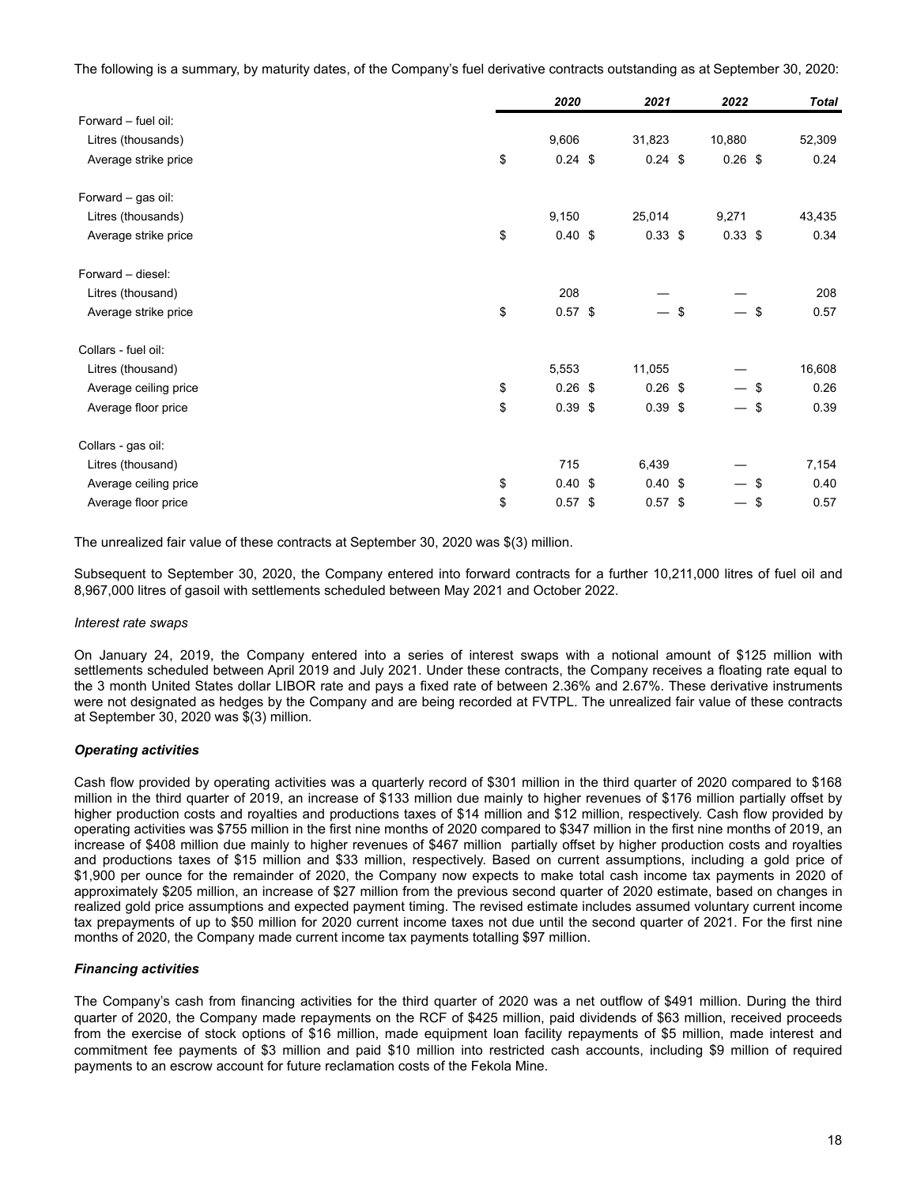The following is a summary, by maturity dates, of the Company's fuel derivative contracts outstanding as at September 30, 2020:

|                       | 2020            | 2021                     | 2022                             |      | <b>Total</b> |
|-----------------------|-----------------|--------------------------|----------------------------------|------|--------------|
| Forward - fuel oil:   |                 |                          |                                  |      |              |
| Litres (thousands)    | 9,606           | 31,823                   | 10,880                           |      | 52,309       |
| Average strike price  | \$<br>$0.24$ \$ | $0.24$ \$                | $0.26$ \$                        |      | 0.24         |
| Forward - gas oil:    |                 |                          |                                  |      |              |
| Litres (thousands)    | 9,150           | 25,014                   | 9,271                            |      | 43,435       |
| Average strike price  | \$<br>0.40~\$   | $0.33$ \$                | $0.33$ \$                        |      | 0.34         |
| Forward - diesel:     |                 |                          |                                  |      |              |
| Litres (thousand)     | 208             |                          |                                  |      | 208          |
| Average strike price  | \$<br>$0.57$ \$ | $\overline{\phantom{0}}$ | \$                               | -\$  | 0.57         |
| Collars - fuel oil:   |                 |                          |                                  |      |              |
| Litres (thousand)     | 5,553           | 11,055                   |                                  |      | 16,608       |
| Average ceiling price | \$<br>$0.26$ \$ | $0.26$ \$                | — \$                             |      | 0.26         |
| Average floor price   | \$<br>$0.39$ \$ | $0.39$ \$                | $\overbrace{\phantom{13333}}$    | - \$ | 0.39         |
| Collars - gas oil:    |                 |                          |                                  |      |              |
| Litres (thousand)     | 715             | 6,439                    |                                  |      | 7,154        |
| Average ceiling price | \$<br>0.40~\$   | 0.40~\$                  | — \$                             |      | 0.40         |
| Average floor price   | \$<br>$0.57$ \$ | $0.57$ \$                | $\overbrace{\phantom{12322111}}$ | \$   | 0.57         |

The unrealized fair value of these contracts at September 30, 2020 was \$(3) million.

Subsequent to September 30, 2020, the Company entered into forward contracts for a further 10,211,000 litres of fuel oil and 8,967,000 litres of gasoil with settlements scheduled between May 2021 and October 2022.

## *Interest rate swaps*

On January 24, 2019, the Company entered into a series of interest swaps with a notional amount of \$125 million with settlements scheduled between April 2019 and July 2021. Under these contracts, the Company receives a floating rate equal to the 3 month United States dollar LIBOR rate and pays a fixed rate of between 2.36% and 2.67%. These derivative instruments were not designated as hedges by the Company and are being recorded at FVTPL. The unrealized fair value of these contracts at September 30, 2020 was \$(3) million.

## *Operating activities*

Cash flow provided by operating activities was a quarterly record of \$301 million in the third quarter of 2020 compared to \$168 million in the third quarter of 2019, an increase of \$133 million due mainly to higher revenues of \$176 million partially offset by higher production costs and royalties and productions taxes of \$14 million and \$12 million, respectively. Cash flow provided by operating activities was \$755 million in the first nine months of 2020 compared to \$347 million in the first nine months of 2019, an increase of \$408 million due mainly to higher revenues of \$467 million partially offset by higher production costs and royalties and productions taxes of \$15 million and \$33 million, respectively. Based on current assumptions, including a gold price of \$1,900 per ounce for the remainder of 2020, the Company now expects to make total cash income tax payments in 2020 of approximately \$205 million, an increase of \$27 million from the previous second quarter of 2020 estimate, based on changes in realized gold price assumptions and expected payment timing. The revised estimate includes assumed voluntary current income tax prepayments of up to \$50 million for 2020 current income taxes not due until the second quarter of 2021. For the first nine months of 2020, the Company made current income tax payments totalling \$97 million.

## *Financing activities*

The Company's cash from financing activities for the third quarter of 2020 was a net outflow of \$491 million. During the third quarter of 2020, the Company made repayments on the RCF of \$425 million, paid dividends of \$63 million, received proceeds from the exercise of stock options of \$16 million, made equipment loan facility repayments of \$5 million, made interest and commitment fee payments of \$3 million and paid \$10 million into restricted cash accounts, including \$9 million of required payments to an escrow account for future reclamation costs of the Fekola Mine.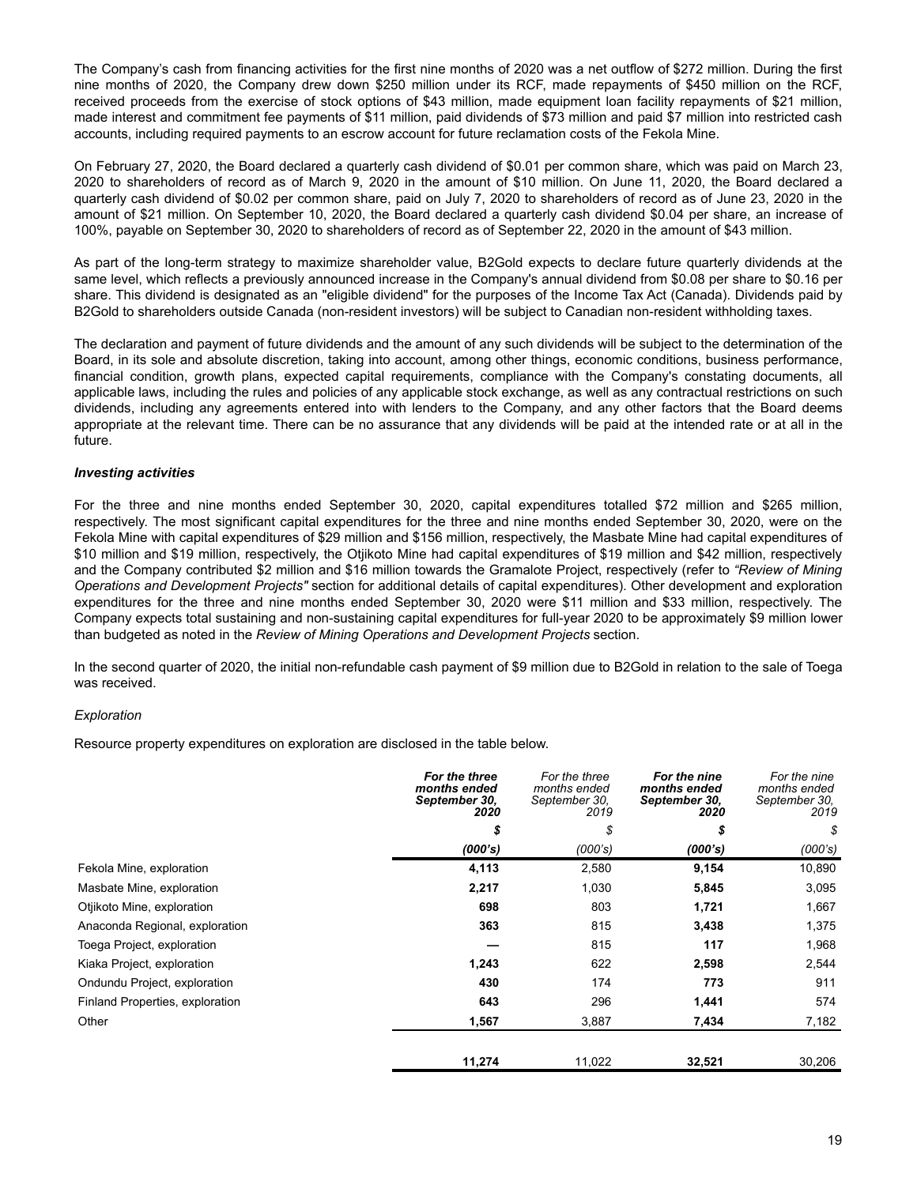The Company's cash from financing activities for the first nine months of 2020 was a net outflow of \$272 million. During the first nine months of 2020, the Company drew down \$250 million under its RCF, made repayments of \$450 million on the RCF, received proceeds from the exercise of stock options of \$43 million, made equipment loan facility repayments of \$21 million, made interest and commitment fee payments of \$11 million, paid dividends of \$73 million and paid \$7 million into restricted cash accounts, including required payments to an escrow account for future reclamation costs of the Fekola Mine.

On February 27, 2020, the Board declared a quarterly cash dividend of \$0.01 per common share, which was paid on March 23, 2020 to shareholders of record as of March 9, 2020 in the amount of \$10 million. On June 11, 2020, the Board declared a quarterly cash dividend of \$0.02 per common share, paid on July 7, 2020 to shareholders of record as of June 23, 2020 in the amount of \$21 million. On September 10, 2020, the Board declared a quarterly cash dividend \$0.04 per share, an increase of 100%, payable on September 30, 2020 to shareholders of record as of September 22, 2020 in the amount of \$43 million.

As part of the long-term strategy to maximize shareholder value, B2Gold expects to declare future quarterly dividends at the same level, which reflects a previously announced increase in the Company's annual dividend from \$0.08 per share to \$0.16 per share. This dividend is designated as an "eligible dividend" for the purposes of the Income Tax Act (Canada). Dividends paid by B2Gold to shareholders outside Canada (non-resident investors) will be subject to Canadian non-resident withholding taxes.

The declaration and payment of future dividends and the amount of any such dividends will be subject to the determination of the Board, in its sole and absolute discretion, taking into account, among other things, economic conditions, business performance, financial condition, growth plans, expected capital requirements, compliance with the Company's constating documents, all applicable laws, including the rules and policies of any applicable stock exchange, as well as any contractual restrictions on such dividends, including any agreements entered into with lenders to the Company, and any other factors that the Board deems appropriate at the relevant time. There can be no assurance that any dividends will be paid at the intended rate or at all in the future.

# *Investing activities*

For the three and nine months ended September 30, 2020, capital expenditures totalled \$72 million and \$265 million, respectively. The most significant capital expenditures for the three and nine months ended September 30, 2020, were on the Fekola Mine with capital expenditures of \$29 million and \$156 million, respectively, the Masbate Mine had capital expenditures of \$10 million and \$19 million, respectively, the Otiikoto Mine had capital expenditures of \$19 million and \$42 million, respectively and the Company contributed \$2 million and \$16 million towards the Gramalote Project, respectively (refer to *"Review of Mining Operations and Development Projects"* section for additional details of capital expenditures). Other development and exploration expenditures for the three and nine months ended September 30, 2020 were \$11 million and \$33 million, respectively. The Company expects total sustaining and non-sustaining capital expenditures for full-year 2020 to be approximately \$9 million lower than budgeted as noted in the *Review of Mining Operations and Development Projects* section.

In the second quarter of 2020, the initial non-refundable cash payment of \$9 million due to B2Gold in relation to the sale of Toega was received.

## *Exploration*

Resource property expenditures on exploration are disclosed in the table below.

|                                 | For the three<br>months ended<br>September 30,<br>2020 | For the three<br>months ended<br>September 30,<br>2019 | For the nine<br>months ended<br>September 30,<br>2020 | For the nine<br>months ended<br>September 30,<br>2019 |
|---------------------------------|--------------------------------------------------------|--------------------------------------------------------|-------------------------------------------------------|-------------------------------------------------------|
|                                 | \$                                                     | \$                                                     | \$                                                    | \$                                                    |
|                                 | (000's)                                                | (000's)                                                | (000's)                                               | (000's)                                               |
| Fekola Mine, exploration        | 4,113                                                  | 2,580                                                  | 9,154                                                 | 10,890                                                |
| Masbate Mine, exploration       | 2,217                                                  | 1,030                                                  | 5,845                                                 | 3,095                                                 |
| Otjikoto Mine, exploration      | 698                                                    | 803                                                    | 1,721                                                 | 1,667                                                 |
| Anaconda Regional, exploration  | 363                                                    | 815                                                    | 3,438                                                 | 1,375                                                 |
| Toega Project, exploration      |                                                        | 815                                                    | 117                                                   | 1,968                                                 |
| Kiaka Project, exploration      | 1,243                                                  | 622                                                    | 2,598                                                 | 2,544                                                 |
| Ondundu Project, exploration    | 430                                                    | 174                                                    | 773                                                   | 911                                                   |
| Finland Properties, exploration | 643                                                    | 296                                                    | 1,441                                                 | 574                                                   |
| Other                           | 1,567                                                  | 3,887                                                  | 7,434                                                 | 7,182                                                 |
|                                 | 11,274                                                 | 11,022                                                 | 32,521                                                | 30,206                                                |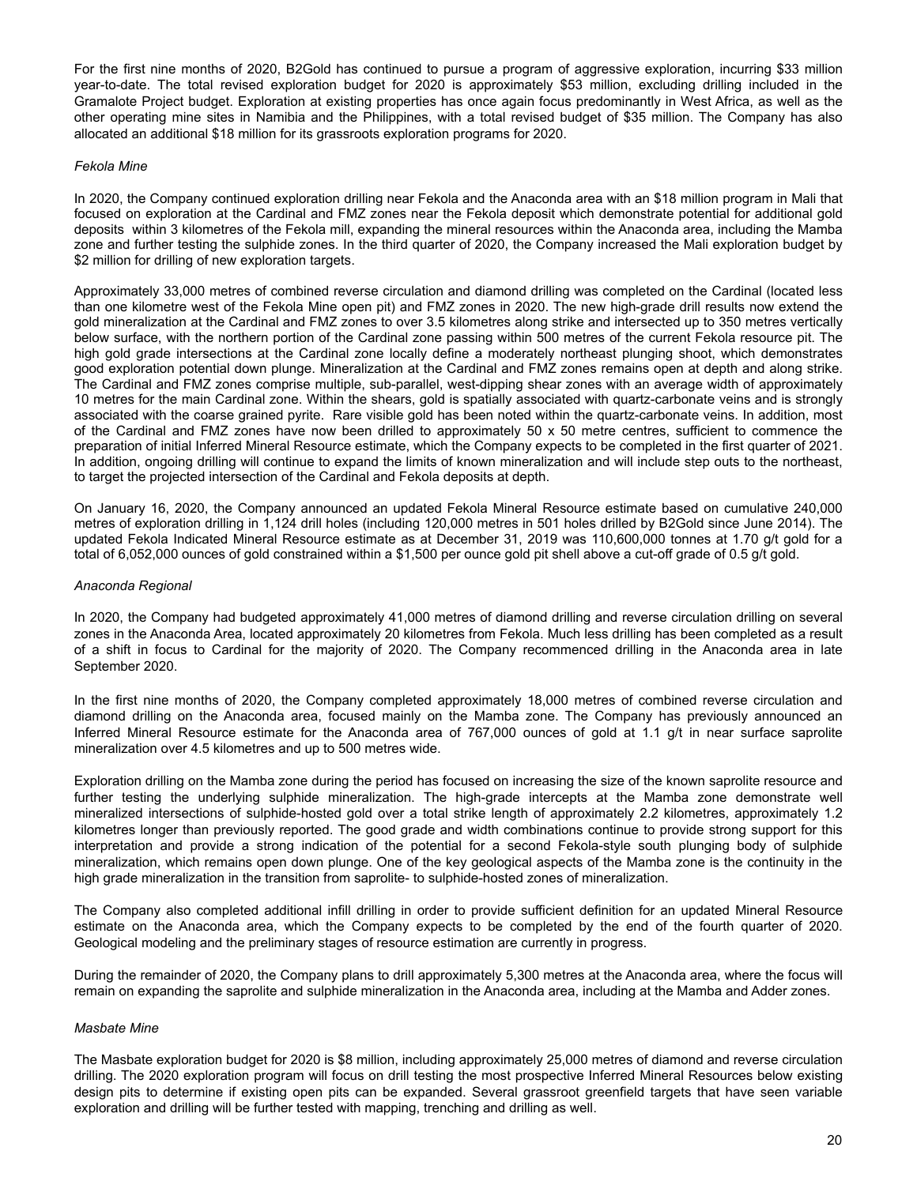For the first nine months of 2020, B2Gold has continued to pursue a program of aggressive exploration, incurring \$33 million year-to-date. The total revised exploration budget for 2020 is approximately \$53 million, excluding drilling included in the Gramalote Project budget. Exploration at existing properties has once again focus predominantly in West Africa, as well as the other operating mine sites in Namibia and the Philippines, with a total revised budget of \$35 million. The Company has also allocated an additional \$18 million for its grassroots exploration programs for 2020.

#### *Fekola Mine*

In 2020, the Company continued exploration drilling near Fekola and the Anaconda area with an \$18 million program in Mali that focused on exploration at the Cardinal and FMZ zones near the Fekola deposit which demonstrate potential for additional gold deposits within 3 kilometres of the Fekola mill, expanding the mineral resources within the Anaconda area, including the Mamba zone and further testing the sulphide zones. In the third quarter of 2020, the Company increased the Mali exploration budget by \$2 million for drilling of new exploration targets.

Approximately 33,000 metres of combined reverse circulation and diamond drilling was completed on the Cardinal (located less than one kilometre west of the Fekola Mine open pit) and FMZ zones in 2020. The new high-grade drill results now extend the gold mineralization at the Cardinal and FMZ zones to over 3.5 kilometres along strike and intersected up to 350 metres vertically below surface, with the northern portion of the Cardinal zone passing within 500 metres of the current Fekola resource pit. The high gold grade intersections at the Cardinal zone locally define a moderately northeast plunging shoot, which demonstrates good exploration potential down plunge. Mineralization at the Cardinal and FMZ zones remains open at depth and along strike. The Cardinal and FMZ zones comprise multiple, sub-parallel, west-dipping shear zones with an average width of approximately 10 metres for the main Cardinal zone. Within the shears, gold is spatially associated with quartz-carbonate veins and is strongly associated with the coarse grained pyrite. Rare visible gold has been noted within the quartz-carbonate veins. In addition, most of the Cardinal and FMZ zones have now been drilled to approximately 50 x 50 metre centres, sufficient to commence the preparation of initial Inferred Mineral Resource estimate, which the Company expects to be completed in the first quarter of 2021. In addition, ongoing drilling will continue to expand the limits of known mineralization and will include step outs to the northeast, to target the projected intersection of the Cardinal and Fekola deposits at depth.

On January 16, 2020, the Company announced an updated Fekola Mineral Resource estimate based on cumulative 240,000 metres of exploration drilling in 1,124 drill holes (including 120,000 metres in 501 holes drilled by B2Gold since June 2014). The updated Fekola Indicated Mineral Resource estimate as at December 31, 2019 was 110,600,000 tonnes at 1.70 g/t gold for a total of 6,052,000 ounces of gold constrained within a \$1,500 per ounce gold pit shell above a cut-off grade of 0.5 g/t gold.

#### *Anaconda Regional*

In 2020, the Company had budgeted approximately 41,000 metres of diamond drilling and reverse circulation drilling on several zones in the Anaconda Area, located approximately 20 kilometres from Fekola. Much less drilling has been completed as a result of a shift in focus to Cardinal for the majority of 2020. The Company recommenced drilling in the Anaconda area in late September 2020.

In the first nine months of 2020, the Company completed approximately 18,000 metres of combined reverse circulation and diamond drilling on the Anaconda area, focused mainly on the Mamba zone. The Company has previously announced an Inferred Mineral Resource estimate for the Anaconda area of 767,000 ounces of gold at 1.1 g/t in near surface saprolite mineralization over 4.5 kilometres and up to 500 metres wide.

Exploration drilling on the Mamba zone during the period has focused on increasing the size of the known saprolite resource and further testing the underlying sulphide mineralization. The high-grade intercepts at the Mamba zone demonstrate well mineralized intersections of sulphide-hosted gold over a total strike length of approximately 2.2 kilometres, approximately 1.2 kilometres longer than previously reported. The good grade and width combinations continue to provide strong support for this interpretation and provide a strong indication of the potential for a second Fekola-style south plunging body of sulphide mineralization, which remains open down plunge. One of the key geological aspects of the Mamba zone is the continuity in the high grade mineralization in the transition from saprolite- to sulphide-hosted zones of mineralization.

The Company also completed additional infill drilling in order to provide sufficient definition for an updated Mineral Resource estimate on the Anaconda area, which the Company expects to be completed by the end of the fourth quarter of 2020. Geological modeling and the preliminary stages of resource estimation are currently in progress.

During the remainder of 2020, the Company plans to drill approximately 5,300 metres at the Anaconda area, where the focus will remain on expanding the saprolite and sulphide mineralization in the Anaconda area, including at the Mamba and Adder zones.

#### *Masbate Mine*

The Masbate exploration budget for 2020 is \$8 million, including approximately 25,000 metres of diamond and reverse circulation drilling. The 2020 exploration program will focus on drill testing the most prospective Inferred Mineral Resources below existing design pits to determine if existing open pits can be expanded. Several grassroot greenfield targets that have seen variable exploration and drilling will be further tested with mapping, trenching and drilling as well.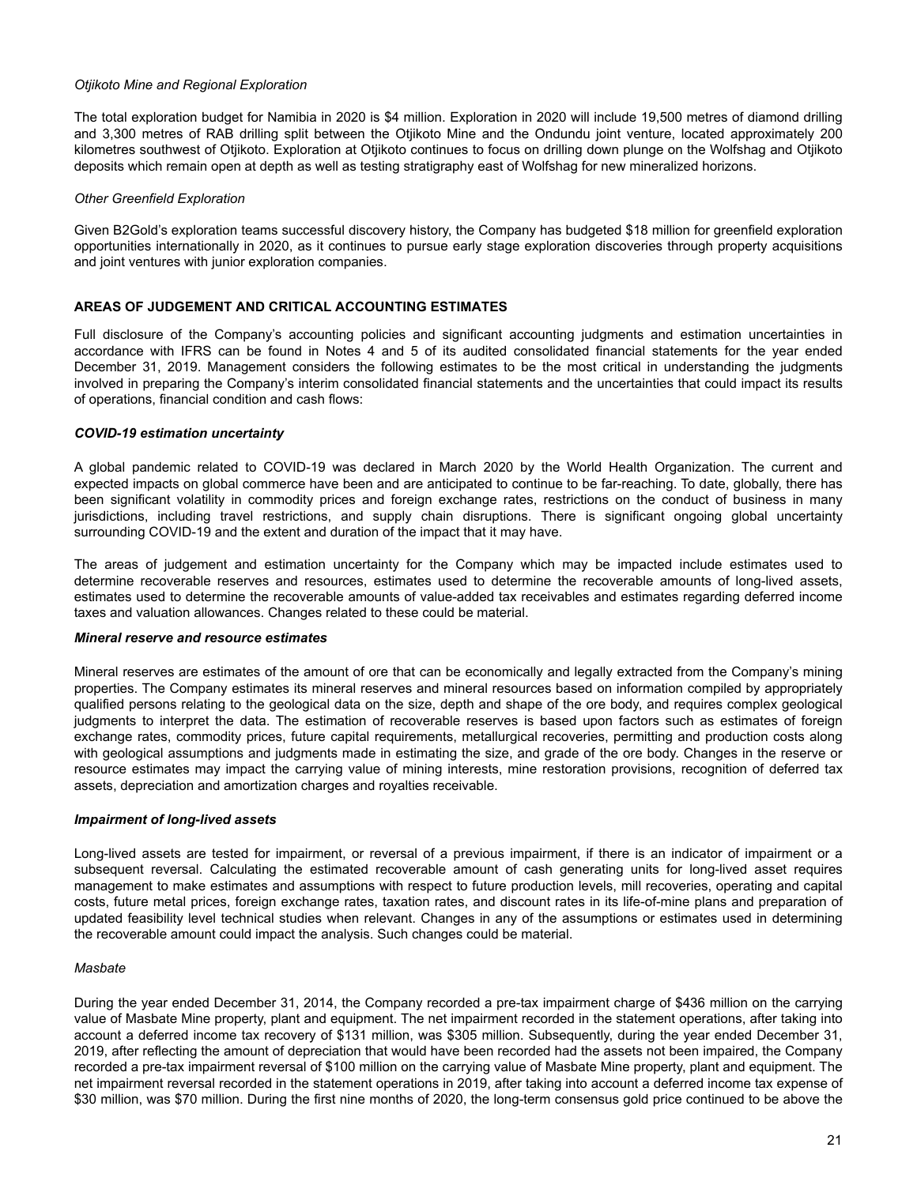## <span id="page-20-0"></span>*Otjikoto Mine and Regional Exploration*

The total exploration budget for Namibia in 2020 is \$4 million. Exploration in 2020 will include 19,500 metres of diamond drilling and 3,300 metres of RAB drilling split between the Otjikoto Mine and the Ondundu joint venture, located approximately 200 kilometres southwest of Otjikoto. Exploration at Otjikoto continues to focus on drilling down plunge on the Wolfshag and Otjikoto deposits which remain open at depth as well as testing stratigraphy east of Wolfshag for new mineralized horizons.

#### *Other Greenfield Exploration*

Given B2Gold's exploration teams successful discovery history, the Company has budgeted \$18 million for greenfield exploration opportunities internationally in 2020, as it continues to pursue early stage exploration discoveries through property acquisitions and joint ventures with junior exploration companies.

## **AREAS OF JUDGEMENT AND CRITICAL ACCOUNTING ESTIMATES**

Full disclosure of the Company's accounting policies and significant accounting judgments and estimation uncertainties in accordance with IFRS can be found in Notes 4 and 5 of its audited consolidated financial statements for the year ended December 31, 2019. Management considers the following estimates to be the most critical in understanding the judgments involved in preparing the Company's interim consolidated financial statements and the uncertainties that could impact its results of operations, financial condition and cash flows:

#### *COVID-19 estimation uncertainty*

A global pandemic related to COVID-19 was declared in March 2020 by the World Health Organization. The current and expected impacts on global commerce have been and are anticipated to continue to be far-reaching. To date, globally, there has been significant volatility in commodity prices and foreign exchange rates, restrictions on the conduct of business in many jurisdictions, including travel restrictions, and supply chain disruptions. There is significant ongoing global uncertainty surrounding COVID-19 and the extent and duration of the impact that it may have.

The areas of judgement and estimation uncertainty for the Company which may be impacted include estimates used to determine recoverable reserves and resources, estimates used to determine the recoverable amounts of long-lived assets, estimates used to determine the recoverable amounts of value-added tax receivables and estimates regarding deferred income taxes and valuation allowances. Changes related to these could be material.

#### *Mineral reserve and resource estimates*

Mineral reserves are estimates of the amount of ore that can be economically and legally extracted from the Company's mining properties. The Company estimates its mineral reserves and mineral resources based on information compiled by appropriately qualified persons relating to the geological data on the size, depth and shape of the ore body, and requires complex geological judgments to interpret the data. The estimation of recoverable reserves is based upon factors such as estimates of foreign exchange rates, commodity prices, future capital requirements, metallurgical recoveries, permitting and production costs along with geological assumptions and judgments made in estimating the size, and grade of the ore body. Changes in the reserve or resource estimates may impact the carrying value of mining interests, mine restoration provisions, recognition of deferred tax assets, depreciation and amortization charges and royalties receivable.

#### *Impairment of long-lived assets*

Long-lived assets are tested for impairment, or reversal of a previous impairment, if there is an indicator of impairment or a subsequent reversal. Calculating the estimated recoverable amount of cash generating units for long-lived asset requires management to make estimates and assumptions with respect to future production levels, mill recoveries, operating and capital costs, future metal prices, foreign exchange rates, taxation rates, and discount rates in its life-of-mine plans and preparation of updated feasibility level technical studies when relevant. Changes in any of the assumptions or estimates used in determining the recoverable amount could impact the analysis. Such changes could be material.

#### *Masbate*

During the year ended December 31, 2014, the Company recorded a pre-tax impairment charge of \$436 million on the carrying value of Masbate Mine property, plant and equipment. The net impairment recorded in the statement operations, after taking into account a deferred income tax recovery of \$131 million, was \$305 million. Subsequently, during the year ended December 31, 2019, after reflecting the amount of depreciation that would have been recorded had the assets not been impaired, the Company recorded a pre-tax impairment reversal of \$100 million on the carrying value of Masbate Mine property, plant and equipment. The net impairment reversal recorded in the statement operations in 2019, after taking into account a deferred income tax expense of \$30 million, was \$70 million. During the first nine months of 2020, the long-term consensus gold price continued to be above the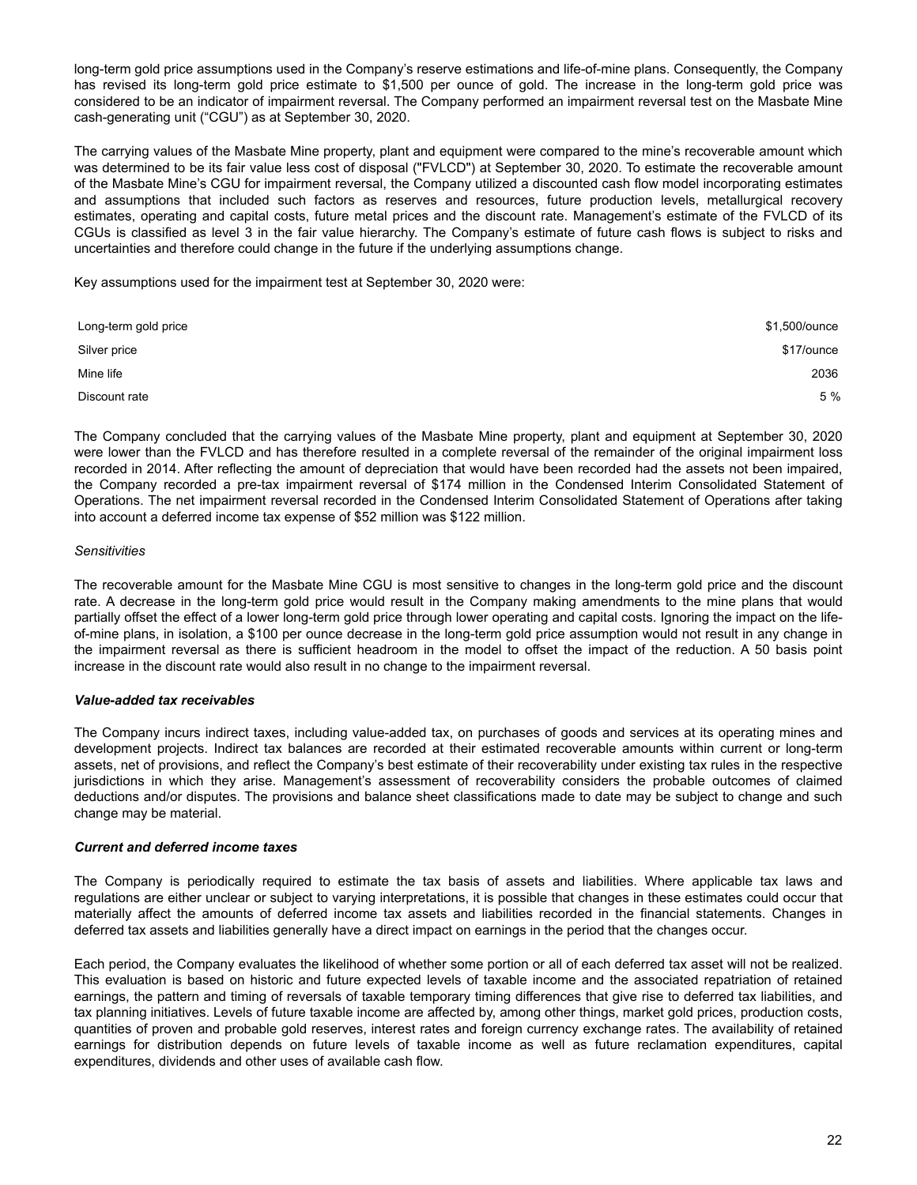long-term gold price assumptions used in the Company's reserve estimations and life-of-mine plans. Consequently, the Company has revised its long-term gold price estimate to \$1,500 per ounce of gold. The increase in the long-term gold price was considered to be an indicator of impairment reversal. The Company performed an impairment reversal test on the Masbate Mine cash-generating unit ("CGU") as at September 30, 2020.

The carrying values of the Masbate Mine property, plant and equipment were compared to the mine's recoverable amount which was determined to be its fair value less cost of disposal ("FVLCD") at September 30, 2020. To estimate the recoverable amount of the Masbate Mine's CGU for impairment reversal, the Company utilized a discounted cash flow model incorporating estimates and assumptions that included such factors as reserves and resources, future production levels, metallurgical recovery estimates, operating and capital costs, future metal prices and the discount rate. Management's estimate of the FVLCD of its CGUs is classified as level 3 in the fair value hierarchy. The Company's estimate of future cash flows is subject to risks and uncertainties and therefore could change in the future if the underlying assumptions change.

Key assumptions used for the impairment test at September 30, 2020 were:

| Long-term gold price | \$1,500/ounce |
|----------------------|---------------|
| Silver price         | \$17/ounce    |
| Mine life            | 2036          |
| Discount rate        | 5 %           |

The Company concluded that the carrying values of the Masbate Mine property, plant and equipment at September 30, 2020 were lower than the FVLCD and has therefore resulted in a complete reversal of the remainder of the original impairment loss recorded in 2014. After reflecting the amount of depreciation that would have been recorded had the assets not been impaired, the Company recorded a pre-tax impairment reversal of \$174 million in the Condensed Interim Consolidated Statement of Operations. The net impairment reversal recorded in the Condensed Interim Consolidated Statement of Operations after taking into account a deferred income tax expense of \$52 million was \$122 million.

#### *Sensitivities*

The recoverable amount for the Masbate Mine CGU is most sensitive to changes in the long-term gold price and the discount rate. A decrease in the long-term gold price would result in the Company making amendments to the mine plans that would partially offset the effect of a lower long-term gold price through lower operating and capital costs. Ignoring the impact on the lifeof-mine plans, in isolation, a \$100 per ounce decrease in the long-term gold price assumption would not result in any change in the impairment reversal as there is sufficient headroom in the model to offset the impact of the reduction. A 50 basis point increase in the discount rate would also result in no change to the impairment reversal.

## *Value-added tax receivables*

The Company incurs indirect taxes, including value-added tax, on purchases of goods and services at its operating mines and development projects. Indirect tax balances are recorded at their estimated recoverable amounts within current or long-term assets, net of provisions, and reflect the Company's best estimate of their recoverability under existing tax rules in the respective jurisdictions in which they arise. Management's assessment of recoverability considers the probable outcomes of claimed deductions and/or disputes. The provisions and balance sheet classifications made to date may be subject to change and such change may be material.

#### *Current and deferred income taxes*

The Company is periodically required to estimate the tax basis of assets and liabilities. Where applicable tax laws and regulations are either unclear or subject to varying interpretations, it is possible that changes in these estimates could occur that materially affect the amounts of deferred income tax assets and liabilities recorded in the financial statements. Changes in deferred tax assets and liabilities generally have a direct impact on earnings in the period that the changes occur.

Each period, the Company evaluates the likelihood of whether some portion or all of each deferred tax asset will not be realized. This evaluation is based on historic and future expected levels of taxable income and the associated repatriation of retained earnings, the pattern and timing of reversals of taxable temporary timing differences that give rise to deferred tax liabilities, and tax planning initiatives. Levels of future taxable income are affected by, among other things, market gold prices, production costs, quantities of proven and probable gold reserves, interest rates and foreign currency exchange rates. The availability of retained earnings for distribution depends on future levels of taxable income as well as future reclamation expenditures, capital expenditures, dividends and other uses of available cash flow.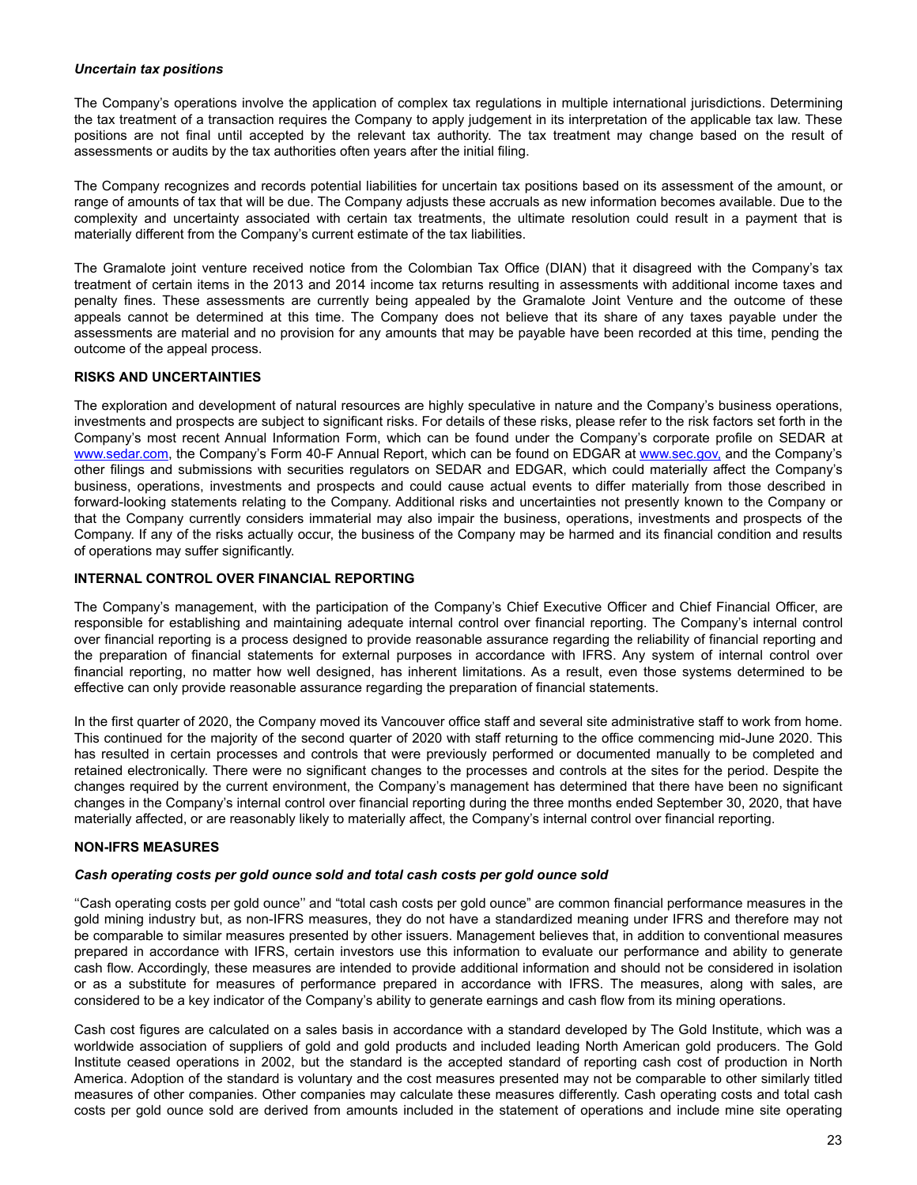## <span id="page-22-0"></span>*Uncertain tax positions*

The Company's operations involve the application of complex tax regulations in multiple international jurisdictions. Determining the tax treatment of a transaction requires the Company to apply judgement in its interpretation of the applicable tax law. These positions are not final until accepted by the relevant tax authority. The tax treatment may change based on the result of assessments or audits by the tax authorities often years after the initial filing.

The Company recognizes and records potential liabilities for uncertain tax positions based on its assessment of the amount, or range of amounts of tax that will be due. The Company adjusts these accruals as new information becomes available. Due to the complexity and uncertainty associated with certain tax treatments, the ultimate resolution could result in a payment that is materially different from the Company's current estimate of the tax liabilities.

The Gramalote joint venture received notice from the Colombian Tax Office (DIAN) that it disagreed with the Company's tax treatment of certain items in the 2013 and 2014 income tax returns resulting in assessments with additional income taxes and penalty fines. These assessments are currently being appealed by the Gramalote Joint Venture and the outcome of these appeals cannot be determined at this time. The Company does not believe that its share of any taxes payable under the assessments are material and no provision for any amounts that may be payable have been recorded at this time, pending the outcome of the appeal process.

## **RISKS AND UNCERTAINTIES**

The exploration and development of natural resources are highly speculative in nature and the Company's business operations, investments and prospects are subject to significant risks. For details of these risks, please refer to the risk factors set forth in the Company's most recent Annual Information Form, which can be found under the Company's corporate profile on SEDAR at www.sedar.com, the Company's Form 40-F Annual Report, which can be found on EDGAR at www.sec.gov, and the Company's other filings and submissions with securities regulators on SEDAR and EDGAR, which could materially affect the Company's business, operations, investments and prospects and could cause actual events to differ materially from those described in forward-looking statements relating to the Company. Additional risks and uncertainties not presently known to the Company or that the Company currently considers immaterial may also impair the business, operations, investments and prospects of the Company. If any of the risks actually occur, the business of the Company may be harmed and its financial condition and results of operations may suffer significantly.

## **INTERNAL CONTROL OVER FINANCIAL REPORTING**

The Company's management, with the participation of the Company's Chief Executive Officer and Chief Financial Officer, are responsible for establishing and maintaining adequate internal control over financial reporting. The Company's internal control over financial reporting is a process designed to provide reasonable assurance regarding the reliability of financial reporting and the preparation of financial statements for external purposes in accordance with IFRS. Any system of internal control over financial reporting, no matter how well designed, has inherent limitations. As a result, even those systems determined to be effective can only provide reasonable assurance regarding the preparation of financial statements.

In the first quarter of 2020, the Company moved its Vancouver office staff and several site administrative staff to work from home. This continued for the majority of the second quarter of 2020 with staff returning to the office commencing mid-June 2020. This has resulted in certain processes and controls that were previously performed or documented manually to be completed and retained electronically. There were no significant changes to the processes and controls at the sites for the period. Despite the changes required by the current environment, the Company's management has determined that there have been no significant changes in the Company's internal control over financial reporting during the three months ended September 30, 2020, that have materially affected, or are reasonably likely to materially affect, the Company's internal control over financial reporting.

# **NON-IFRS MEASURES**

# *Cash operating costs per gold ounce sold and total cash costs per gold ounce sold*

''Cash operating costs per gold ounce'' and "total cash costs per gold ounce" are common financial performance measures in the gold mining industry but, as non-IFRS measures, they do not have a standardized meaning under IFRS and therefore may not be comparable to similar measures presented by other issuers. Management believes that, in addition to conventional measures prepared in accordance with IFRS, certain investors use this information to evaluate our performance and ability to generate cash flow. Accordingly, these measures are intended to provide additional information and should not be considered in isolation or as a substitute for measures of performance prepared in accordance with IFRS. The measures, along with sales, are considered to be a key indicator of the Company's ability to generate earnings and cash flow from its mining operations.

Cash cost figures are calculated on a sales basis in accordance with a standard developed by The Gold Institute, which was a worldwide association of suppliers of gold and gold products and included leading North American gold producers. The Gold Institute ceased operations in 2002, but the standard is the accepted standard of reporting cash cost of production in North America. Adoption of the standard is voluntary and the cost measures presented may not be comparable to other similarly titled measures of other companies. Other companies may calculate these measures differently. Cash operating costs and total cash costs per gold ounce sold are derived from amounts included in the statement of operations and include mine site operating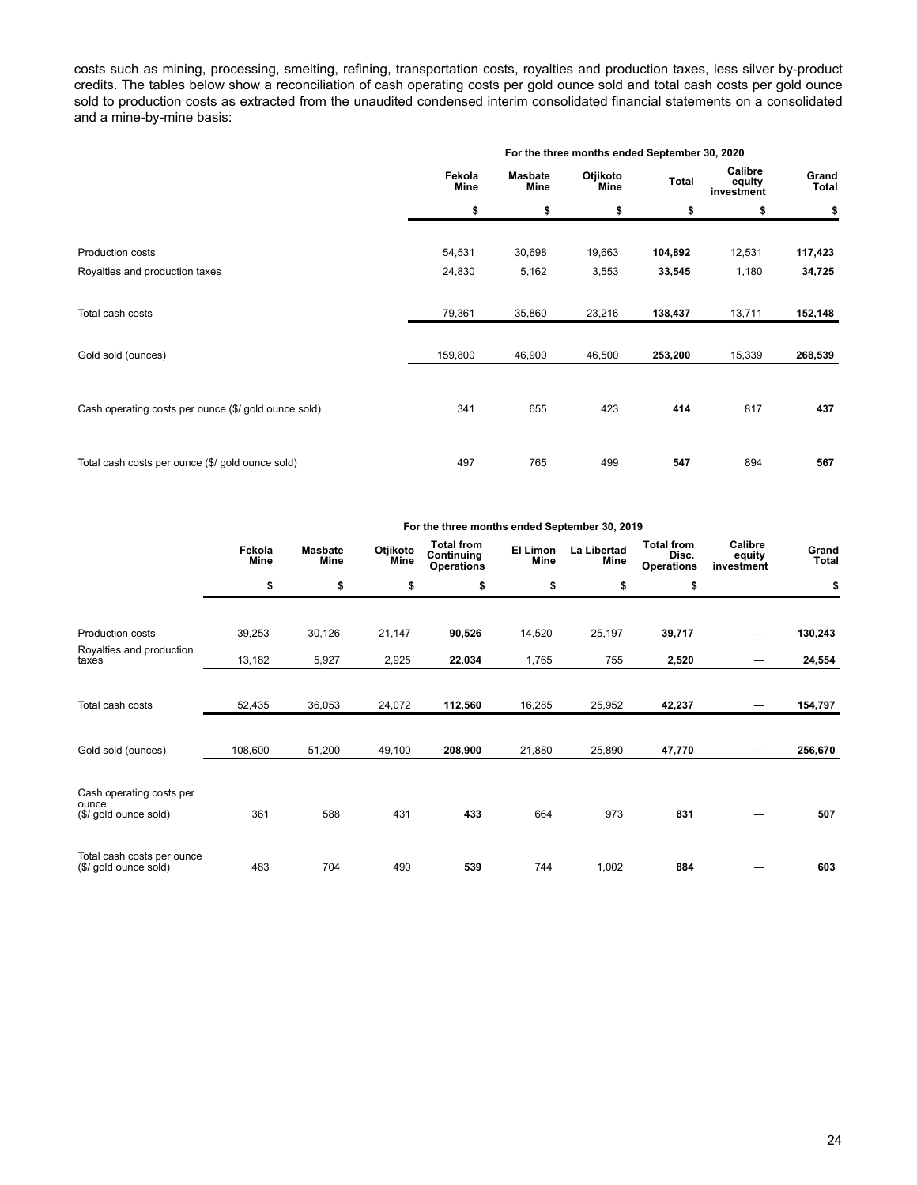costs such as mining, processing, smelting, refining, transportation costs, royalties and production taxes, less silver by-product credits. The tables below show a reconciliation of cash operating costs per gold ounce sold and total cash costs per gold ounce sold to production costs as extracted from the unaudited condensed interim consolidated financial statements on a consolidated and a mine-by-mine basis:

| For the three months ended September 30, 2020 |                        |                  |         |                                 |                       |  |
|-----------------------------------------------|------------------------|------------------|---------|---------------------------------|-----------------------|--|
| Fekola<br><b>Mine</b>                         | <b>Masbate</b><br>Mine | Otjikoto<br>Mine | Total   | Calibre<br>equity<br>investment | Grand<br><b>Total</b> |  |
| \$                                            | \$                     | \$               | \$      | \$                              | \$                    |  |
| 54,531                                        | 30,698                 | 19,663           | 104,892 | 12,531                          | 117,423               |  |
| 24,830                                        | 5,162                  | 3,553            | 33,545  | 1,180                           | 34,725                |  |
|                                               |                        |                  |         |                                 |                       |  |
| 79,361                                        | 35,860                 | 23,216           | 138,437 | 13,711                          | 152,148               |  |
| 159,800                                       | 46,900                 | 46,500           | 253,200 | 15,339                          | 268,539               |  |
|                                               |                        |                  |         |                                 |                       |  |
| 341                                           | 655                    | 423              | 414     | 817                             | 437                   |  |
| 497                                           | 765                    | 499              | 547     | 894                             | 567                   |  |
|                                               |                        |                  |         |                                 |                       |  |

|                                                     |                |                        |                  | For the three months ended september 30, 2019        |                  |                     |                                                 |                                 |                       |
|-----------------------------------------------------|----------------|------------------------|------------------|------------------------------------------------------|------------------|---------------------|-------------------------------------------------|---------------------------------|-----------------------|
|                                                     | Fekola<br>Mine | <b>Masbate</b><br>Mine | Otjikoto<br>Mine | <b>Total from</b><br>Continuing<br><b>Operations</b> | El Limon<br>Mine | La Libertad<br>Mine | <b>Total from</b><br>Disc.<br><b>Operations</b> | Calibre<br>equity<br>investment | Grand<br><b>Total</b> |
|                                                     | \$             | \$                     | \$               | \$                                                   | \$               | \$                  | \$                                              |                                 | \$                    |
|                                                     |                |                        |                  |                                                      |                  |                     |                                                 |                                 |                       |
| Production costs                                    | 39,253         | 30,126                 | 21,147           | 90,526                                               | 14,520           | 25,197              | 39,717                                          |                                 | 130,243               |
| Royalties and production<br>taxes                   | 13,182         | 5,927                  | 2,925            | 22,034                                               | 1,765            | 755                 | 2,520                                           |                                 | 24,554                |
|                                                     |                |                        |                  |                                                      |                  |                     |                                                 |                                 |                       |
| Total cash costs                                    | 52,435         | 36,053                 | 24,072           | 112,560                                              | 16,285           | 25,952              | 42,237                                          |                                 | 154,797               |
|                                                     |                |                        |                  |                                                      |                  |                     |                                                 |                                 |                       |
| Gold sold (ounces)                                  | 108,600        | 51,200                 | 49,100           | 208,900                                              | 21,880           | 25,890              | 47,770                                          |                                 | 256,670               |
| Cash operating costs per<br>ounce                   |                |                        |                  |                                                      |                  |                     |                                                 |                                 |                       |
| (\$/ gold ounce sold)                               | 361            | 588                    | 431              | 433                                                  | 664              | 973                 | 831                                             |                                 | 507                   |
| Total cash costs per ounce<br>(\$/ gold ounce sold) | 483            | 704                    | 490              | 539                                                  | 744              | 1,002               | 884                                             |                                 | 603                   |

**For the three months ended September 30, 2019**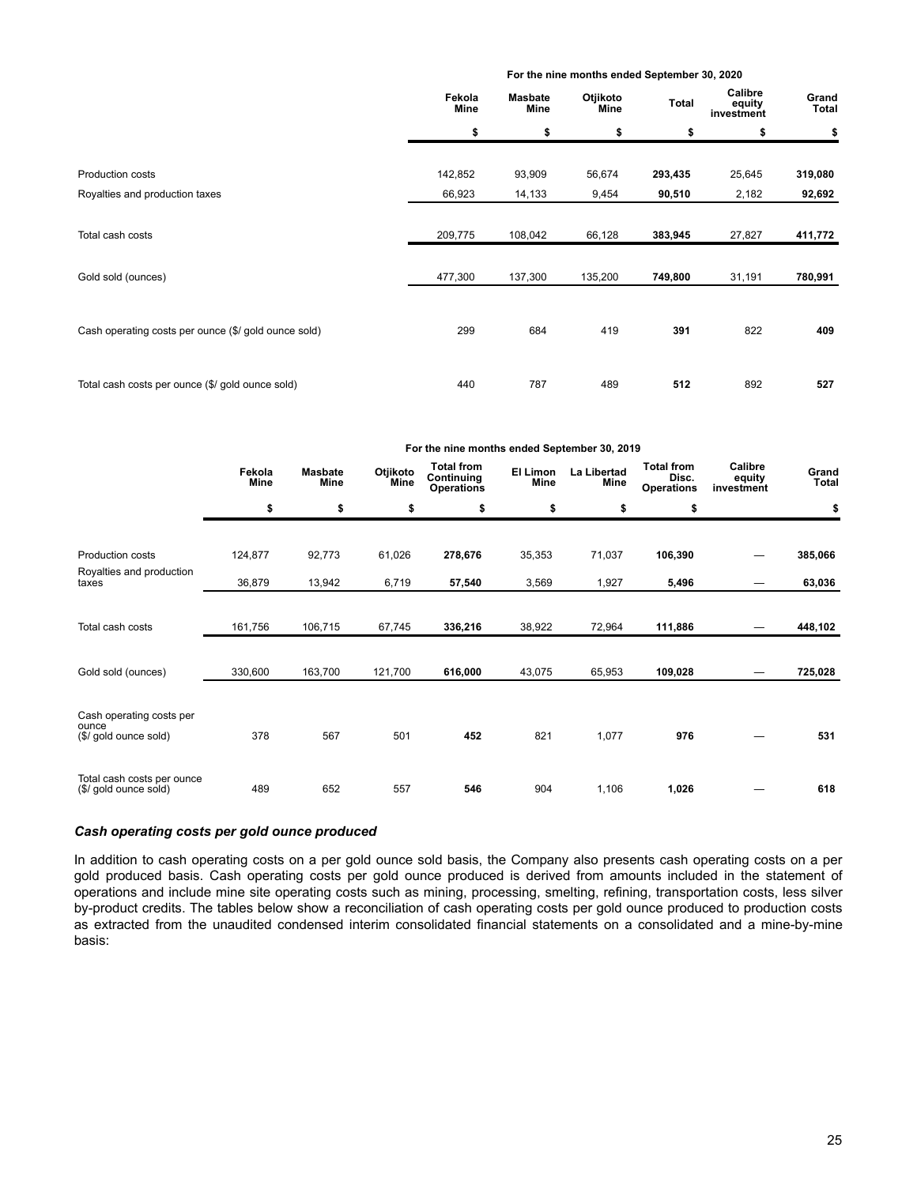|                                                      |                |                        | For the lime months ended september 30, 2020 |         |                                 |                |  |  |  |
|------------------------------------------------------|----------------|------------------------|----------------------------------------------|---------|---------------------------------|----------------|--|--|--|
|                                                      | Fekola<br>Mine | <b>Masbate</b><br>Mine | Otjikoto<br>Mine                             | Total   | Calibre<br>equity<br>investment | Grand<br>Total |  |  |  |
|                                                      | \$             | \$                     | \$                                           | \$      | \$                              | \$             |  |  |  |
| Production costs                                     | 142,852        | 93,909                 | 56,674                                       | 293,435 | 25,645                          | 319,080        |  |  |  |
| Royalties and production taxes                       | 66,923         | 14,133                 | 9,454                                        | 90,510  | 2,182                           | 92,692         |  |  |  |
| Total cash costs                                     | 209,775        | 108,042                | 66,128                                       | 383,945 | 27,827                          | 411,772        |  |  |  |
| Gold sold (ounces)                                   | 477,300        | 137,300                | 135,200                                      | 749,800 | 31,191                          | 780,991        |  |  |  |
| Cash operating costs per ounce (\$/ gold ounce sold) | 299            | 684                    | 419                                          | 391     | 822                             | 409            |  |  |  |
| Total cash costs per ounce (\$/ gold ounce sold)     | 440            | 787                    | 489                                          | 512     | 892                             | 527            |  |  |  |

**For the nine months ended September 30, 2020**

|                                                            |                |                        |                  | For the nine months ended September 30, 2019         |                  |                     |                                                 |                                 |                       |
|------------------------------------------------------------|----------------|------------------------|------------------|------------------------------------------------------|------------------|---------------------|-------------------------------------------------|---------------------------------|-----------------------|
|                                                            | Fekola<br>Mine | <b>Masbate</b><br>Mine | Otjikoto<br>Mine | <b>Total from</b><br>Continuing<br><b>Operations</b> | El Limon<br>Mine | La Libertad<br>Mine | <b>Total from</b><br>Disc.<br><b>Operations</b> | Calibre<br>equity<br>investment | Grand<br><b>Total</b> |
|                                                            | \$             | \$                     | \$               | \$                                                   | \$               | \$                  | \$                                              |                                 | \$                    |
| <b>Production costs</b>                                    | 124,877        | 92,773                 | 61,026           | 278,676                                              | 35,353           | 71,037              | 106,390                                         |                                 | 385,066               |
| Royalties and production<br>taxes                          | 36,879         | 13,942                 | 6,719            | 57,540                                               | 3,569            | 1,927               | 5,496                                           |                                 | 63,036                |
| Total cash costs                                           | 161,756        | 106,715                | 67,745           | 336,216                                              | 38,922           | 72,964              | 111,886                                         |                                 | 448,102               |
| Gold sold (ounces)                                         | 330,600        | 163,700                | 121,700          | 616,000                                              | 43,075           | 65,953              | 109,028                                         |                                 | 725,028               |
| Cash operating costs per<br>ounce<br>(\$/ gold ounce sold) | 378            | 567                    | 501              | 452                                                  | 821              | 1,077               | 976                                             |                                 | 531                   |
| Total cash costs per ounce<br>(\$/ gold ounce sold)        | 489            | 652                    | 557              | 546                                                  | 904              | 1,106               | 1,026                                           |                                 | 618                   |

# *Cash operating costs per gold ounce produced*

In addition to cash operating costs on a per gold ounce sold basis, the Company also presents cash operating costs on a per gold produced basis. Cash operating costs per gold ounce produced is derived from amounts included in the statement of operations and include mine site operating costs such as mining, processing, smelting, refining, transportation costs, less silver by-product credits. The tables below show a reconciliation of cash operating costs per gold ounce produced to production costs as extracted from the unaudited condensed interim consolidated financial statements on a consolidated and a mine-by-mine basis: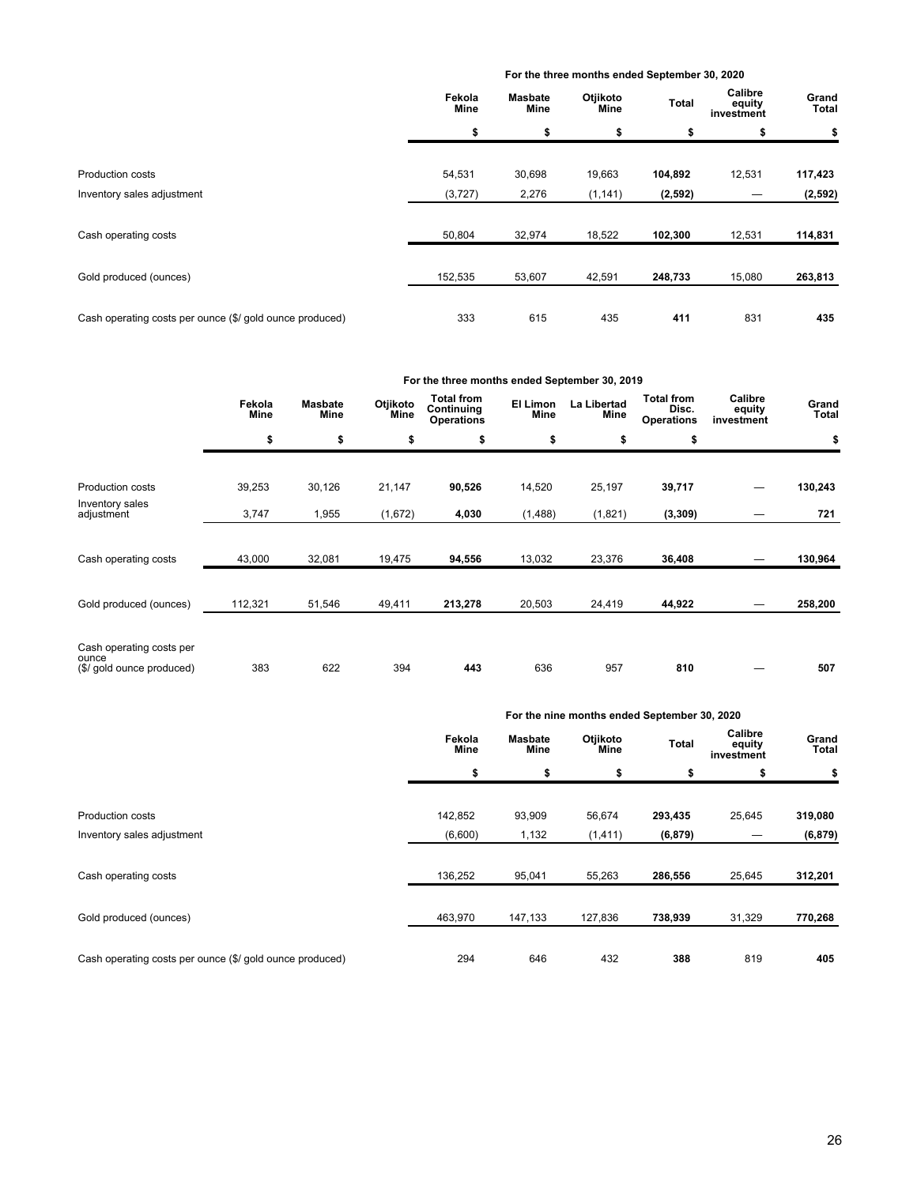#### **For the three months ended September 30, 2020**

|                                                          | Fekola<br>Mine | Masbate<br>Mine | Otjikoto<br>Mine | Total    | Calibre<br>equity<br>investment | Grand<br><b>Total</b> |
|----------------------------------------------------------|----------------|-----------------|------------------|----------|---------------------------------|-----------------------|
|                                                          | \$             | \$              | \$               | \$       | \$                              | \$                    |
| <b>Production costs</b>                                  | 54,531         | 30,698          | 19,663           | 104,892  | 12,531                          | 117,423               |
| Inventory sales adjustment                               | (3,727)        | 2,276           | (1, 141)         | (2, 592) |                                 | (2, 592)              |
| Cash operating costs                                     | 50,804         | 32,974          | 18,522           | 102,300  | 12,531                          | 114,831               |
| Gold produced (ounces)                                   | 152,535        | 53,607          | 42,591           | 248,733  | 15,080                          | 263,813               |
| Cash operating costs per ounce (\$/ gold ounce produced) | 333            | 615             | 435              | 411      | 831                             | 435                   |

|                                                                |                |                        |                  | For the three months ended September 30, 2019        |                         |                     |                                                 |                                 |                |
|----------------------------------------------------------------|----------------|------------------------|------------------|------------------------------------------------------|-------------------------|---------------------|-------------------------------------------------|---------------------------------|----------------|
|                                                                | Fekola<br>Mine | <b>Masbate</b><br>Mine | Otjikoto<br>Mine | <b>Total from</b><br>Continuing<br><b>Operations</b> | El Limon<br><b>Mine</b> | La Libertad<br>Mine | <b>Total from</b><br>Disc.<br><b>Operations</b> | Calibre<br>equity<br>investment | Grand<br>Total |
|                                                                | \$             | \$                     | \$               | \$                                                   | \$                      | \$                  | \$                                              |                                 | \$             |
| Production costs                                               | 39,253         | 30,126                 | 21,147           | 90,526                                               | 14,520                  | 25,197              | 39,717                                          |                                 | 130,243        |
| Inventory sales<br>adjustment                                  | 3,747          | 1,955                  | (1,672)          | 4,030                                                | (1,488)                 | (1,821)             | (3, 309)                                        |                                 | 721            |
| Cash operating costs                                           | 43,000         | 32,081                 | 19,475           | 94,556                                               | 13,032                  | 23,376              | 36,408                                          |                                 | 130,964        |
| Gold produced (ounces)                                         | 112,321        | 51,546                 | 49,411           | 213,278                                              | 20,503                  | 24,419              | 44,922                                          |                                 | 258,200        |
| Cash operating costs per<br>ounce<br>(\$/ gold ounce produced) | 383            | 622                    | 394              | 443                                                  | 636                     | 957                 | 810                                             |                                 | 507            |

|                                                          |                |                               | For the nine months ended September 30, 2020 |          |                                 |                       |
|----------------------------------------------------------|----------------|-------------------------------|----------------------------------------------|----------|---------------------------------|-----------------------|
|                                                          | Fekola<br>Mine | <b>Masbate</b><br><b>Mine</b> | Otjikoto<br>Mine                             | Total    | Calibre<br>equity<br>investment | Grand<br><b>Total</b> |
|                                                          | \$             | \$                            | \$                                           | \$       | \$                              | \$                    |
| <b>Production costs</b>                                  | 142,852        | 93,909                        | 56,674                                       | 293,435  | 25,645                          | 319,080               |
| Inventory sales adjustment                               | (6,600)        | 1,132                         | (1, 411)                                     | (6, 879) |                                 | (6, 879)              |
| Cash operating costs                                     | 136,252        | 95,041                        | 55,263                                       | 286,556  | 25,645                          | 312,201               |
| Gold produced (ounces)                                   | 463,970        | 147,133                       | 127,836                                      | 738,939  | 31,329                          | 770,268               |
| Cash operating costs per ounce (\$/ gold ounce produced) | 294            | 646                           | 432                                          | 388      | 819                             | 405                   |

# 26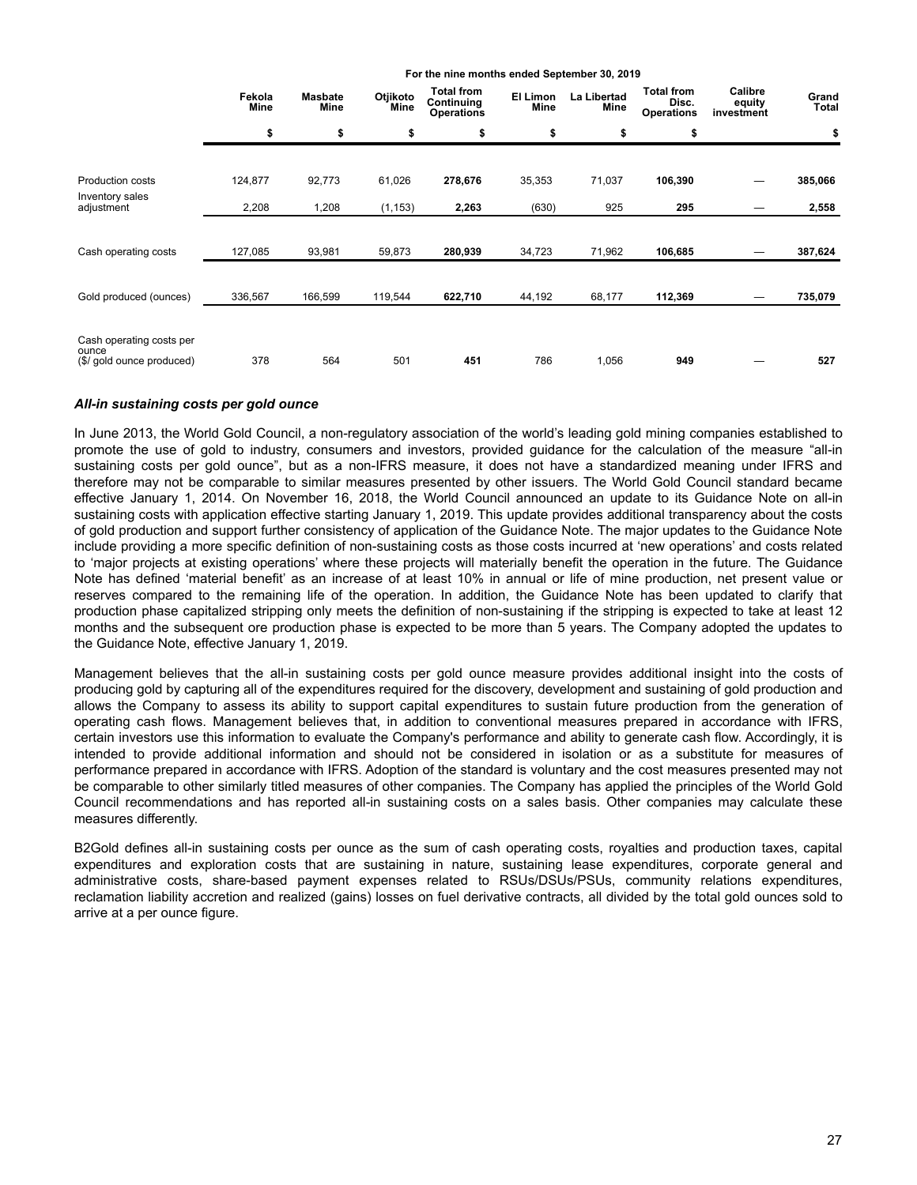|                                                                | Fekola<br>Mine | <b>Masbate</b><br>Mine | Otjikoto<br>Mine | <b>Total from</b><br>Continuing<br><b>Operations</b> | El Limon<br>Mine | La Libertad<br>Mine | <b>Total from</b><br>Disc.<br><b>Operations</b> | Calibre<br>equity<br>investment | Grand<br>Total |
|----------------------------------------------------------------|----------------|------------------------|------------------|------------------------------------------------------|------------------|---------------------|-------------------------------------------------|---------------------------------|----------------|
|                                                                | \$             | \$                     | \$               | \$                                                   | \$               | \$                  | \$                                              |                                 | \$             |
| Production costs                                               | 124,877        | 92,773                 | 61,026           | 278,676                                              | 35,353           | 71,037              | 106,390                                         |                                 | 385,066        |
| Inventory sales<br>adjustment                                  | 2,208          | 1,208                  | (1, 153)         | 2,263                                                | (630)            | 925                 | 295                                             |                                 | 2,558          |
|                                                                |                |                        |                  |                                                      |                  |                     |                                                 |                                 |                |
| Cash operating costs                                           | 127,085        | 93,981                 | 59,873           | 280,939                                              | 34,723           | 71,962              | 106,685                                         |                                 | 387,624        |
| Gold produced (ounces)                                         | 336,567        | 166,599                | 119,544          | 622,710                                              | 44,192           | 68,177              | 112,369                                         |                                 | 735,079        |
| Cash operating costs per<br>ounce<br>(\$/ gold ounce produced) | 378            | 564                    | 501              | 451                                                  | 786              | 1,056               | 949                                             |                                 | 527            |

**For the nine months ended September 30, 2019**

## *All-in sustaining costs per gold ounce*

In June 2013, the World Gold Council, a non-regulatory association of the world's leading gold mining companies established to promote the use of gold to industry, consumers and investors, provided guidance for the calculation of the measure "all-in sustaining costs per gold ounce", but as a non-IFRS measure, it does not have a standardized meaning under IFRS and therefore may not be comparable to similar measures presented by other issuers. The World Gold Council standard became effective January 1, 2014. On November 16, 2018, the World Council announced an update to its Guidance Note on all-in sustaining costs with application effective starting January 1, 2019. This update provides additional transparency about the costs of gold production and support further consistency of application of the Guidance Note. The major updates to the Guidance Note include providing a more specific definition of non-sustaining costs as those costs incurred at 'new operations' and costs related to 'major projects at existing operations' where these projects will materially benefit the operation in the future. The Guidance Note has defined 'material benefit' as an increase of at least 10% in annual or life of mine production, net present value or reserves compared to the remaining life of the operation. In addition, the Guidance Note has been updated to clarify that production phase capitalized stripping only meets the definition of non-sustaining if the stripping is expected to take at least 12 months and the subsequent ore production phase is expected to be more than 5 years. The Company adopted the updates to the Guidance Note, effective January 1, 2019.

Management believes that the all-in sustaining costs per gold ounce measure provides additional insight into the costs of producing gold by capturing all of the expenditures required for the discovery, development and sustaining of gold production and allows the Company to assess its ability to support capital expenditures to sustain future production from the generation of operating cash flows. Management believes that, in addition to conventional measures prepared in accordance with IFRS, certain investors use this information to evaluate the Company's performance and ability to generate cash flow. Accordingly, it is intended to provide additional information and should not be considered in isolation or as a substitute for measures of performance prepared in accordance with IFRS. Adoption of the standard is voluntary and the cost measures presented may not be comparable to other similarly titled measures of other companies. The Company has applied the principles of the World Gold Council recommendations and has reported all-in sustaining costs on a sales basis. Other companies may calculate these measures differently.

B2Gold defines all-in sustaining costs per ounce as the sum of cash operating costs, royalties and production taxes, capital expenditures and exploration costs that are sustaining in nature, sustaining lease expenditures, corporate general and administrative costs, share-based payment expenses related to RSUs/DSUs/PSUs, community relations expenditures, reclamation liability accretion and realized (gains) losses on fuel derivative contracts, all divided by the total gold ounces sold to arrive at a per ounce figure.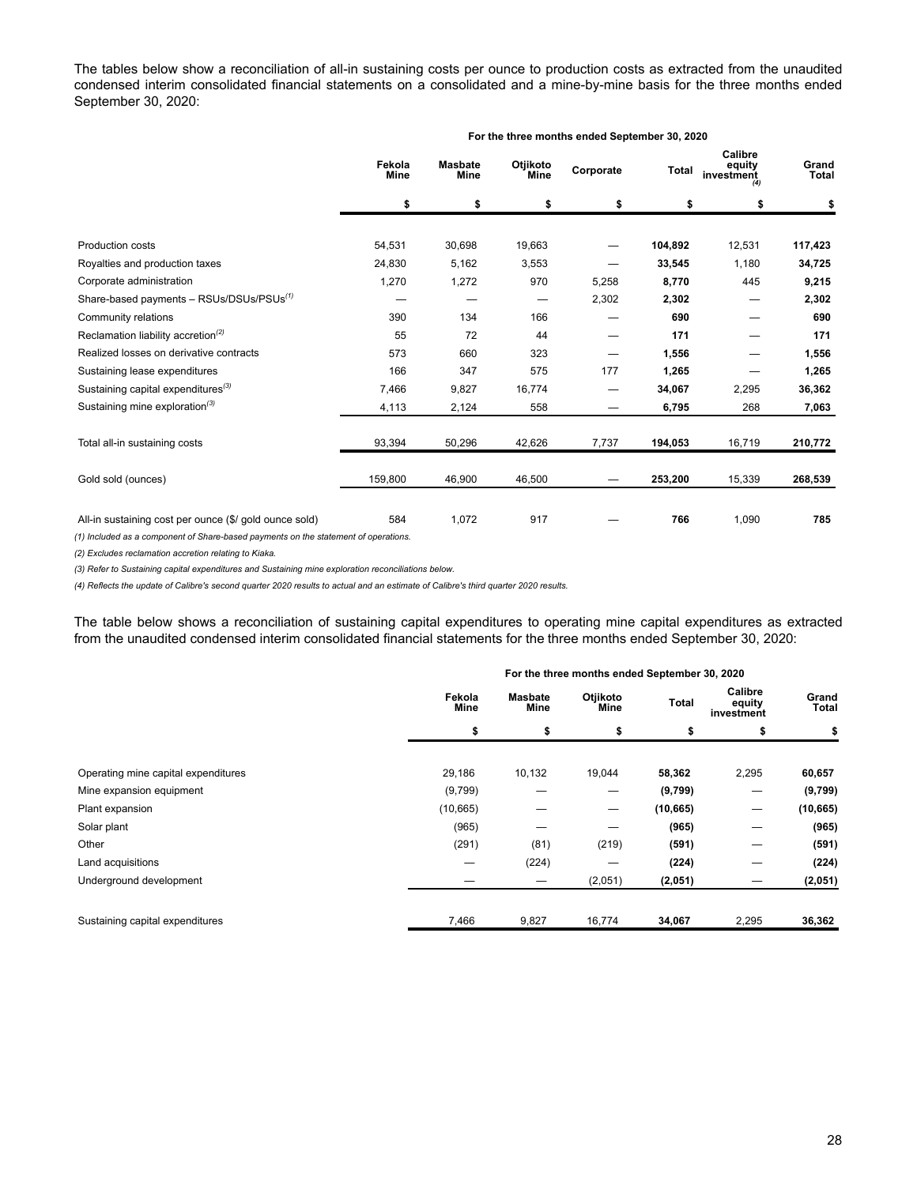The tables below show a reconciliation of all-in sustaining costs per ounce to production costs as extracted from the unaudited condensed interim consolidated financial statements on a consolidated and a mine-by-mine basis for the three months ended September 30, 2020:

|                                                             |                       |                               |                  | For the three months ended September 30, 2020 |         |                                 |                       |
|-------------------------------------------------------------|-----------------------|-------------------------------|------------------|-----------------------------------------------|---------|---------------------------------|-----------------------|
|                                                             | Fekola<br><b>Mine</b> | <b>Masbate</b><br><b>Mine</b> | Otjikoto<br>Mine | Corporate                                     | Total   | Calibre<br>equity<br>investment | Grand<br><b>Total</b> |
|                                                             | \$                    | \$                            | \$               | \$                                            | \$      | \$                              | \$                    |
| <b>Production costs</b>                                     | 54,531                | 30,698                        | 19,663           |                                               | 104,892 | 12,531                          | 117,423               |
| Royalties and production taxes                              | 24,830                | 5,162                         | 3,553            |                                               | 33,545  | 1,180                           | 34,725                |
| Corporate administration                                    | 1,270                 | 1,272                         | 970              | 5,258                                         | 8,770   | 445                             | 9,215                 |
| Share-based payments - RSUs/DSUs/PSUs <sup>(1)</sup>        |                       |                               | —                | 2,302                                         | 2,302   |                                 | 2,302                 |
| Community relations                                         | 390                   | 134                           | 166              |                                               | 690     |                                 | 690                   |
| Reclamation liability accretion <sup><math>(2)</math></sup> | 55                    | 72                            | 44               |                                               | 171     |                                 | 171                   |
| Realized losses on derivative contracts                     | 573                   | 660                           | 323              |                                               | 1,556   |                                 | 1,556                 |
| Sustaining lease expenditures                               | 166                   | 347                           | 575              | 177                                           | 1,265   |                                 | 1,265                 |
| Sustaining capital expenditures <sup>(3)</sup>              | 7,466                 | 9,827                         | 16,774           |                                               | 34,067  | 2,295                           | 36,362                |
| Sustaining mine exploration <sup>(3)</sup>                  | 4,113                 | 2,124                         | 558              | --                                            | 6,795   | 268                             | 7,063                 |
| Total all-in sustaining costs                               | 93,394                | 50,296                        | 42,626           | 7,737                                         | 194,053 | 16,719                          | 210,772               |
| Gold sold (ounces)                                          | 159,800               | 46,900                        | 46,500           |                                               | 253,200 | 15,339                          | 268,539               |
| All-in sustaining cost per ounce (\$/ gold ounce sold)      | 584                   | 1,072                         | 917              |                                               | 766     | 1,090                           | 785                   |

*(1) Included as a component of Share-based payments on the statement of operations.* 

*(2) Excludes reclamation accretion relating to Kiaka.* 

*(3) Refer to Sustaining capital expenditures and Sustaining mine exploration reconciliations below.*

*(4) Reflects the update of Calibre's second quarter 2020 results to actual and an estimate of Calibre's third quarter 2020 results.*

The table below shows a reconciliation of sustaining capital expenditures to operating mine capital expenditures as extracted from the unaudited condensed interim consolidated financial statements for the three months ended September 30, 2020:

|                                     | For the three months ended September 30, 2020<br>Calibre<br>Otjikoto<br><b>Masbate</b><br>Fekola<br>Total<br>equity<br>Mine<br>Mine<br>Mine<br>investment<br>\$<br>\$<br>\$<br>\$<br>s |        |         |           |       |                       |  |  |  |
|-------------------------------------|----------------------------------------------------------------------------------------------------------------------------------------------------------------------------------------|--------|---------|-----------|-------|-----------------------|--|--|--|
|                                     |                                                                                                                                                                                        |        |         |           |       | Grand<br><b>Total</b> |  |  |  |
|                                     |                                                                                                                                                                                        |        |         |           |       | \$                    |  |  |  |
|                                     |                                                                                                                                                                                        |        |         |           |       |                       |  |  |  |
| Operating mine capital expenditures | 29,186                                                                                                                                                                                 | 10,132 | 19,044  | 58,362    | 2,295 | 60,657                |  |  |  |
| Mine expansion equipment            | (9,799)                                                                                                                                                                                |        |         | (9,799)   |       | (9,799)               |  |  |  |
| Plant expansion                     | (10, 665)                                                                                                                                                                              |        | –       | (10, 665) |       | (10, 665)             |  |  |  |
| Solar plant                         | (965)                                                                                                                                                                                  |        |         | (965)     |       | (965)                 |  |  |  |
| Other                               | (291)                                                                                                                                                                                  | (81)   | (219)   | (591)     |       | (591)                 |  |  |  |
| Land acquisitions                   | –                                                                                                                                                                                      | (224)  |         | (224)     |       | (224)                 |  |  |  |
| Underground development             |                                                                                                                                                                                        |        | (2,051) | (2,051)   |       | (2,051)               |  |  |  |
| Sustaining capital expenditures     | 7,466                                                                                                                                                                                  | 9,827  | 16,774  | 34,067    | 2,295 | 36,362                |  |  |  |

28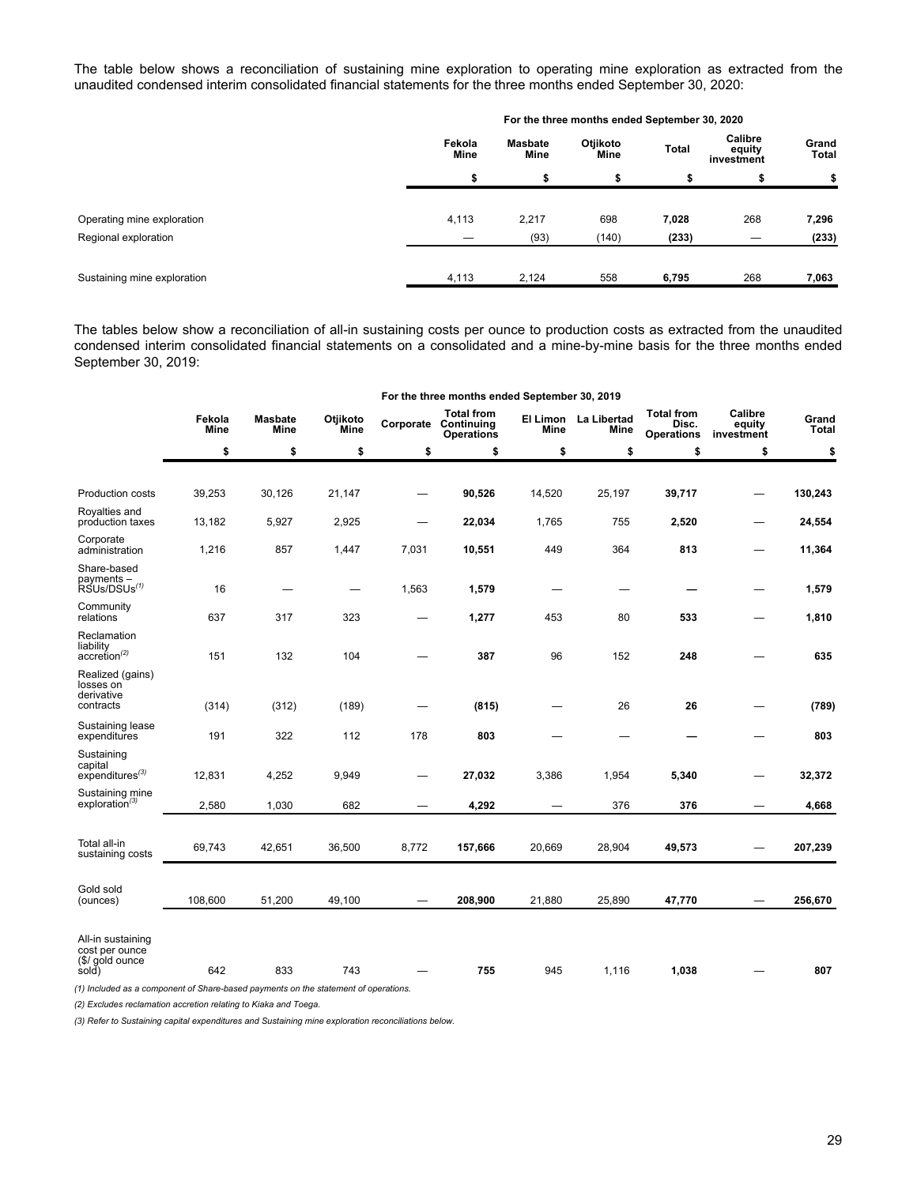The table below shows a reconciliation of sustaining mine exploration to operating mine exploration as extracted from the unaudited condensed interim consolidated financial statements for the three months ended September 30, 2020:

|                             |                       |                        | For the three months ended September 30, 2020 |       |                                 |                       |
|-----------------------------|-----------------------|------------------------|-----------------------------------------------|-------|---------------------------------|-----------------------|
|                             | Fekola<br><b>Mine</b> | <b>Masbate</b><br>Mine | Otjikoto<br>Mine                              | Total | Calibre<br>equity<br>investment | Grand<br><b>Total</b> |
|                             | \$                    | \$                     | \$                                            | \$    | \$                              | \$                    |
| Operating mine exploration  | 4,113                 | 2,217                  | 698                                           | 7,028 | 268                             | 7,296                 |
| Regional exploration        |                       | (93)                   | (140)                                         | (233) |                                 | (233)                 |
|                             |                       |                        |                                               |       |                                 |                       |
| Sustaining mine exploration | 4,113                 | 2,124                  | 558                                           | 6,795 | 268                             | 7,063                 |

The tables below show a reconciliation of all-in sustaining costs per ounce to production costs as extracted from the unaudited condensed interim consolidated financial statements on a consolidated and a mine-by-mine basis for the three months ended September 30, 2019:

|                                                                                               |                |                        |                  |       | For the three months ended September 30, 2019                  |        |                              |                                                 |                                 |                       |
|-----------------------------------------------------------------------------------------------|----------------|------------------------|------------------|-------|----------------------------------------------------------------|--------|------------------------------|-------------------------------------------------|---------------------------------|-----------------------|
|                                                                                               | Fekola<br>Mine | <b>Masbate</b><br>Mine | Otjikoto<br>Mine |       | <b>Total from</b><br>Corporate Continuing<br><b>Operations</b> | Mine   | El Limon La Libertad<br>Mine | <b>Total from</b><br>Disc.<br><b>Operations</b> | Calibre<br>equity<br>investment | Grand<br><b>Total</b> |
|                                                                                               | \$             | \$                     | \$               | \$    | \$                                                             | \$     | \$                           | \$                                              | \$                              | \$                    |
|                                                                                               |                |                        |                  |       |                                                                |        |                              |                                                 |                                 |                       |
| Production costs                                                                              | 39,253         | 30,126                 | 21,147           |       | 90,526                                                         | 14,520 | 25,197                       | 39,717                                          |                                 | 130,243               |
| Royalties and<br>production taxes                                                             | 13,182         | 5,927                  | 2,925            | -     | 22,034                                                         | 1,765  | 755                          | 2,520                                           |                                 | 24,554                |
| Corporate<br>administration                                                                   | 1,216          | 857                    | 1,447            | 7,031 | 10,551                                                         | 449    | 364                          | 813                                             |                                 | 11,364                |
| Share-based<br>payments -<br>RSUs/DSUs <sup>(1)</sup>                                         | 16             |                        | --               | 1,563 | 1,579                                                          |        |                              |                                                 |                                 | 1,579                 |
| Community<br>relations                                                                        | 637            | 317                    | 323              |       | 1,277                                                          | 453    | 80                           | 533                                             |                                 | 1,810                 |
| Reclamation<br>liability<br>$accretion^{(2)}$                                                 | 151            | 132                    | 104              |       | 387                                                            | 96     | 152                          | 248                                             |                                 | 635                   |
| Realized (gains)<br>losses on<br>derivative<br>contracts                                      | (314)          | (312)                  | (189)            |       | (815)                                                          |        | 26                           | 26                                              |                                 | (789)                 |
| Sustaining lease<br>expenditures                                                              | 191            | 322                    | 112              | 178   | 803                                                            |        | —                            |                                                 |                                 | 803                   |
| Sustaining<br>capital<br>$expenditures^{(3)}$                                                 | 12,831         | 4,252                  | 9,949            |       | 27,032                                                         | 3,386  | 1,954                        | 5,340                                           |                                 | 32,372                |
| Sustaining mine<br>exploration <sup>(3)</sup>                                                 | 2,580          | 1,030                  | 682              |       | 4,292                                                          |        | 376                          | 376                                             |                                 | 4,668                 |
|                                                                                               |                |                        |                  |       |                                                                |        |                              |                                                 |                                 |                       |
| Total all-in<br>sustaining costs                                                              | 69,743         | 42,651                 | 36,500           | 8,772 | 157,666                                                        | 20,669 | 28,904                       | 49,573                                          |                                 | 207,239               |
| Gold sold<br>(ounces)                                                                         | 108,600        | 51,200                 | 49,100           |       | 208,900                                                        | 21,880 | 25,890                       | 47,770                                          |                                 | 256,670               |
| All-in sustaining<br>cost per ounce<br>(\$/ gold ounce<br>sold)<br>$(4)$ to almost a straight | 642<br>1.501   | 833<br>$41 -$          | 743              |       | 755                                                            | 945    | 1,116                        | 1,038                                           |                                 | 807                   |

*(1) Included as a component of Share-based payments on the statement of operations.* 

*(2) Excludes reclamation accretion relating to Kiaka and Toega.* 

*(3) Refer to Sustaining capital expenditures and Sustaining mine exploration reconciliations below.*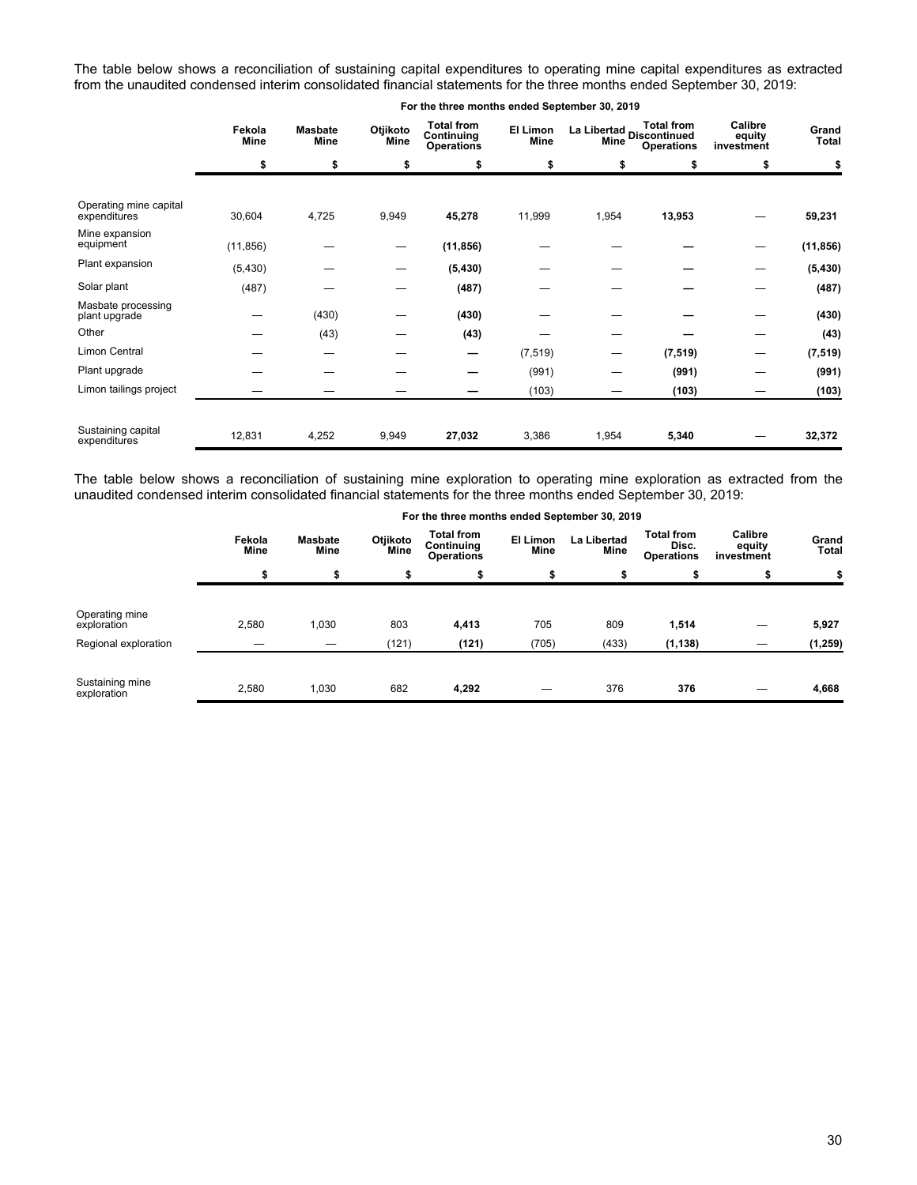The table below shows a reconciliation of sustaining capital expenditures to operating mine capital expenditures as extracted from the unaudited condensed interim consolidated financial statements for the three months ended September 30, 2019:

|                                        | Fekola<br>Mine | <b>Masbate</b><br>Mine | Otjikoto<br>Mine | <b>Total from</b><br>Continuing<br><b>Operations</b> | El Limon<br>Mine | Mine  | <b>Total from</b><br>La Libertad<br>Discontinued<br>international<br><b>Operations</b> | Calibre<br>equity<br>investment | Grand<br><b>Total</b> |
|----------------------------------------|----------------|------------------------|------------------|------------------------------------------------------|------------------|-------|----------------------------------------------------------------------------------------|---------------------------------|-----------------------|
|                                        | \$             | \$                     | \$               | \$                                                   | \$               | \$    | \$                                                                                     | \$                              | \$                    |
|                                        |                |                        |                  |                                                      |                  |       |                                                                                        |                                 |                       |
| Operating mine capital<br>expenditures | 30,604         | 4,725                  | 9,949            | 45,278                                               | 11,999           | 1,954 | 13,953                                                                                 |                                 | 59,231                |
| Mine expansion<br>equipment            | (11, 856)      |                        | –                | (11, 856)                                            |                  |       |                                                                                        |                                 | (11, 856)             |
| Plant expansion                        | (5, 430)       |                        | –                | (5, 430)                                             |                  |       |                                                                                        |                                 | (5, 430)              |
| Solar plant                            | (487)          |                        |                  | (487)                                                |                  |       |                                                                                        |                                 | (487)                 |
| Masbate processing<br>plant upgrade    |                | (430)                  |                  | (430)                                                |                  |       |                                                                                        |                                 | (430)                 |
| Other                                  |                | (43)                   |                  | (43)                                                 |                  |       |                                                                                        |                                 | (43)                  |
| Limon Central                          |                | --                     |                  | –                                                    | (7, 519)         |       | (7, 519)                                                                               |                                 | (7, 519)              |
| Plant upgrade                          |                |                        |                  |                                                      | (991)            |       | (991)                                                                                  |                                 | (991)                 |
| Limon tailings project                 |                |                        |                  |                                                      | (103)            |       | (103)                                                                                  |                                 | (103)                 |
|                                        |                |                        |                  |                                                      |                  |       |                                                                                        |                                 |                       |
| Sustaining capital<br>expenditures     | 12,831         | 4,252                  | 9,949            | 27,032                                               | 3,386            | 1,954 | 5,340                                                                                  |                                 | 32,372                |

**For the three months ended September 30, 2019**

The table below shows a reconciliation of sustaining mine exploration to operating mine exploration as extracted from the unaudited condensed interim consolidated financial statements for the three months ended September 30, 2019:

|                                | Fekola<br>Mine | Masbate<br><b>Mine</b> | Otjikoto<br>Mine | <b>Total from</b><br>Continuing<br><b>Operations</b> | El Limon<br><b>Mine</b> | La Libertad<br>Mine | <b>Total from</b><br>Disc.<br><b>Operations</b> | Calibre<br>equity<br>investment | Grand<br>Total |
|--------------------------------|----------------|------------------------|------------------|------------------------------------------------------|-------------------------|---------------------|-------------------------------------------------|---------------------------------|----------------|
|                                |                |                        |                  |                                                      | \$                      |                     |                                                 |                                 |                |
| Operating mine<br>exploration  | 2,580          | 1,030                  | 803              | 4,413                                                | 705                     | 809                 | 1,514                                           |                                 | 5,927          |
| Regional exploration           |                |                        | (121)            | (121)                                                | (705)                   | (433)               | (1, 138)                                        |                                 | (1, 259)       |
| Sustaining mine<br>exploration | 2,580          | 1,030                  | 682              | 4,292                                                | _                       | 376                 | 376                                             |                                 | 4,668          |

# **For the three months ended September 30, 2019**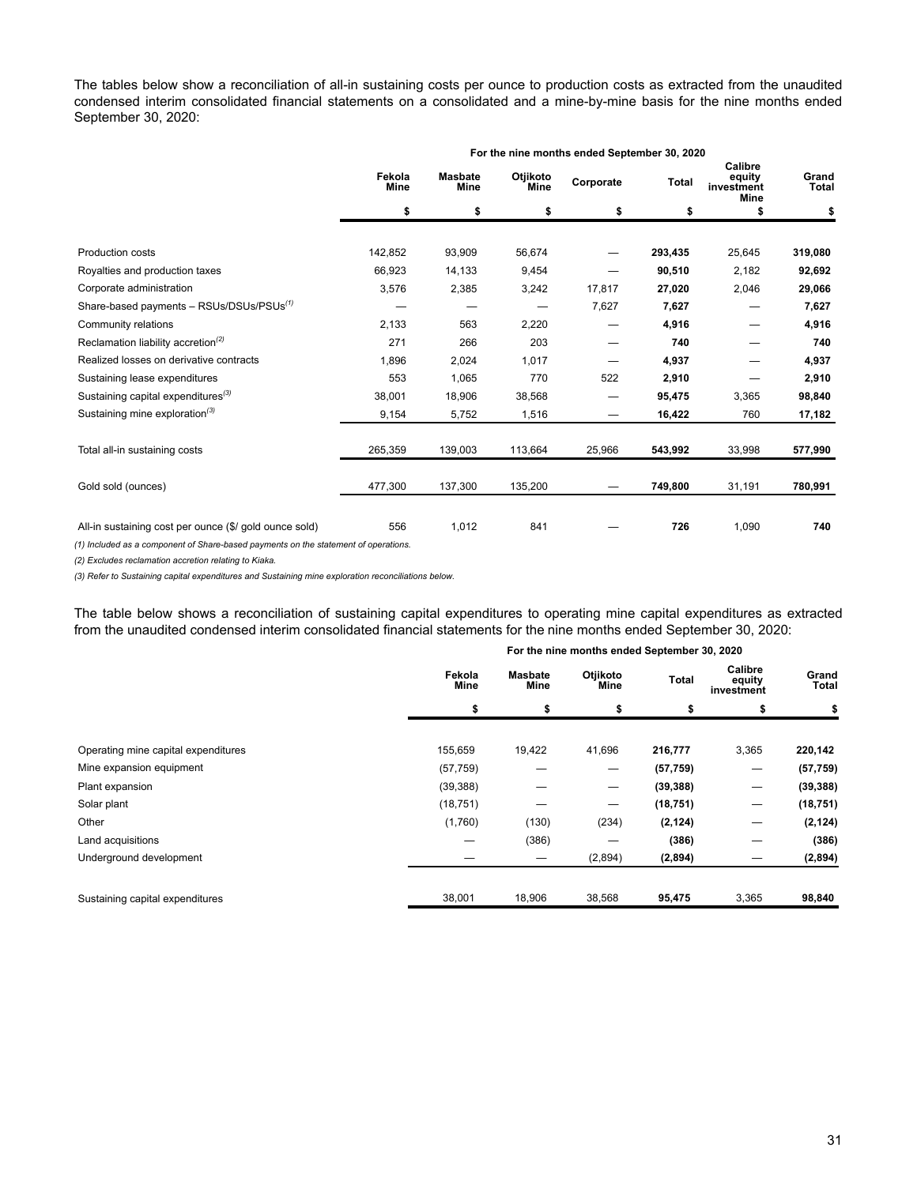The tables below show a reconciliation of all-in sustaining costs per ounce to production costs as extracted from the unaudited condensed interim consolidated financial statements on a consolidated and a mine-by-mine basis for the nine months ended September 30, 2020:

|                                                        | For the nine months ended September 30, 2020<br>Calibre<br>Fekola<br>Otjikoto<br><b>Masbate</b><br>equity<br>Corporate<br><b>Total</b><br><b>Mine</b><br>Mine<br><b>Mine</b><br>investment<br><b>Mine</b><br>\$<br>\$<br>\$<br>\$<br>\$<br>\$<br>142,852<br>93,909<br>56,674<br>293,435<br>25,645 |         |         |        |         |        |                       |  |  |  |  |
|--------------------------------------------------------|---------------------------------------------------------------------------------------------------------------------------------------------------------------------------------------------------------------------------------------------------------------------------------------------------|---------|---------|--------|---------|--------|-----------------------|--|--|--|--|
|                                                        |                                                                                                                                                                                                                                                                                                   |         |         |        |         |        | Grand<br><b>Total</b> |  |  |  |  |
|                                                        |                                                                                                                                                                                                                                                                                                   |         |         |        |         |        | \$                    |  |  |  |  |
| <b>Production costs</b>                                |                                                                                                                                                                                                                                                                                                   |         |         |        |         |        | 319,080               |  |  |  |  |
|                                                        |                                                                                                                                                                                                                                                                                                   |         |         |        |         |        |                       |  |  |  |  |
| Royalties and production taxes                         | 66,923                                                                                                                                                                                                                                                                                            | 14,133  | 9,454   |        | 90,510  | 2,182  | 92,692                |  |  |  |  |
| Corporate administration                               | 3,576                                                                                                                                                                                                                                                                                             | 2,385   | 3,242   | 17,817 | 27,020  | 2,046  | 29,066                |  |  |  |  |
| Share-based payments - RSUs/DSUs/PSUs <sup>(1)</sup>   |                                                                                                                                                                                                                                                                                                   |         |         | 7,627  | 7,627   |        | 7,627                 |  |  |  |  |
| Community relations                                    | 2,133                                                                                                                                                                                                                                                                                             | 563     | 2,220   |        | 4,916   |        | 4,916                 |  |  |  |  |
| Reclamation liability accretion <sup>(2)</sup>         | 271                                                                                                                                                                                                                                                                                               | 266     | 203     |        | 740     |        | 740                   |  |  |  |  |
| Realized losses on derivative contracts                | 1,896                                                                                                                                                                                                                                                                                             | 2,024   | 1,017   |        | 4,937   |        | 4,937                 |  |  |  |  |
| Sustaining lease expenditures                          | 553                                                                                                                                                                                                                                                                                               | 1,065   | 770     | 522    | 2,910   |        | 2,910                 |  |  |  |  |
| Sustaining capital expenditures <sup>(3)</sup>         | 38.001                                                                                                                                                                                                                                                                                            | 18,906  | 38,568  |        | 95,475  | 3,365  | 98,840                |  |  |  |  |
| Sustaining mine exploration <sup>(3)</sup>             | 9,154                                                                                                                                                                                                                                                                                             | 5,752   | 1,516   | —      | 16,422  | 760    | 17,182                |  |  |  |  |
| Total all-in sustaining costs                          | 265,359                                                                                                                                                                                                                                                                                           | 139,003 | 113,664 | 25,966 | 543,992 | 33,998 | 577,990               |  |  |  |  |
| Gold sold (ounces)                                     | 477,300                                                                                                                                                                                                                                                                                           | 137,300 | 135,200 |        | 749,800 | 31,191 | 780,991               |  |  |  |  |
| All-in sustaining cost per ounce (\$/ gold ounce sold) | 556                                                                                                                                                                                                                                                                                               | 1,012   | 841     |        | 726     | 1,090  | 740                   |  |  |  |  |

*(1) Included as a component of Share-based payments on the statement of operations.* 

*(2) Excludes reclamation accretion relating to Kiaka.* 

*(3) Refer to Sustaining capital expenditures and Sustaining mine exploration reconciliations below.*

The table below shows a reconciliation of sustaining capital expenditures to operating mine capital expenditures as extracted from the unaudited condensed interim consolidated financial statements for the nine months ended September 30, 2020:

|                                     |                |                 | For the nine months ended September 30, 2020 |           |                                 |                |
|-------------------------------------|----------------|-----------------|----------------------------------------------|-----------|---------------------------------|----------------|
|                                     | Fekola<br>Mine | Masbate<br>Mine | Otjikoto<br>Mine                             | Total     | Calibre<br>equity<br>investment | Grand<br>Total |
|                                     | \$             | \$              | \$                                           | \$        | \$                              | \$             |
|                                     |                |                 |                                              |           |                                 |                |
| Operating mine capital expenditures | 155,659        | 19,422          | 41,696                                       | 216,777   | 3,365                           | 220,142        |
| Mine expansion equipment            | (57, 759)      |                 | —                                            | (57, 759) | —                               | (57, 759)      |
| Plant expansion                     | (39, 388)      |                 | —                                            | (39, 388) | —                               | (39, 388)      |
| Solar plant                         | (18, 751)      |                 |                                              | (18, 751) | $\overline{\phantom{0}}$        | (18, 751)      |
| Other                               | (1,760)        | (130)           | (234)                                        | (2, 124)  | –                               | (2, 124)       |
| Land acquisitions                   | _              | (386)           |                                              | (386)     |                                 | (386)          |
| Underground development             |                |                 | (2,894)                                      | (2,894)   |                                 | (2,894)        |
| Sustaining capital expenditures     | 38,001         | 18,906          | 38,568                                       | 95,475    | 3,365                           | 98,840         |

#### 31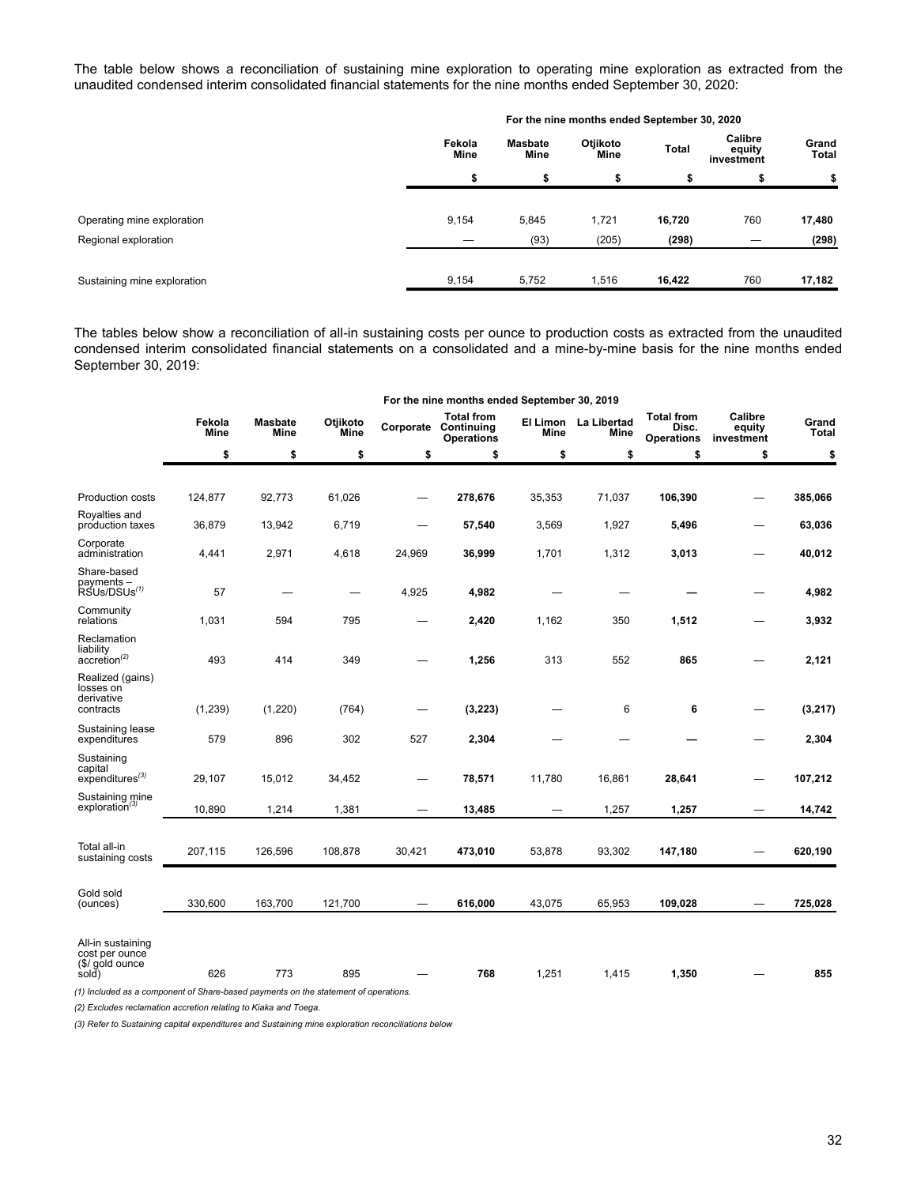The table below shows a reconciliation of sustaining mine exploration to operating mine exploration as extracted from the unaudited condensed interim consolidated financial statements for the nine months ended September 30, 2020:

|                             | For the nine months ended September 30, 2020 |                        |                  |        |                                 |                       |  |  |
|-----------------------------|----------------------------------------------|------------------------|------------------|--------|---------------------------------|-----------------------|--|--|
|                             | Fekola<br><b>Mine</b>                        | <b>Masbate</b><br>Mine | Otjikoto<br>Mine | Total  | Calibre<br>equity<br>investment | Grand<br><b>Total</b> |  |  |
|                             | \$                                           | \$                     |                  | \$     |                                 | \$                    |  |  |
| Operating mine exploration  | 9,154                                        | 5,845                  | 1,721            | 16,720 | 760                             | 17,480                |  |  |
| Regional exploration        |                                              | (93)                   | (205)            | (298)  |                                 | (298)                 |  |  |
| Sustaining mine exploration | 9,154                                        | 5,752                  | 1,516            | 16,422 | 760                             | 17,182                |  |  |

The tables below show a reconciliation of all-in sustaining costs per ounce to production costs as extracted from the unaudited condensed interim consolidated financial statements on a consolidated and a mine-by-mine basis for the nine months ended September 30, 2019:

|                                                                 | For the nine months ended September 30, 2019 |                               |                         |        |                                                                |             |                                     |                                                 |                                 |                       |  |
|-----------------------------------------------------------------|----------------------------------------------|-------------------------------|-------------------------|--------|----------------------------------------------------------------|-------------|-------------------------------------|-------------------------------------------------|---------------------------------|-----------------------|--|
|                                                                 | Fekola<br>Mine                               | <b>Masbate</b><br><b>Mine</b> | Otjikoto<br><b>Mine</b> |        | <b>Total from</b><br>Corporate Continuing<br><b>Operations</b> | <b>Mine</b> | El Limon La Libertad<br><b>Mine</b> | <b>Total from</b><br>Disc.<br><b>Operations</b> | Calibre<br>equity<br>investment | Grand<br><b>Total</b> |  |
|                                                                 | \$                                           | \$                            | \$                      | \$     | \$                                                             | \$          | \$                                  | \$                                              | \$                              | \$                    |  |
| Production costs                                                | 124,877                                      | 92,773                        | 61,026                  |        | 278,676                                                        | 35,353      | 71,037                              | 106,390                                         |                                 | 385,066               |  |
| Royalties and<br>production taxes                               | 36,879                                       | 13,942                        | 6,719                   |        | 57,540                                                         | 3,569       | 1,927                               | 5,496                                           | -                               | 63,036                |  |
| Corporate<br>administration                                     | 4,441                                        | 2,971                         | 4,618                   | 24,969 | 36,999                                                         | 1,701       | 1,312                               | 3,013                                           |                                 | 40,012                |  |
| Share-based<br>payments -<br>RSUs/DSUs <sup>(1)</sup>           | 57                                           |                               |                         | 4,925  | 4,982                                                          |             | -                                   |                                                 |                                 | 4,982                 |  |
| Community<br>relations                                          | 1,031                                        | 594                           | 795                     |        | 2,420                                                          | 1,162       | 350                                 | 1,512                                           |                                 | 3,932                 |  |
| Reclamation<br>liability<br>$accretion^{(2)}$                   | 493                                          | 414                           | 349                     |        | 1,256                                                          | 313         | 552                                 | 865                                             |                                 | 2,121                 |  |
| Realized (gains)<br>losses on<br>derivative<br>contracts        | (1,239)                                      | (1, 220)                      | (764)                   | -      | (3, 223)                                                       |             | 6                                   | 6                                               |                                 | (3, 217)              |  |
| Sustaining lease<br>expenditures                                | 579                                          | 896                           | 302                     | 527    | 2,304                                                          |             |                                     |                                                 |                                 | 2,304                 |  |
| Sustaining<br>capital<br>$expenditures^{(3)}$                   | 29,107                                       | 15,012                        | 34,452                  |        | 78,571                                                         | 11,780      | 16,861                              | 28,641                                          |                                 | 107,212               |  |
| Sustaining mine<br>exploration <sup>(3)</sup>                   | 10,890                                       | 1,214                         | 1,381                   |        | 13,485                                                         |             | 1,257                               | 1,257                                           |                                 | 14,742                |  |
| Total all-in<br>sustaining costs                                | 207,115                                      | 126,596                       | 108,878                 | 30,421 | 473,010                                                        | 53,878      | 93,302                              | 147,180                                         |                                 | 620,190               |  |
| Gold sold<br>(ounces)                                           | 330.600                                      | 163,700                       | 121,700                 |        | 616,000                                                        | 43,075      | 65,953                              | 109,028                                         |                                 | 725,028               |  |
| All-in sustaining<br>cost per ounce<br>(\$/ gold ounce<br>sold) | 626                                          | 773                           | 895                     |        | 768                                                            | 1,251       | 1,415                               | 1,350                                           |                                 | 855                   |  |
|                                                                 |                                              |                               |                         |        |                                                                |             |                                     |                                                 |                                 |                       |  |

*(1) Included as a component of Share-based payments on the statement of operations.* 

*(2) Excludes reclamation accretion relating to Kiaka and Toega.* 

*(3) Refer to Sustaining capital expenditures and Sustaining mine exploration reconciliations below*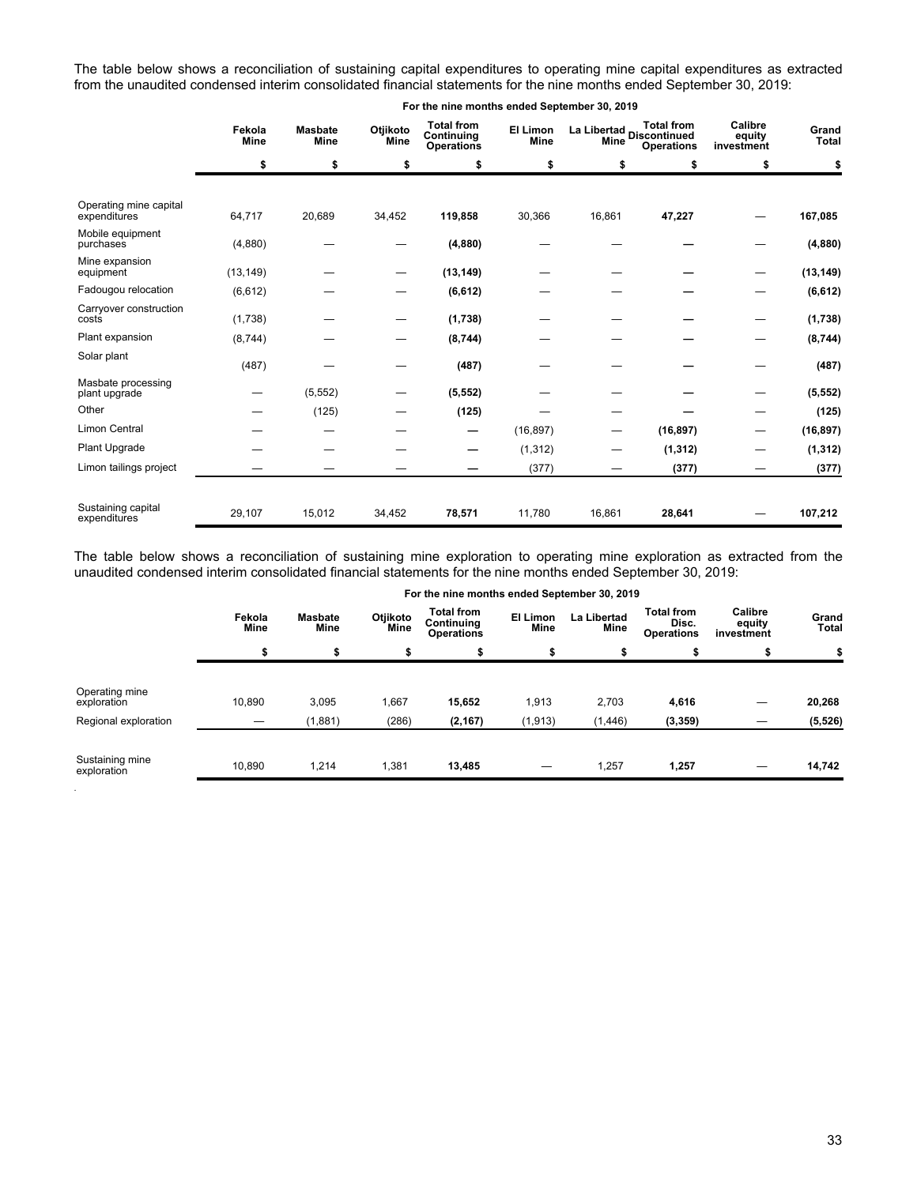The table below shows a reconciliation of sustaining capital expenditures to operating mine capital expenditures as extracted from the unaudited condensed interim consolidated financial statements for the nine months ended September 30, 2019:

|                                        | Fekola<br><b>Mine</b> | <b>Masbate</b><br><b>Mine</b> | Otjikoto<br><b>Mine</b> | <b>Total from</b><br>Continuing<br><b>Operations</b> | El Limon<br><b>Mine</b> | Mine   | <b>Total from</b><br>La Libertad<br>Discontinued<br><b>Operations</b> | Calibre<br>equity<br>investment | Grand<br><b>Total</b> |
|----------------------------------------|-----------------------|-------------------------------|-------------------------|------------------------------------------------------|-------------------------|--------|-----------------------------------------------------------------------|---------------------------------|-----------------------|
|                                        | \$                    | \$                            | \$                      | \$                                                   | \$                      | \$     | \$                                                                    | \$                              | \$                    |
|                                        |                       |                               |                         |                                                      |                         |        |                                                                       |                                 |                       |
| Operating mine capital<br>expenditures | 64,717                | 20,689                        | 34,452                  | 119,858                                              | 30,366                  | 16,861 | 47,227                                                                |                                 | 167,085               |
| Mobile equipment<br>purchases          | (4,880)               |                               |                         | (4,880)                                              |                         |        |                                                                       |                                 | (4,880)               |
| Mine expansion<br>equipment            | (13, 149)             |                               |                         | (13, 149)                                            |                         |        |                                                                       |                                 | (13, 149)             |
| Fadougou relocation                    | (6, 612)              |                               |                         | (6, 612)                                             |                         |        |                                                                       |                                 | (6, 612)              |
| Carryover construction<br>costs        | (1,738)               |                               |                         | (1,738)                                              |                         |        |                                                                       |                                 | (1,738)               |
| Plant expansion                        | (8,744)               |                               |                         | (8,744)                                              |                         |        |                                                                       |                                 | (8,744)               |
| Solar plant                            | (487)                 |                               |                         | (487)                                                |                         |        |                                                                       |                                 | (487)                 |
| Masbate processing<br>plant upgrade    |                       | (5, 552)                      |                         | (5, 552)                                             |                         |        |                                                                       |                                 | (5, 552)              |
| Other                                  |                       | (125)                         |                         | (125)                                                |                         |        |                                                                       |                                 | (125)                 |
| Limon Central                          |                       |                               |                         |                                                      | (16, 897)               |        | (16, 897)                                                             |                                 | (16, 897)             |
| Plant Upgrade                          |                       |                               |                         |                                                      | (1, 312)                |        | (1, 312)                                                              |                                 | (1, 312)              |
| Limon tailings project                 |                       |                               |                         |                                                      | (377)                   |        | (377)                                                                 |                                 | (377)                 |
|                                        |                       |                               |                         |                                                      |                         |        |                                                                       |                                 |                       |
| Sustaining capital<br>expenditures     | 29,107                | 15,012                        | 34,452                  | 78,571                                               | 11,780                  | 16,861 | 28,641                                                                |                                 | 107,212               |

**For the nine months ended September 30, 2019**

The table below shows a reconciliation of sustaining mine exploration to operating mine exploration as extracted from the unaudited condensed interim consolidated financial statements for the nine months ended September 30, 2019:

|                                | For the nine months ended September 30, 2019 |                        |                  |                                                      |                  |                     |                                          |                                 |                |  |
|--------------------------------|----------------------------------------------|------------------------|------------------|------------------------------------------------------|------------------|---------------------|------------------------------------------|---------------------------------|----------------|--|
|                                | Fekola<br>Mine                               | <b>Masbate</b><br>Mine | Otjikoto<br>Mine | <b>Total from</b><br>Continuina<br><b>Operations</b> | El Limon<br>Mine | La Libertad<br>Mine | Total from<br>Disc.<br><b>Operations</b> | Calibre<br>equity<br>investment | Grand<br>Total |  |
|                                | \$                                           | \$                     | \$               |                                                      | \$               | \$                  |                                          |                                 |                |  |
| Operating mine<br>exploration  | 10,890                                       | 3,095                  | 1,667            | 15,652                                               | 1,913            | 2,703               | 4,616                                    |                                 | 20,268         |  |
| Regional exploration           |                                              | (1, 881)               | (286)            | (2, 167)                                             | (1, 913)         | (1, 446)            | (3, 359)                                 |                                 | (5, 526)       |  |
| Sustaining mine<br>exploration | 10,890                                       | 1,214                  | 1,381            | 13,485                                               |                  | 1,257               | 1,257                                    |                                 | 14,742         |  |

*.*

**For the nine months ended September 30, 2019**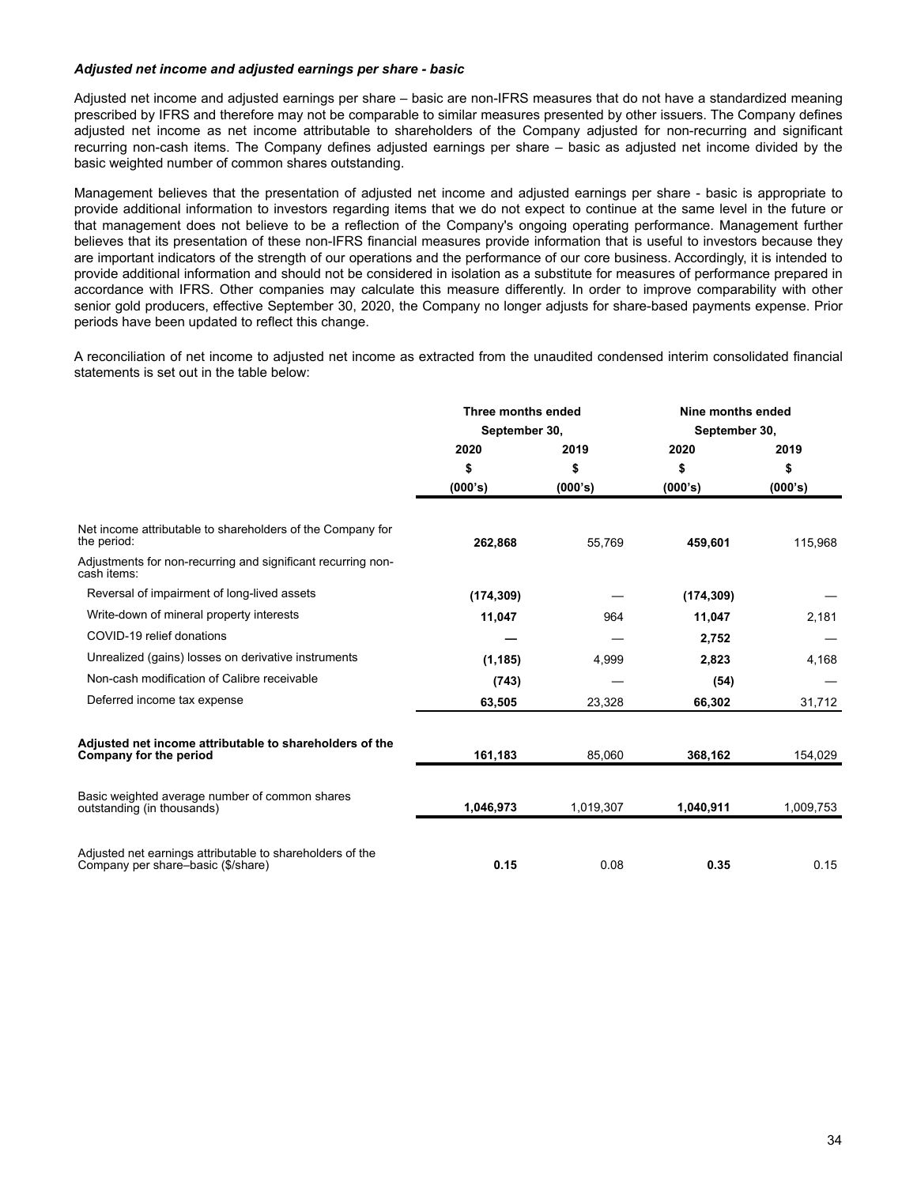#### *Adjusted net income and adjusted earnings per share - basic*

Adjusted net income and adjusted earnings per share – basic are non-IFRS measures that do not have a standardized meaning prescribed by IFRS and therefore may not be comparable to similar measures presented by other issuers. The Company defines adjusted net income as net income attributable to shareholders of the Company adjusted for non-recurring and significant recurring non-cash items. The Company defines adjusted earnings per share – basic as adjusted net income divided by the basic weighted number of common shares outstanding.

Management believes that the presentation of adjusted net income and adjusted earnings per share - basic is appropriate to provide additional information to investors regarding items that we do not expect to continue at the same level in the future or that management does not believe to be a reflection of the Company's ongoing operating performance. Management further believes that its presentation of these non-IFRS financial measures provide information that is useful to investors because they are important indicators of the strength of our operations and the performance of our core business. Accordingly, it is intended to provide additional information and should not be considered in isolation as a substitute for measures of performance prepared in accordance with IFRS. Other companies may calculate this measure differently. In order to improve comparability with other senior gold producers, effective September 30, 2020, the Company no longer adjusts for share-based payments expense. Prior periods have been updated to reflect this change.

A reconciliation of net income to adjusted net income as extracted from the unaudited condensed interim consolidated financial statements is set out in the table below:

|                                                                                                 | Three months ended |           | Nine months ended |           |  |
|-------------------------------------------------------------------------------------------------|--------------------|-----------|-------------------|-----------|--|
|                                                                                                 | September 30,      |           | September 30,     |           |  |
|                                                                                                 | 2020               | 2019      | 2020              | 2019      |  |
|                                                                                                 | \$                 | \$        | \$                | \$        |  |
|                                                                                                 | (000's)            | (000's)   | (000's)           | (000's)   |  |
| Net income attributable to shareholders of the Company for<br>the period:                       | 262,868            | 55,769    | 459,601           | 115,968   |  |
| Adjustments for non-recurring and significant recurring non-<br>cash items:                     |                    |           |                   |           |  |
| Reversal of impairment of long-lived assets                                                     | (174, 309)         |           | (174, 309)        |           |  |
| Write-down of mineral property interests                                                        | 11,047             | 964       | 11,047            | 2,181     |  |
| COVID-19 relief donations                                                                       |                    |           | 2,752             |           |  |
| Unrealized (gains) losses on derivative instruments                                             | (1, 185)           | 4,999     | 2,823             | 4,168     |  |
| Non-cash modification of Calibre receivable                                                     | (743)              |           | (54)              |           |  |
| Deferred income tax expense                                                                     | 63,505             | 23,328    | 66,302            | 31,712    |  |
| Adjusted net income attributable to shareholders of the<br>Company for the period               | 161,183            | 85,060    | 368,162           | 154,029   |  |
| Basic weighted average number of common shares<br>outstanding (in thousands)                    | 1,046,973          | 1,019,307 | 1,040,911         | 1,009,753 |  |
| Adjusted net earnings attributable to shareholders of the<br>Company per share-basic (\$/share) | 0.15               | 0.08      | 0.35              | 0.15      |  |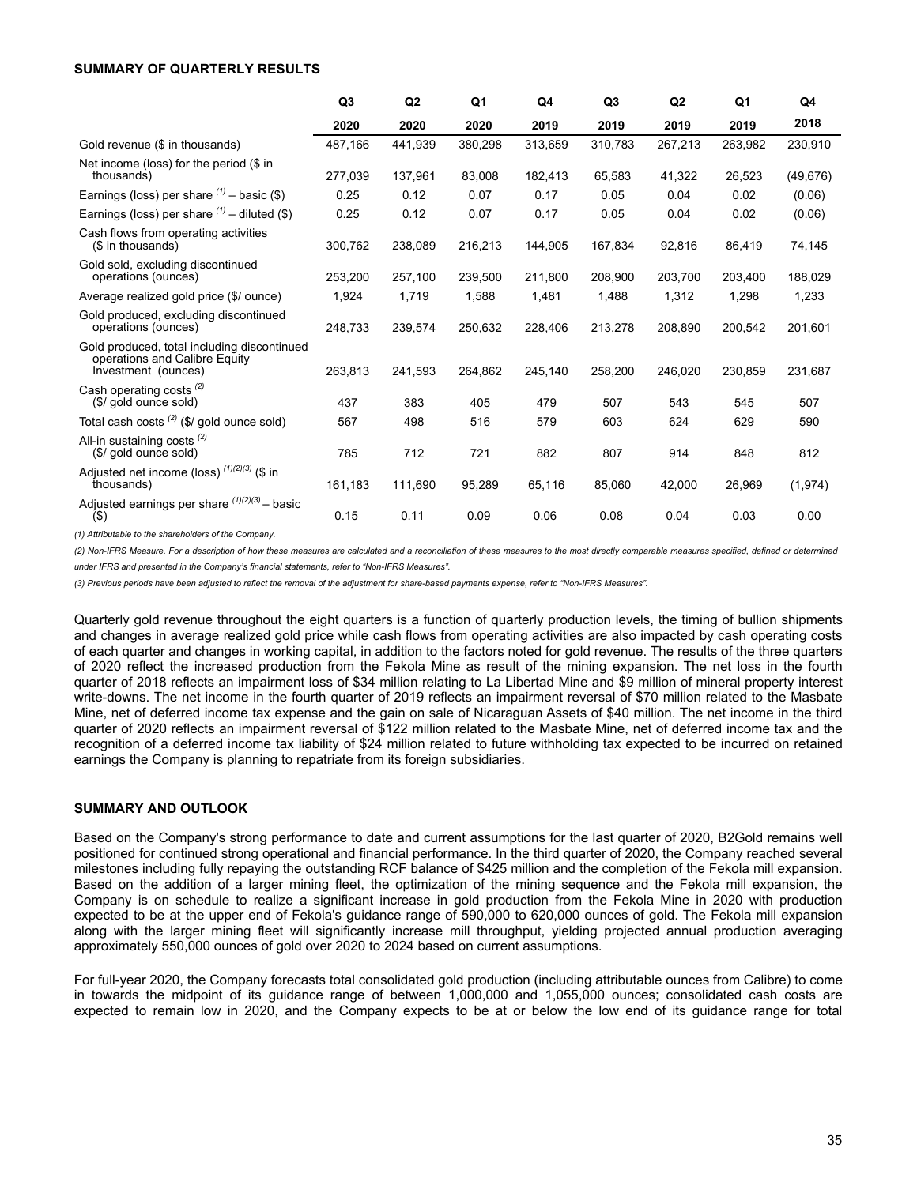#### <span id="page-34-0"></span>**SUMMARY OF QUARTERLY RESULTS**

|                                                                                                     | Q <sub>3</sub> | Q2      | Q1      | Q4      | Q <sub>3</sub> | Q2      | Q1      | Q4        |
|-----------------------------------------------------------------------------------------------------|----------------|---------|---------|---------|----------------|---------|---------|-----------|
|                                                                                                     | 2020           | 2020    | 2020    | 2019    | 2019           | 2019    | 2019    | 2018      |
| Gold revenue (\$ in thousands)                                                                      | 487,166        | 441,939 | 380,298 | 313,659 | 310,783        | 267,213 | 263,982 | 230,910   |
| Net income (loss) for the period (\$ in<br>thousands)                                               | 277,039        | 137,961 | 83,008  | 182,413 | 65,583         | 41,322  | 26,523  | (49, 676) |
| Earnings (loss) per share $(7)$ – basic (\$)                                                        | 0.25           | 0.12    | 0.07    | 0.17    | 0.05           | 0.04    | 0.02    | (0.06)    |
| Earnings (loss) per share $(1)$ – diluted (\$)                                                      | 0.25           | 0.12    | 0.07    | 0.17    | 0.05           | 0.04    | 0.02    | (0.06)    |
| Cash flows from operating activities<br>(\$ in thousands)                                           | 300.762        | 238,089 | 216,213 | 144,905 | 167,834        | 92,816  | 86,419  | 74,145    |
| Gold sold, excluding discontinued<br>operations (ounces)                                            | 253,200        | 257,100 | 239,500 | 211.800 | 208.900        | 203,700 | 203,400 | 188,029   |
| Average realized gold price (\$/ ounce)                                                             | 1,924          | 1,719   | 1,588   | 1,481   | 1,488          | 1,312   | 1,298   | 1,233     |
| Gold produced, excluding discontinued<br>operations (ounces)                                        | 248.733        | 239.574 | 250,632 | 228.406 | 213.278        | 208.890 | 200.542 | 201,601   |
| Gold produced, total including discontinued<br>operations and Calibre Equity<br>Investment (ounces) | 263.813        | 241.593 | 264.862 | 245.140 | 258,200        | 246.020 | 230.859 | 231.687   |
| Cash operating costs <sup>(2)</sup><br>(\$/ gold ounce sold)                                        | 437            | 383     | 405     | 479     | 507            | 543     | 545     | 507       |
| Total cash costs <sup>(2)</sup> (\$/ gold ounce sold)                                               | 567            | 498     | 516     | 579     | 603            | 624     | 629     | 590       |
| All-in sustaining costs <sup>(2)</sup><br>(\$/ gold ounce sold)                                     | 785            | 712     | 721     | 882     | 807            | 914     | 848     | 812       |
| Adjusted net income (loss) $(1)(2)(3)$ (\$ in<br>thousands)                                         | 161,183        | 111,690 | 95,289  | 65,116  | 85,060         | 42,000  | 26,969  | (1, 974)  |
| Adjusted earnings per share $(1)(2)(3)$ - basic<br>$($ \$                                           | 0.15           | 0.11    | 0.09    | 0.06    | 0.08           | 0.04    | 0.03    | 0.00      |

*(1) Attributable to the shareholders of the Company.*

*(2) Non-IFRS Measure. For a description of how these measures are calculated and a reconciliation of these measures to the most directly comparable measures specified, defined or determined under IFRS and presented in the Company's financial statements, refer to "Non-IFRS Measures".*

*(3) Previous periods have been adjusted to reflect the removal of the adjustment for share-based payments expense, refer to "Non-IFRS Measures".*

Quarterly gold revenue throughout the eight quarters is a function of quarterly production levels, the timing of bullion shipments and changes in average realized gold price while cash flows from operating activities are also impacted by cash operating costs of each quarter and changes in working capital, in addition to the factors noted for gold revenue. The results of the three quarters of 2020 reflect the increased production from the Fekola Mine as result of the mining expansion. The net loss in the fourth quarter of 2018 reflects an impairment loss of \$34 million relating to La Libertad Mine and \$9 million of mineral property interest write-downs. The net income in the fourth quarter of 2019 reflects an impairment reversal of \$70 million related to the Masbate Mine, net of deferred income tax expense and the gain on sale of Nicaraguan Assets of \$40 million. The net income in the third quarter of 2020 reflects an impairment reversal of \$122 million related to the Masbate Mine, net of deferred income tax and the recognition of a deferred income tax liability of \$24 million related to future withholding tax expected to be incurred on retained earnings the Company is planning to repatriate from its foreign subsidiaries.

#### **SUMMARY AND OUTLOOK**

Based on the Company's strong performance to date and current assumptions for the last quarter of 2020, B2Gold remains well positioned for continued strong operational and financial performance. In the third quarter of 2020, the Company reached several milestones including fully repaying the outstanding RCF balance of \$425 million and the completion of the Fekola mill expansion. Based on the addition of a larger mining fleet, the optimization of the mining sequence and the Fekola mill expansion, the Company is on schedule to realize a significant increase in gold production from the Fekola Mine in 2020 with production expected to be at the upper end of Fekola's guidance range of 590,000 to 620,000 ounces of gold. The Fekola mill expansion along with the larger mining fleet will significantly increase mill throughput, yielding projected annual production averaging approximately 550,000 ounces of gold over 2020 to 2024 based on current assumptions.

For full-year 2020, the Company forecasts total consolidated gold production (including attributable ounces from Calibre) to come in towards the midpoint of its guidance range of between 1,000,000 and 1,055,000 ounces; consolidated cash costs are expected to remain low in 2020, and the Company expects to be at or below the low end of its guidance range for total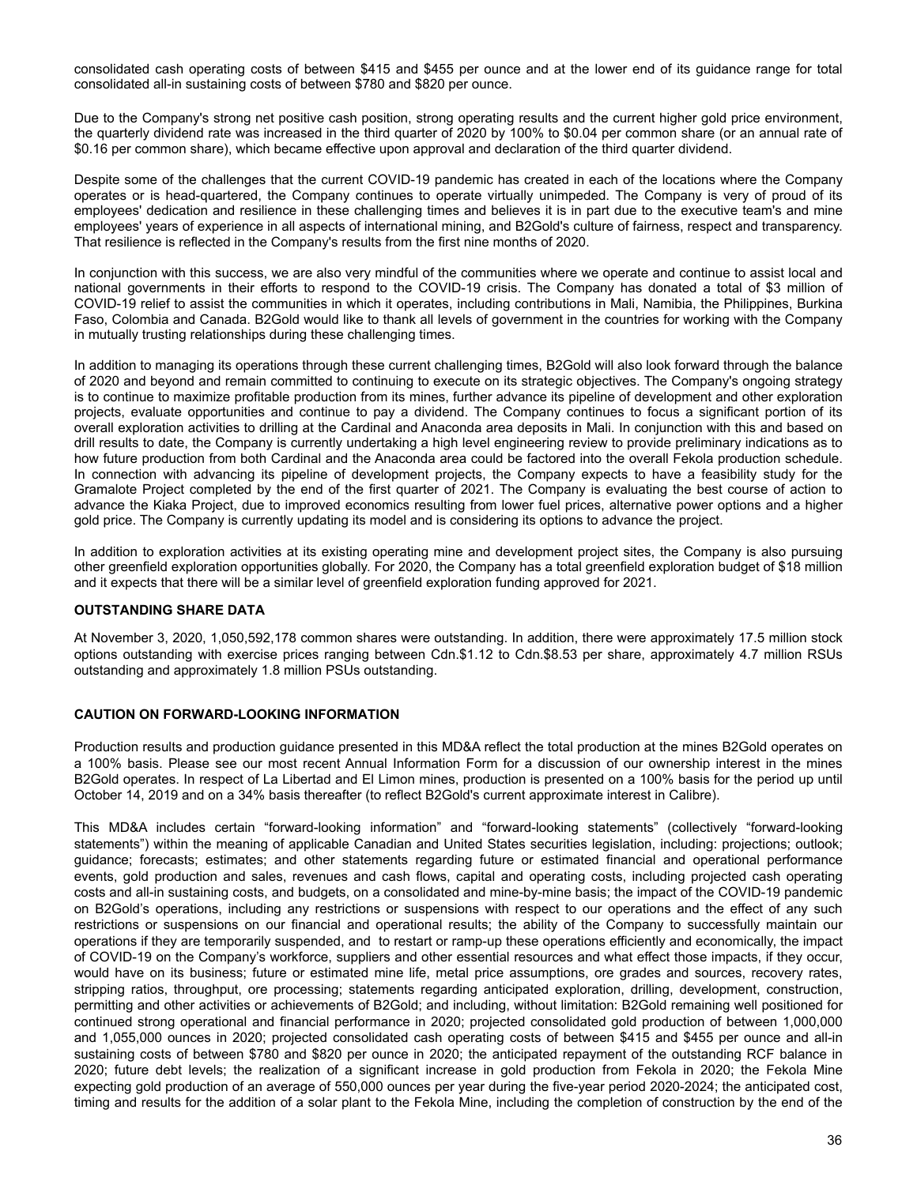<span id="page-35-0"></span>consolidated cash operating costs of between \$415 and \$455 per ounce and at the lower end of its guidance range for total consolidated all-in sustaining costs of between \$780 and \$820 per ounce.

Due to the Company's strong net positive cash position, strong operating results and the current higher gold price environment, the quarterly dividend rate was increased in the third quarter of 2020 by 100% to \$0.04 per common share (or an annual rate of \$0.16 per common share), which became effective upon approval and declaration of the third quarter dividend.

Despite some of the challenges that the current COVID-19 pandemic has created in each of the locations where the Company operates or is head-quartered, the Company continues to operate virtually unimpeded. The Company is very of proud of its employees' dedication and resilience in these challenging times and believes it is in part due to the executive team's and mine employees' years of experience in all aspects of international mining, and B2Gold's culture of fairness, respect and transparency. That resilience is reflected in the Company's results from the first nine months of 2020.

In conjunction with this success, we are also very mindful of the communities where we operate and continue to assist local and national governments in their efforts to respond to the COVID-19 crisis. The Company has donated a total of \$3 million of COVID-19 relief to assist the communities in which it operates, including contributions in Mali, Namibia, the Philippines, Burkina Faso, Colombia and Canada. B2Gold would like to thank all levels of government in the countries for working with the Company in mutually trusting relationships during these challenging times.

In addition to managing its operations through these current challenging times, B2Gold will also look forward through the balance of 2020 and beyond and remain committed to continuing to execute on its strategic objectives. The Company's ongoing strategy is to continue to maximize profitable production from its mines, further advance its pipeline of development and other exploration projects, evaluate opportunities and continue to pay a dividend. The Company continues to focus a significant portion of its overall exploration activities to drilling at the Cardinal and Anaconda area deposits in Mali. In conjunction with this and based on drill results to date, the Company is currently undertaking a high level engineering review to provide preliminary indications as to how future production from both Cardinal and the Anaconda area could be factored into the overall Fekola production schedule. In connection with advancing its pipeline of development projects, the Company expects to have a feasibility study for the Gramalote Project completed by the end of the first quarter of 2021. The Company is evaluating the best course of action to advance the Kiaka Project, due to improved economics resulting from lower fuel prices, alternative power options and a higher gold price. The Company is currently updating its model and is considering its options to advance the project.

In addition to exploration activities at its existing operating mine and development project sites, the Company is also pursuing other greenfield exploration opportunities globally. For 2020, the Company has a total greenfield exploration budget of \$18 million and it expects that there will be a similar level of greenfield exploration funding approved for 2021.

## **OUTSTANDING SHARE DATA**

At November 3, 2020, 1,050,592,178 common shares were outstanding. In addition, there were approximately 17.5 million stock options outstanding with exercise prices ranging between Cdn.\$1.12 to Cdn.\$8.53 per share, approximately 4.7 million RSUs outstanding and approximately 1.8 million PSUs outstanding.

# **CAUTION ON FORWARD-LOOKING INFORMATION**

Production results and production guidance presented in this MD&A reflect the total production at the mines B2Gold operates on a 100% basis. Please see our most recent Annual Information Form for a discussion of our ownership interest in the mines B2Gold operates. In respect of La Libertad and El Limon mines, production is presented on a 100% basis for the period up until October 14, 2019 and on a 34% basis thereafter (to reflect B2Gold's current approximate interest in Calibre).

This MD&A includes certain "forward-looking information" and "forward-looking statements" (collectively "forward-looking statements") within the meaning of applicable Canadian and United States securities legislation, including: projections; outlook; guidance; forecasts; estimates; and other statements regarding future or estimated financial and operational performance events, gold production and sales, revenues and cash flows, capital and operating costs, including projected cash operating costs and all-in sustaining costs, and budgets, on a consolidated and mine-by-mine basis; the impact of the COVID-19 pandemic on B2Gold's operations, including any restrictions or suspensions with respect to our operations and the effect of any such restrictions or suspensions on our financial and operational results; the ability of the Company to successfully maintain our operations if they are temporarily suspended, and to restart or ramp-up these operations efficiently and economically, the impact of COVID-19 on the Company's workforce, suppliers and other essential resources and what effect those impacts, if they occur, would have on its business; future or estimated mine life, metal price assumptions, ore grades and sources, recovery rates, stripping ratios, throughput, ore processing; statements regarding anticipated exploration, drilling, development, construction, permitting and other activities or achievements of B2Gold; and including, without limitation: B2Gold remaining well positioned for continued strong operational and financial performance in 2020; projected consolidated gold production of between 1,000,000 and 1,055,000 ounces in 2020; projected consolidated cash operating costs of between \$415 and \$455 per ounce and all-in sustaining costs of between \$780 and \$820 per ounce in 2020; the anticipated repayment of the outstanding RCF balance in 2020; future debt levels; the realization of a significant increase in gold production from Fekola in 2020; the Fekola Mine expecting gold production of an average of 550,000 ounces per year during the five-year period 2020-2024; the anticipated cost, timing and results for the addition of a solar plant to the Fekola Mine, including the completion of construction by the end of the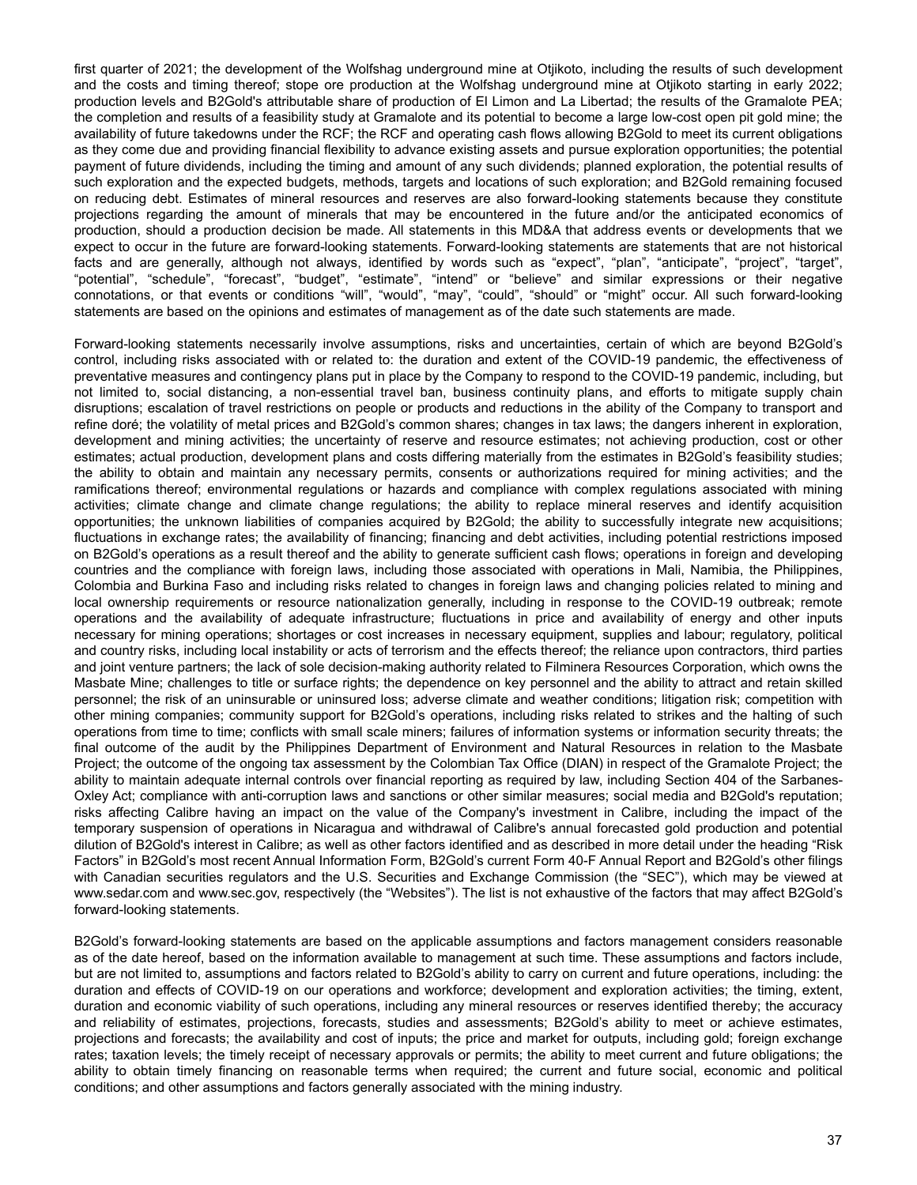first quarter of 2021; the development of the Wolfshag underground mine at Otjikoto, including the results of such development and the costs and timing thereof; stope ore production at the Wolfshag underground mine at Otjikoto starting in early 2022; production levels and B2Gold's attributable share of production of El Limon and La Libertad; the results of the Gramalote PEA; the completion and results of a feasibility study at Gramalote and its potential to become a large low-cost open pit gold mine; the availability of future takedowns under the RCF; the RCF and operating cash flows allowing B2Gold to meet its current obligations as they come due and providing financial flexibility to advance existing assets and pursue exploration opportunities; the potential payment of future dividends, including the timing and amount of any such dividends; planned exploration, the potential results of such exploration and the expected budgets, methods, targets and locations of such exploration; and B2Gold remaining focused on reducing debt. Estimates of mineral resources and reserves are also forward-looking statements because they constitute projections regarding the amount of minerals that may be encountered in the future and/or the anticipated economics of production, should a production decision be made. All statements in this MD&A that address events or developments that we expect to occur in the future are forward-looking statements. Forward-looking statements are statements that are not historical facts and are generally, although not always, identified by words such as "expect", "plan", "anticipate", "project", "target", "potential", "schedule", "forecast", "budget", "estimate", "intend" or "believe" and similar expressions or their negative connotations, or that events or conditions "will", "would", "may", "could", "should" or "might" occur. All such forward-looking statements are based on the opinions and estimates of management as of the date such statements are made.

Forward-looking statements necessarily involve assumptions, risks and uncertainties, certain of which are beyond B2Gold's control, including risks associated with or related to: the duration and extent of the COVID-19 pandemic, the effectiveness of preventative measures and contingency plans put in place by the Company to respond to the COVID-19 pandemic, including, but not limited to, social distancing, a non-essential travel ban, business continuity plans, and efforts to mitigate supply chain disruptions; escalation of travel restrictions on people or products and reductions in the ability of the Company to transport and refine doré; the volatility of metal prices and B2Gold's common shares; changes in tax laws; the dangers inherent in exploration, development and mining activities; the uncertainty of reserve and resource estimates; not achieving production, cost or other estimates; actual production, development plans and costs differing materially from the estimates in B2Gold's feasibility studies; the ability to obtain and maintain any necessary permits, consents or authorizations required for mining activities; and the ramifications thereof; environmental regulations or hazards and compliance with complex regulations associated with mining activities; climate change and climate change regulations; the ability to replace mineral reserves and identify acquisition opportunities; the unknown liabilities of companies acquired by B2Gold; the ability to successfully integrate new acquisitions; fluctuations in exchange rates; the availability of financing; financing and debt activities, including potential restrictions imposed on B2Gold's operations as a result thereof and the ability to generate sufficient cash flows; operations in foreign and developing countries and the compliance with foreign laws, including those associated with operations in Mali, Namibia, the Philippines, Colombia and Burkina Faso and including risks related to changes in foreign laws and changing policies related to mining and local ownership requirements or resource nationalization generally, including in response to the COVID-19 outbreak; remote operations and the availability of adequate infrastructure; fluctuations in price and availability of energy and other inputs necessary for mining operations; shortages or cost increases in necessary equipment, supplies and labour; regulatory, political and country risks, including local instability or acts of terrorism and the effects thereof; the reliance upon contractors, third parties and joint venture partners; the lack of sole decision-making authority related to Filminera Resources Corporation, which owns the Masbate Mine; challenges to title or surface rights; the dependence on key personnel and the ability to attract and retain skilled personnel; the risk of an uninsurable or uninsured loss; adverse climate and weather conditions; litigation risk; competition with other mining companies; community support for B2Gold's operations, including risks related to strikes and the halting of such operations from time to time; conflicts with small scale miners; failures of information systems or information security threats; the final outcome of the audit by the Philippines Department of Environment and Natural Resources in relation to the Masbate Project; the outcome of the ongoing tax assessment by the Colombian Tax Office (DIAN) in respect of the Gramalote Project; the ability to maintain adequate internal controls over financial reporting as required by law, including Section 404 of the Sarbanes-Oxley Act; compliance with anti-corruption laws and sanctions or other similar measures; social media and B2Gold's reputation; risks affecting Calibre having an impact on the value of the Company's investment in Calibre, including the impact of the temporary suspension of operations in Nicaragua and withdrawal of Calibre's annual forecasted gold production and potential dilution of B2Gold's interest in Calibre; as well as other factors identified and as described in more detail under the heading "Risk Factors" in B2Gold's most recent Annual Information Form, B2Gold's current Form 40-F Annual Report and B2Gold's other filings with Canadian securities regulators and the U.S. Securities and Exchange Commission (the "SEC"), which may be viewed at www.sedar.com and www.sec.gov, respectively (the "Websites"). The list is not exhaustive of the factors that may affect B2Gold's forward-looking statements.

B2Gold's forward-looking statements are based on the applicable assumptions and factors management considers reasonable as of the date hereof, based on the information available to management at such time. These assumptions and factors include, but are not limited to, assumptions and factors related to B2Gold's ability to carry on current and future operations, including: the duration and effects of COVID-19 on our operations and workforce; development and exploration activities; the timing, extent, duration and economic viability of such operations, including any mineral resources or reserves identified thereby; the accuracy and reliability of estimates, projections, forecasts, studies and assessments; B2Gold's ability to meet or achieve estimates, projections and forecasts; the availability and cost of inputs; the price and market for outputs, including gold; foreign exchange rates; taxation levels; the timely receipt of necessary approvals or permits; the ability to meet current and future obligations; the ability to obtain timely financing on reasonable terms when required; the current and future social, economic and political conditions; and other assumptions and factors generally associated with the mining industry.